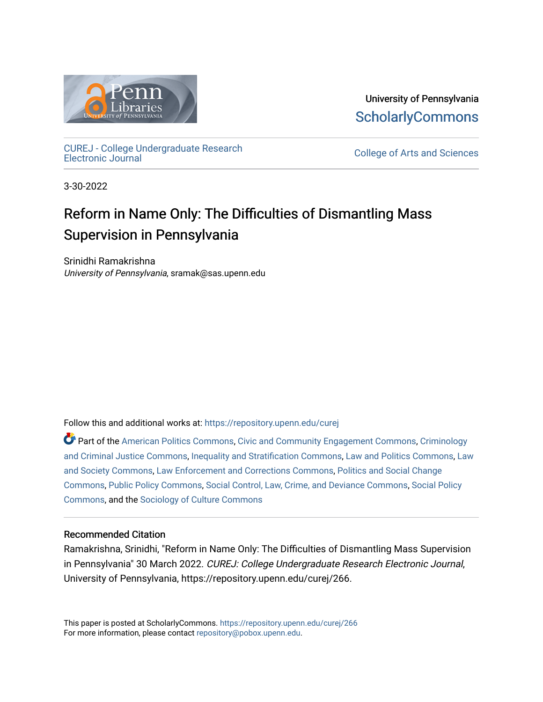

University of Pennsylvania **ScholarlyCommons** 

[CUREJ - College Undergraduate Research](https://repository.upenn.edu/curej) 

College of Arts and Sciences

3-30-2022

# Reform in Name Only: The Difficulties of Dismantling Mass Supervision in Pennsylvania

Srinidhi Ramakrishna University of Pennsylvania, sramak@sas.upenn.edu

Follow this and additional works at: [https://repository.upenn.edu/curej](https://repository.upenn.edu/curej?utm_source=repository.upenn.edu%2Fcurej%2F266&utm_medium=PDF&utm_campaign=PDFCoverPages)

Part of the [American Politics Commons,](https://network.bepress.com/hgg/discipline/387?utm_source=repository.upenn.edu%2Fcurej%2F266&utm_medium=PDF&utm_campaign=PDFCoverPages) [Civic and Community Engagement Commons](https://network.bepress.com/hgg/discipline/1028?utm_source=repository.upenn.edu%2Fcurej%2F266&utm_medium=PDF&utm_campaign=PDFCoverPages), [Criminology](https://network.bepress.com/hgg/discipline/367?utm_source=repository.upenn.edu%2Fcurej%2F266&utm_medium=PDF&utm_campaign=PDFCoverPages) [and Criminal Justice Commons](https://network.bepress.com/hgg/discipline/367?utm_source=repository.upenn.edu%2Fcurej%2F266&utm_medium=PDF&utm_campaign=PDFCoverPages), [Inequality and Stratification Commons,](https://network.bepress.com/hgg/discipline/421?utm_source=repository.upenn.edu%2Fcurej%2F266&utm_medium=PDF&utm_campaign=PDFCoverPages) [Law and Politics Commons](https://network.bepress.com/hgg/discipline/867?utm_source=repository.upenn.edu%2Fcurej%2F266&utm_medium=PDF&utm_campaign=PDFCoverPages), [Law](https://network.bepress.com/hgg/discipline/853?utm_source=repository.upenn.edu%2Fcurej%2F266&utm_medium=PDF&utm_campaign=PDFCoverPages) [and Society Commons](https://network.bepress.com/hgg/discipline/853?utm_source=repository.upenn.edu%2Fcurej%2F266&utm_medium=PDF&utm_campaign=PDFCoverPages), [Law Enforcement and Corrections Commons](https://network.bepress.com/hgg/discipline/854?utm_source=repository.upenn.edu%2Fcurej%2F266&utm_medium=PDF&utm_campaign=PDFCoverPages), [Politics and Social Change](https://network.bepress.com/hgg/discipline/425?utm_source=repository.upenn.edu%2Fcurej%2F266&utm_medium=PDF&utm_campaign=PDFCoverPages)  [Commons](https://network.bepress.com/hgg/discipline/425?utm_source=repository.upenn.edu%2Fcurej%2F266&utm_medium=PDF&utm_campaign=PDFCoverPages), [Public Policy Commons,](https://network.bepress.com/hgg/discipline/400?utm_source=repository.upenn.edu%2Fcurej%2F266&utm_medium=PDF&utm_campaign=PDFCoverPages) [Social Control, Law, Crime, and Deviance Commons](https://network.bepress.com/hgg/discipline/429?utm_source=repository.upenn.edu%2Fcurej%2F266&utm_medium=PDF&utm_campaign=PDFCoverPages), [Social Policy](https://network.bepress.com/hgg/discipline/1030?utm_source=repository.upenn.edu%2Fcurej%2F266&utm_medium=PDF&utm_campaign=PDFCoverPages)  [Commons](https://network.bepress.com/hgg/discipline/1030?utm_source=repository.upenn.edu%2Fcurej%2F266&utm_medium=PDF&utm_campaign=PDFCoverPages), and the [Sociology of Culture Commons](https://network.bepress.com/hgg/discipline/431?utm_source=repository.upenn.edu%2Fcurej%2F266&utm_medium=PDF&utm_campaign=PDFCoverPages)

### Recommended Citation

Ramakrishna, Srinidhi, "Reform in Name Only: The Difficulties of Dismantling Mass Supervision in Pennsylvania" 30 March 2022. CUREJ: College Undergraduate Research Electronic Journal, University of Pennsylvania, https://repository.upenn.edu/curej/266.

This paper is posted at ScholarlyCommons.<https://repository.upenn.edu/curej/266> For more information, please contact [repository@pobox.upenn.edu.](mailto:repository@pobox.upenn.edu)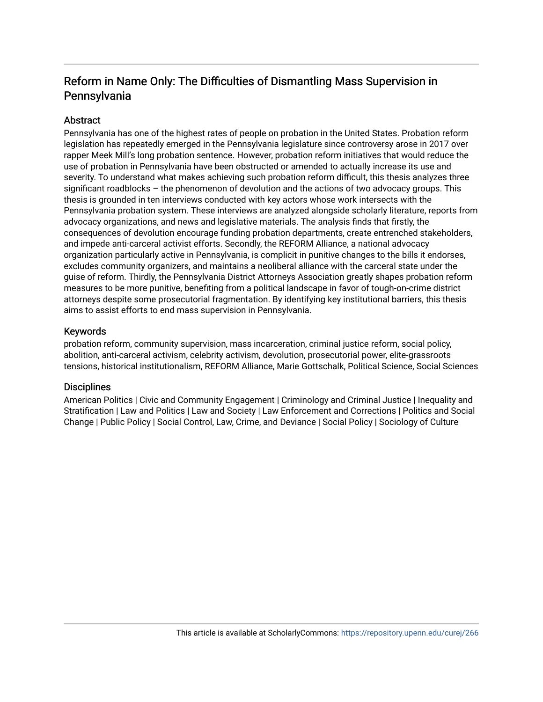# Reform in Name Only: The Difficulties of Dismantling Mass Supervision in Pennsylvania

# **Abstract**

Pennsylvania has one of the highest rates of people on probation in the United States. Probation reform legislation has repeatedly emerged in the Pennsylvania legislature since controversy arose in 2017 over rapper Meek Mill's long probation sentence. However, probation reform initiatives that would reduce the use of probation in Pennsylvania have been obstructed or amended to actually increase its use and severity. To understand what makes achieving such probation reform difficult, this thesis analyzes three significant roadblocks – the phenomenon of devolution and the actions of two advocacy groups. This thesis is grounded in ten interviews conducted with key actors whose work intersects with the Pennsylvania probation system. These interviews are analyzed alongside scholarly literature, reports from advocacy organizations, and news and legislative materials. The analysis finds that firstly, the consequences of devolution encourage funding probation departments, create entrenched stakeholders, and impede anti-carceral activist efforts. Secondly, the REFORM Alliance, a national advocacy organization particularly active in Pennsylvania, is complicit in punitive changes to the bills it endorses, excludes community organizers, and maintains a neoliberal alliance with the carceral state under the guise of reform. Thirdly, the Pennsylvania District Attorneys Association greatly shapes probation reform measures to be more punitive, benefiting from a political landscape in favor of tough-on-crime district attorneys despite some prosecutorial fragmentation. By identifying key institutional barriers, this thesis aims to assist efforts to end mass supervision in Pennsylvania.

# Keywords

probation reform, community supervision, mass incarceration, criminal justice reform, social policy, abolition, anti-carceral activism, celebrity activism, devolution, prosecutorial power, elite-grassroots tensions, historical institutionalism, REFORM Alliance, Marie Gottschalk, Political Science, Social Sciences

### **Disciplines**

American Politics | Civic and Community Engagement | Criminology and Criminal Justice | Inequality and Stratification | Law and Politics | Law and Society | Law Enforcement and Corrections | Politics and Social Change | Public Policy | Social Control, Law, Crime, and Deviance | Social Policy | Sociology of Culture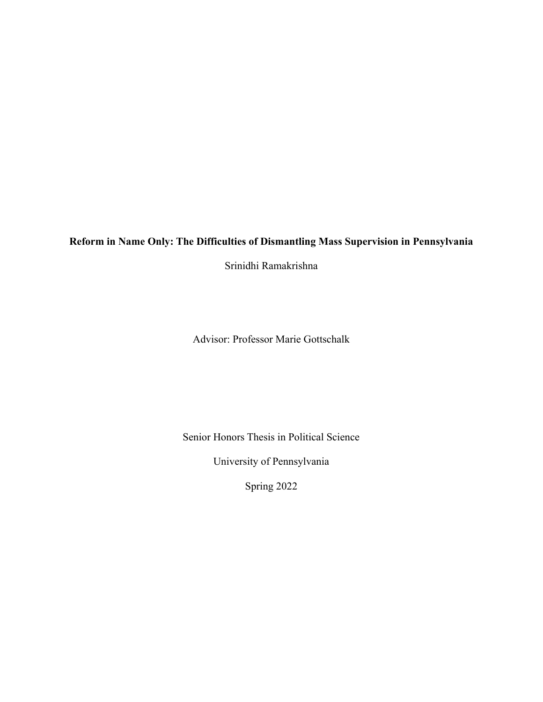# **Reform in Name Only: The Difficulties of Dismantling Mass Supervision in Pennsylvania**

Srinidhi Ramakrishna

Advisor: Professor Marie Gottschalk

Senior Honors Thesis in Political Science

University of Pennsylvania

Spring 2022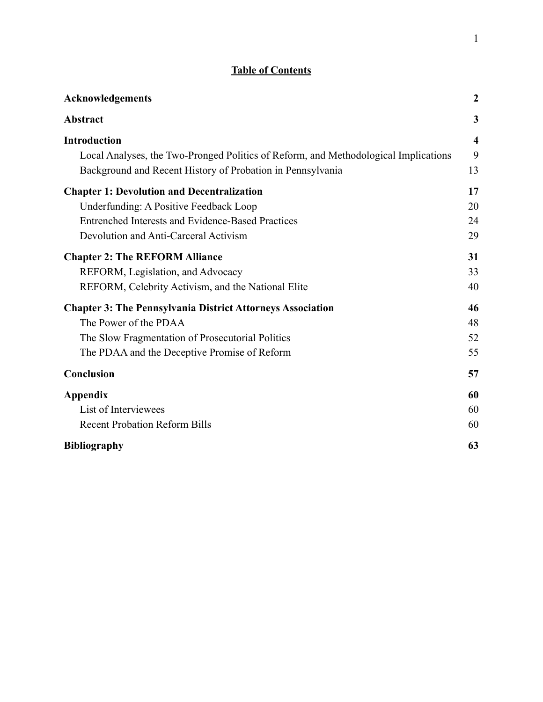# **Table of Contents**

| Acknowledgements                                                                    | $\boldsymbol{2}$ |
|-------------------------------------------------------------------------------------|------------------|
| <b>Abstract</b>                                                                     | 3                |
| <b>Introduction</b>                                                                 | $\boldsymbol{4}$ |
| Local Analyses, the Two-Pronged Politics of Reform, and Methodological Implications | 9                |
| Background and Recent History of Probation in Pennsylvania                          | 13               |
| <b>Chapter 1: Devolution and Decentralization</b>                                   | 17               |
| Underfunding: A Positive Feedback Loop                                              | 20               |
| Entrenched Interests and Evidence-Based Practices                                   | 24               |
| Devolution and Anti-Carceral Activism                                               | 29               |
| <b>Chapter 2: The REFORM Alliance</b>                                               | 31               |
| REFORM, Legislation, and Advocacy                                                   | 33               |
| REFORM, Celebrity Activism, and the National Elite                                  | 40               |
| <b>Chapter 3: The Pennsylvania District Attorneys Association</b>                   | 46               |
| The Power of the PDAA                                                               | 48               |
| The Slow Fragmentation of Prosecutorial Politics                                    | 52               |
| The PDAA and the Deceptive Promise of Reform                                        | 55               |
| Conclusion                                                                          | 57               |
| <b>Appendix</b>                                                                     | 60               |
| List of Interviewees                                                                | 60               |
| <b>Recent Probation Reform Bills</b>                                                | 60               |
| <b>Bibliography</b>                                                                 | 63               |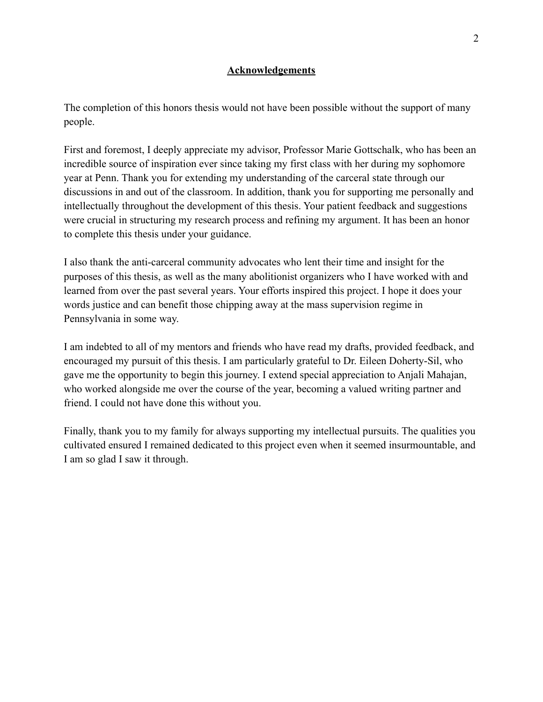# **Acknowledgements**

<span id="page-4-0"></span>The completion of this honors thesis would not have been possible without the support of many people.

First and foremost, I deeply appreciate my advisor, Professor Marie Gottschalk, who has been an incredible source of inspiration ever since taking my first class with her during my sophomore year at Penn. Thank you for extending my understanding of the carceral state through our discussions in and out of the classroom. In addition, thank you for supporting me personally and intellectually throughout the development of this thesis. Your patient feedback and suggestions were crucial in structuring my research process and refining my argument. It has been an honor to complete this thesis under your guidance.

I also thank the anti-carceral community advocates who lent their time and insight for the purposes of this thesis, as well as the many abolitionist organizers who I have worked with and learned from over the past several years. Your efforts inspired this project. I hope it does your words justice and can benefit those chipping away at the mass supervision regime in Pennsylvania in some way.

I am indebted to all of my mentors and friends who have read my drafts, provided feedback, and encouraged my pursuit of this thesis. I am particularly grateful to Dr. Eileen Doherty-Sil, who gave me the opportunity to begin this journey. I extend special appreciation to Anjali Mahajan, who worked alongside me over the course of the year, becoming a valued writing partner and friend. I could not have done this without you.

Finally, thank you to my family for always supporting my intellectual pursuits. The qualities you cultivated ensured I remained dedicated to this project even when it seemed insurmountable, and I am so glad I saw it through.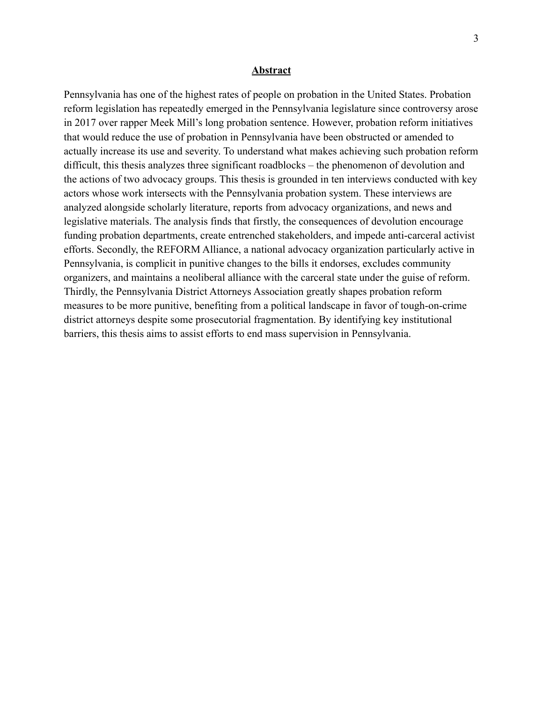#### **Abstract**

<span id="page-5-0"></span>Pennsylvania has one of the highest rates of people on probation in the United States. Probation reform legislation has repeatedly emerged in the Pennsylvania legislature since controversy arose in 2017 over rapper Meek Mill's long probation sentence. However, probation reform initiatives that would reduce the use of probation in Pennsylvania have been obstructed or amended to actually increase its use and severity. To understand what makes achieving such probation reform difficult, this thesis analyzes three significant roadblocks – the phenomenon of devolution and the actions of two advocacy groups. This thesis is grounded in ten interviews conducted with key actors whose work intersects with the Pennsylvania probation system. These interviews are analyzed alongside scholarly literature, reports from advocacy organizations, and news and legislative materials. The analysis finds that firstly, the consequences of devolution encourage funding probation departments, create entrenched stakeholders, and impede anti-carceral activist efforts. Secondly, the REFORM Alliance, a national advocacy organization particularly active in Pennsylvania, is complicit in punitive changes to the bills it endorses, excludes community organizers, and maintains a neoliberal alliance with the carceral state under the guise of reform. Thirdly, the Pennsylvania District Attorneys Association greatly shapes probation reform measures to be more punitive, benefiting from a political landscape in favor of tough-on-crime district attorneys despite some prosecutorial fragmentation. By identifying key institutional barriers, this thesis aims to assist efforts to end mass supervision in Pennsylvania.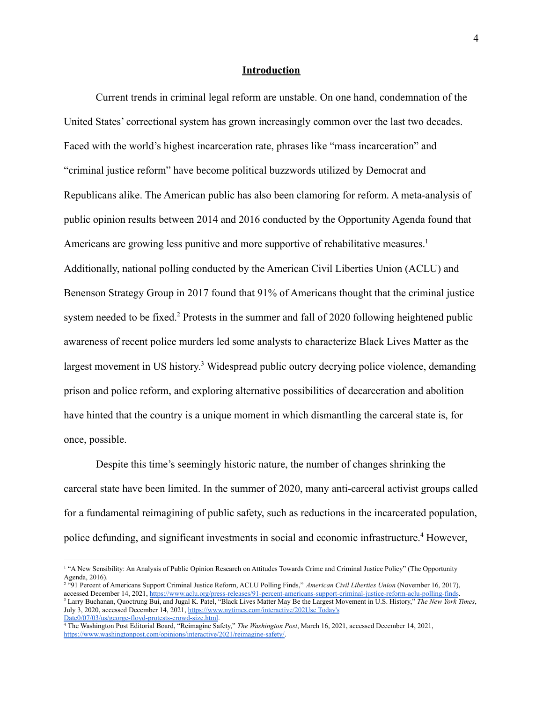#### **Introduction**

<span id="page-6-0"></span>Current trends in criminal legal reform are unstable. On one hand, condemnation of the United States' correctional system has grown increasingly common over the last two decades. Faced with the world's highest incarceration rate, phrases like "mass incarceration" and "criminal justice reform" have become political buzzwords utilized by Democrat and Republicans alike. The American public has also been clamoring for reform. A meta-analysis of public opinion results between 2014 and 2016 conducted by the Opportunity Agenda found that Americans are growing less punitive and more supportive of rehabilitative measures.<sup>1</sup> Additionally, national polling conducted by the American Civil Liberties Union (ACLU) and Benenson Strategy Group in 2017 found that 91% of Americans thought that the criminal justice system needed to be fixed.<sup>2</sup> Protests in the summer and fall of 2020 following heightened public awareness of recent police murders led some analysts to characterize Black Lives Matter as the largest movement in US history.<sup>3</sup> Widespread public outcry decrying police violence, demanding prison and police reform, and exploring alternative possibilities of decarceration and abolition have hinted that the country is a unique moment in which dismantling the carceral state is, for once, possible.

Despite this time's seemingly historic nature, the number of changes shrinking the carceral state have been limited. In the summer of 2020, many anti-carceral activist groups called for a fundamental reimagining of public safety, such as reductions in the incarcerated population, police defunding, and significant investments in social and economic infrastructure.<sup>4</sup> However,

<sup>&</sup>lt;sup>1</sup> "A New Sensibility: An Analysis of Public Opinion Research on Attitudes Towards Crime and Criminal Justice Policy" (The Opportunity Agenda, 2016).

<sup>3</sup> Larry Buchanan, Quoctrung Bui, and Jugal K. Patel, "Black Lives Matter May Be the Largest Movement in U.S. History," *The New York Times*, July 3, 2020, accessed December 14, 2021, [https://www.nytimes.com/interactive/202](https://www.nytimes.com/interactive/2020/07/03/us/george-floyd-protests-crowd-size.html)Use [Today's](https://www.citationmachine.net/chicago/cite-a-editorial/custom#) <sup>2</sup> "91 Percent of Americans Support Criminal Justice Reform, ACLU Polling Finds," *American Civil Liberties Union* (November 16, 2017), accessed December 14, 2021, <https://www.aclu.org/press-releases/91-percent-americans-support-criminal-justice-reform-aclu-polling-finds>.

[Date](https://www.citationmachine.net/chicago/cite-a-editorial/custom#)[0/07/03/us/george-floyd-protests-crowd-size.html](https://www.nytimes.com/interactive/2020/07/03/us/george-floyd-protests-crowd-size.html).

<sup>4</sup> The Washington Post Editorial Board, "Reimagine Safety," *The Washington Post*, March 16, 2021, accessed December 14, 2021, [https://www.washingtonpost.com/opinions/interactive/2021/reimagine-safety/.](https://www.washingtonpost.com/opinions/interactive/2021/reimagine-safety/)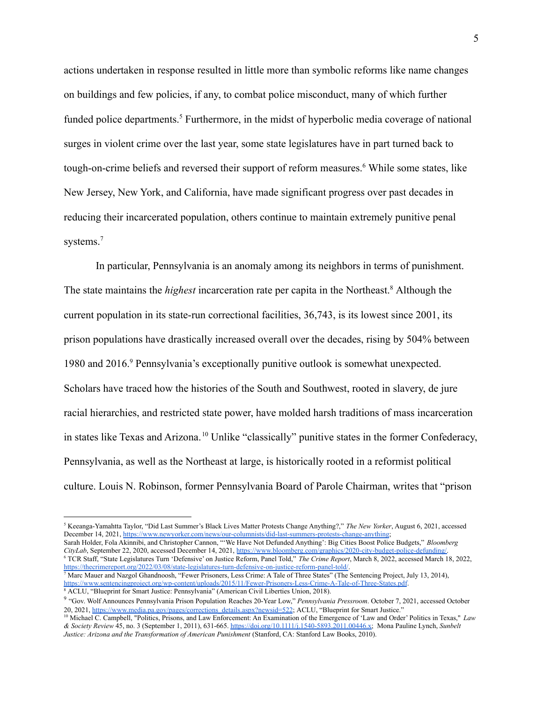actions undertaken in response resulted in little more than symbolic reforms like name changes on buildings and few policies, if any, to combat police misconduct, many of which further funded police departments.<sup>5</sup> Furthermore, in the midst of hyperbolic media coverage of national surges in violent crime over the last year, some state legislatures have in part turned back to tough-on-crime beliefs and reversed their support of reform measures.<sup>6</sup> While some states, like New Jersey, New York, and California, have made significant progress over past decades in reducing their incarcerated population, others continue to maintain extremely punitive penal systems.<sup>7</sup>

In particular, Pennsylvania is an anomaly among its neighbors in terms of punishment. The state maintains the *highest* incarceration rate per capita in the Northeast.<sup>8</sup> Although the current population in its state-run correctional facilities, 36,743, is its lowest since 2001, its prison populations have drastically increased overall over the decades, rising by 504% between 1980 and 2016.<sup>9</sup> Pennsylvania's exceptionally punitive outlook is somewhat unexpected. Scholars have traced how the histories of the South and Southwest, rooted in slavery, de jure racial hierarchies, and restricted state power, have molded harsh traditions of mass incarceration in states like Texas and Arizona. <sup>10</sup> Unlike "classically" punitive states in the former Confederacy, Pennsylvania, as well as the Northeast at large, is historically rooted in a reformist political culture. Louis N. Robinson, former Pennsylvania Board of Parole Chairman, writes that "prison

<sup>6</sup> TCR Staff, "State Legislatures Turn 'Defensive' on Justice Reform, Panel Told," *The Crime Report*, March 8, 2022, accessed March 18, 2022, [https://thecrimereport.org/2022/03/08/state-legislatures-turn-defensive-on-justice-reform-panel-told/.](https://thecrimereport.org/2022/03/08/state-legislatures-turn-defensive-on-justice-reform-panel-told/) Sarah Holder, Fola Akinnibi, and Christopher Cannon, "'We Have Not Defunded Anything': Big Cities Boost Police Budgets," *Bloomberg CityLab*, September 22, 2020, accessed December 14, 2021, [https://www.bloomberg.com/graphics/2020-city-budget-police-defunding/.](https://www.bloomberg.com/graphics/2020-city-budget-police-defunding/)

 $\overline{7}$  Marc Mauer and Nazgol Ghandnoosh, "Fewer Prisoners, Less Crime: A Tale of Three States" (The Sentencing Project, July 13, 2014), <https://www.sentencingproject.org/wp-content/uploads/2015/11/Fewer-Prisoners-Less-Crime-A-Tale-of-Three-States.pdf>.

<sup>5</sup> Keeanga-Yamahtta Taylor, "Did Last Summer's Black Lives Matter Protests Change Anything?," *The New Yorker*, August 6, 2021, accessed December 14, 2021, <https://www.newyorker.com/news/our-columnists/did-last-summers-protests-change-anything>;

<sup>8</sup> ACLU, "Blueprint for Smart Justice: Pennsylvania" (American Civil Liberties Union, 2018).

<sup>9</sup> "Gov. Wolf Announces Pennsylvania Prison Population Reaches 20-Year Low," *Pennsylvania Pressroom*. October 7, 2021, accessed October 20, 2021, [https://www.media.pa.gov/pages/corrections\\_details.aspx?newsid=522](https://www.media.pa.gov/pages/corrections_details.aspx?newsid=522); ACLU, "Blueprint for Smart Justice."

<sup>10</sup> Michael C. Campbell, "Politics, Prisons, and Law Enforcement: An Examination of the Emergence of 'Law and Order' Politics in Texas," *Law & Society Review* 45, no. 3 (September 1, 2011), 631-665. <https://doi.org/10.1111/j.1540-5893.2011.00446.x>; Mona Pauline Lynch, *Sunbelt Justice: Arizona and the Transformation of American Punishment* (Stanford, CA: Stanford Law Books, 2010).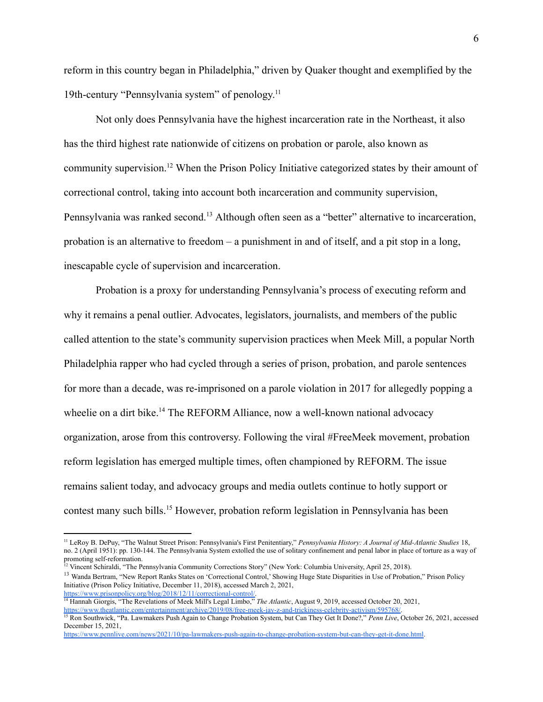reform in this country began in Philadelphia," driven by Quaker thought and exemplified by the 19th-century "Pennsylvania system" of penology.<sup>11</sup>

Not only does Pennsylvania have the highest incarceration rate in the Northeast, it also has the third highest rate nationwide of citizens on probation or parole, also known as community supervision.<sup>12</sup> When the Prison Policy Initiative categorized states by their amount of correctional control, taking into account both incarceration and community supervision, Pennsylvania was ranked second.<sup>13</sup> Although often seen as a "better" alternative to incarceration, probation is an alternative to freedom – a punishment in and of itself, and a pit stop in a long, inescapable cycle of supervision and incarceration.

Probation is a proxy for understanding Pennsylvania's process of executing reform and why it remains a penal outlier. Advocates, legislators, journalists, and members of the public called attention to the state's community supervision practices when Meek Mill, a popular North Philadelphia rapper who had cycled through a series of prison, probation, and parole sentences for more than a decade, was re-imprisoned on a parole violation in 2017 for allegedly popping a wheelie on a dirt bike.<sup>14</sup> The REFORM Alliance, now a well-known national advocacy organization, arose from this controversy. Following the viral #FreeMeek movement, probation reform legislation has emerged multiple times, often championed by REFORM. The issue remains salient today, and advocacy groups and media outlets continue to hotly support or contest many such bills.<sup>15</sup> However, probation reform legislation in Pennsylvania has been

<sup>12</sup> Vincent Schiraldi, "The Pennsylvania Community Corrections Story" (New York: Columbia University, April 25, 2018).

<sup>11</sup> LeRoy B. DePuy, "The Walnut Street Prison: Pennsylvania's First Penitentiary," *Pennsylvania History: A Journal of Mid-Atlantic Studies* 18, no. 2 (April 1951): pp. 130-144. The Pennsylvania System extolled the use of solitary confinement and penal labor in place of torture as a way of promoting self-reformation.

<sup>&</sup>lt;sup>13</sup> Wanda Bertram, "New Report Ranks States on 'Correctional Control,' Showing Huge State Disparities in Use of Probation," Prison Policy Initiative (Prison Policy Initiative, December 11, 2018), accessed March 2, 2021, [https://www.prisonpolicy.org/blog/2018/12/11/correctional-control/.](https://www.prisonpolicy.org/blog/2018/12/11/correctional-control/)

<sup>14</sup> Hannah Giorgis, "The Revelations of Meek Mill's Legal Limbo," *The Atlantic*, August 9, 2019, accessed October 20, 2021, [https://www.theatlantic.com/entertainment/archive/2019/08/free-meek-jay-z-and-trickiness-celebrity-activism/595768/.](https://www.theatlantic.com/entertainment/archive/2019/08/free-meek-jay-z-and-trickiness-celebrity-activism/595768/)

<sup>&</sup>lt;sup>15</sup> Ron Southwick, "Pa. Lawmakers Push Again to Change Probation System, but Can They Get It Done?," Penn Live, October 26, 2021, accessed December 15, 2021,

[https://www.pennlive.com/news/2021/10/pa-lawmakers-push-again-to-change-probation-system-but-can-they-get-it-done.html.](https://www.pennlive.com/news/2021/10/pa-lawmakers-push-again-to-change-probation-system-but-can-they-get-it-done.html)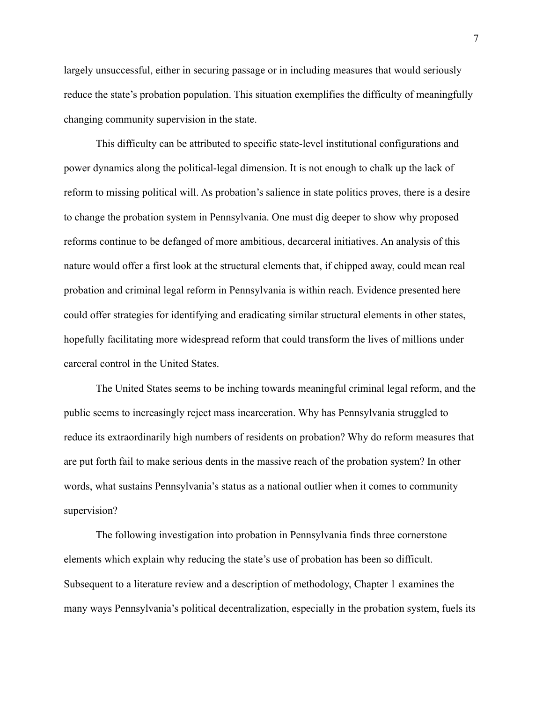largely unsuccessful, either in securing passage or in including measures that would seriously reduce the state's probation population. This situation exemplifies the difficulty of meaningfully changing community supervision in the state.

This difficulty can be attributed to specific state-level institutional configurations and power dynamics along the political-legal dimension. It is not enough to chalk up the lack of reform to missing political will. As probation's salience in state politics proves, there is a desire to change the probation system in Pennsylvania. One must dig deeper to show why proposed reforms continue to be defanged of more ambitious, decarceral initiatives. An analysis of this nature would offer a first look at the structural elements that, if chipped away, could mean real probation and criminal legal reform in Pennsylvania is within reach. Evidence presented here could offer strategies for identifying and eradicating similar structural elements in other states, hopefully facilitating more widespread reform that could transform the lives of millions under carceral control in the United States.

The United States seems to be inching towards meaningful criminal legal reform, and the public seems to increasingly reject mass incarceration. Why has Pennsylvania struggled to reduce its extraordinarily high numbers of residents on probation? Why do reform measures that are put forth fail to make serious dents in the massive reach of the probation system? In other words, what sustains Pennsylvania's status as a national outlier when it comes to community supervision?

The following investigation into probation in Pennsylvania finds three cornerstone elements which explain why reducing the state's use of probation has been so difficult. Subsequent to a literature review and a description of methodology, Chapter 1 examines the many ways Pennsylvania's political decentralization, especially in the probation system, fuels its

7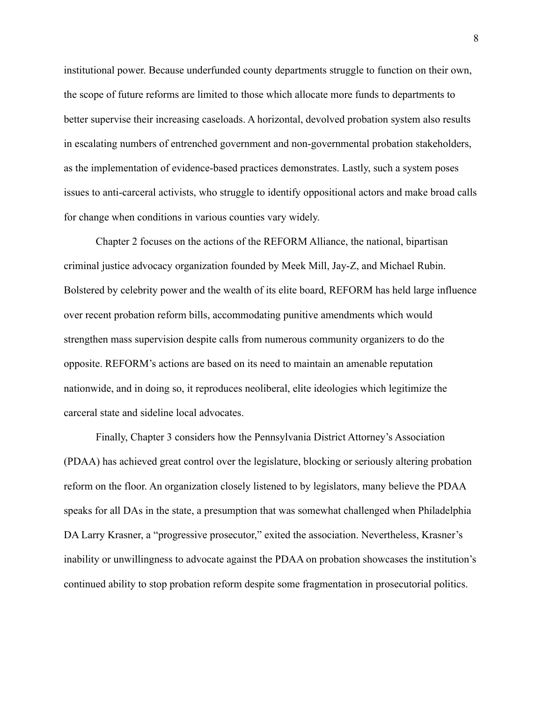institutional power. Because underfunded county departments struggle to function on their own, the scope of future reforms are limited to those which allocate more funds to departments to better supervise their increasing caseloads. A horizontal, devolved probation system also results in escalating numbers of entrenched government and non-governmental probation stakeholders, as the implementation of evidence-based practices demonstrates. Lastly, such a system poses issues to anti-carceral activists, who struggle to identify oppositional actors and make broad calls for change when conditions in various counties vary widely.

Chapter 2 focuses on the actions of the REFORM Alliance, the national, bipartisan criminal justice advocacy organization founded by Meek Mill, Jay-Z, and Michael Rubin. Bolstered by celebrity power and the wealth of its elite board, REFORM has held large influence over recent probation reform bills, accommodating punitive amendments which would strengthen mass supervision despite calls from numerous community organizers to do the opposite. REFORM's actions are based on its need to maintain an amenable reputation nationwide, and in doing so, it reproduces neoliberal, elite ideologies which legitimize the carceral state and sideline local advocates.

Finally, Chapter 3 considers how the Pennsylvania District Attorney's Association (PDAA) has achieved great control over the legislature, blocking or seriously altering probation reform on the floor. An organization closely listened to by legislators, many believe the PDAA speaks for all DAs in the state, a presumption that was somewhat challenged when Philadelphia DA Larry Krasner, a "progressive prosecutor," exited the association. Nevertheless, Krasner's inability or unwillingness to advocate against the PDAA on probation showcases the institution's continued ability to stop probation reform despite some fragmentation in prosecutorial politics.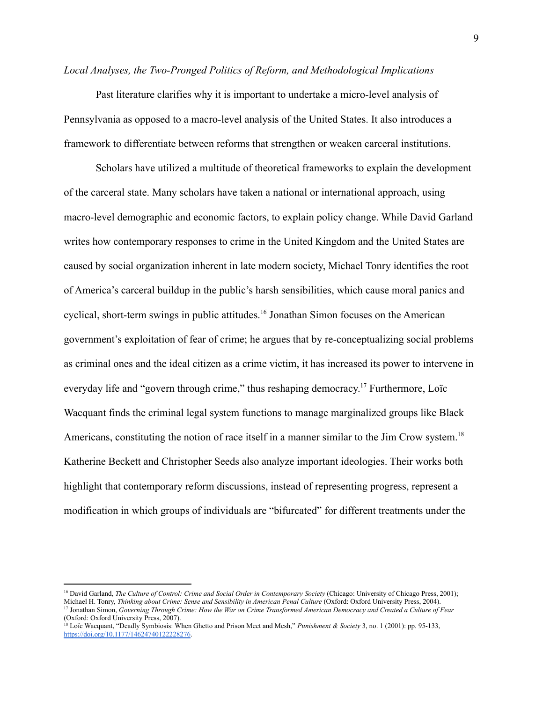#### <span id="page-11-0"></span>*Local Analyses, the Two-Pronged Politics of Reform, and Methodological Implications*

Past literature clarifies why it is important to undertake a micro-level analysis of Pennsylvania as opposed to a macro-level analysis of the United States. It also introduces a framework to differentiate between reforms that strengthen or weaken carceral institutions.

Scholars have utilized a multitude of theoretical frameworks to explain the development of the carceral state. Many scholars have taken a national or international approach, using macro-level demographic and economic factors, to explain policy change. While David Garland writes how contemporary responses to crime in the United Kingdom and the United States are caused by social organization inherent in late modern society, Michael Tonry identifies the root of America's carceral buildup in the public's harsh sensibilities, which cause moral panics and cyclical, short-term swings in public attitudes.<sup>16</sup> Jonathan Simon focuses on the American government's exploitation of fear of crime; he argues that by re-conceptualizing social problems as criminal ones and the ideal citizen as a crime victim, it has increased its power to intervene in everyday life and "govern through crime," thus reshaping democracy.<sup>17</sup> Furthermore, Loïc Wacquant finds the criminal legal system functions to manage marginalized groups like Black Americans, constituting the notion of race itself in a manner similar to the Jim Crow system.<sup>18</sup> Katherine Beckett and Christopher Seeds also analyze important ideologies. Their works both highlight that contemporary reform discussions, instead of representing progress, represent a modification in which groups of individuals are "bifurcated" for different treatments under the

<sup>&</sup>lt;sup>17</sup> Jonathan Simon, Governing Through Crime: How the War on Crime Transformed American Democracy and Created a Culture of Fear (Oxford: Oxford University Press, 2007). <sup>16</sup> David Garland, *The Culture of Control: Crime and Social Order in Contemporary Society* (Chicago: University of Chicago Press, 2001); Michael H. Tonry, *Thinking about Crime: Sense and Sensibility in American Penal Culture* (Oxford: Oxford University Press, 2004).

<sup>18</sup> Loïc Wacquant, "Deadly Symbiosis: When Ghetto and Prison Meet and Mesh," *Punishment & Society* 3, no. 1 (2001): pp. 95-133, [https://doi.org/10.1177/14624740122228276.](https://doi.org/10.1177/14624740122228276)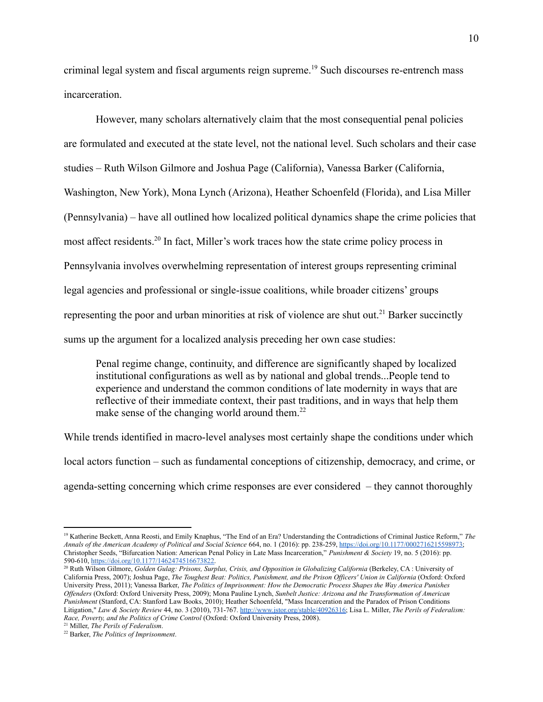criminal legal system and fiscal arguments reign supreme.<sup>19</sup> Such discourses re-entrench mass incarceration.

However, many scholars alternatively claim that the most consequential penal policies are formulated and executed at the state level, not the national level. Such scholars and their case studies – Ruth Wilson Gilmore and Joshua Page (California), Vanessa Barker (California, Washington, New York), Mona Lynch (Arizona), Heather Schoenfeld (Florida), and Lisa Miller (Pennsylvania) – have all outlined how localized political dynamics shape the crime policies that most affect residents.<sup>20</sup> In fact, Miller's work traces how the state crime policy process in Pennsylvania involves overwhelming representation of interest groups representing criminal legal agencies and professional or single-issue coalitions, while broader citizens' groups representing the poor and urban minorities at risk of violence are shut out.<sup>21</sup> Barker succinctly sums up the argument for a localized analysis preceding her own case studies:

Penal regime change, continuity, and difference are significantly shaped by localized institutional configurations as well as by national and global trends...People tend to experience and understand the common conditions of late modernity in ways that are reflective of their immediate context, their past traditions, and in ways that help them make sense of the changing world around them.<sup>22</sup>

While trends identified in macro-level analyses most certainly shape the conditions under which local actors function – such as fundamental conceptions of citizenship, democracy, and crime, or agenda-setting concerning which crime responses are ever considered – they cannot thoroughly

<sup>21</sup> Miller, *The Perils of Federalism*.

<sup>19</sup> Katherine Beckett, Anna Reosti, and Emily Knaphus, "The End of an Era? Understanding the Contradictions of Criminal Justice Reform," *The Annals of the American Academy of Political and Social Science* 664, no. 1 (2016): pp. 238-259, [https://doi.org/10.1177/0002716215598973;](https://doi.org/10.1177/0002716215598973) Christopher Seeds, "Bifurcation Nation: American Penal Policy in Late Mass Incarceration," *Punishment & Society* 19, no. 5 (2016): pp. 590-610, [https://doi.org/10.1177/1462474516673822.](https://doi.org/10.1177/1462474516673822)

<sup>20</sup> Ruth Wilson Gilmore, *Golden Gulag: Prisons, Surplus, Crisis, and Opposition in Globalizing California* (Berkeley, CA : University of California Press, 2007); Joshua Page, The Toughest Beat: Politics, Punishment, and the Prison Officers' Union in California (Oxford: Oxford University Press, 2011); Vanessa Barker, *The Politics of Imprisonment: How the Democratic Process Shapes the Way America Punishes Of enders* (Oxford: Oxford University Press, 2009); Mona Pauline Lynch, *Sunbelt Justice: Arizona and the Transformation of American Punishment* (Stanford, CA: Stanford Law Books, 2010); Heather Schoenfeld, "Mass Incarceration and the Paradox of Prison Conditions Litigation," *Law & Society Review* 44, no. 3 (2010), 731-767. <http://www.jstor.org/stable/40926316>; Lisa L. Miller, *The Perils of Federalism: Race, Poverty, and the Politics of Crime Control* (Oxford: Oxford University Press, 2008).

<sup>22</sup> Barker, *The Politics of Imprisonment*.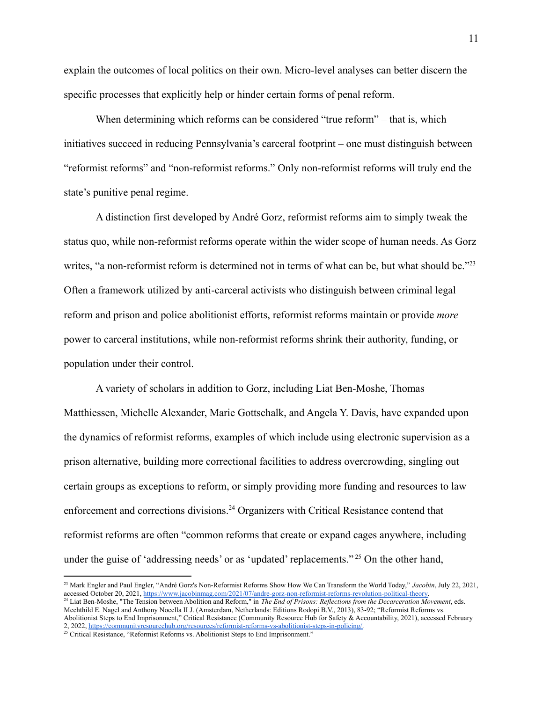explain the outcomes of local politics on their own. Micro-level analyses can better discern the specific processes that explicitly help or hinder certain forms of penal reform.

When determining which reforms can be considered "true reform" – that is, which initiatives succeed in reducing Pennsylvania's carceral footprint – one must distinguish between "reformist reforms" and "non-reformist reforms." Only non-reformist reforms will truly end the state's punitive penal regime.

A distinction first developed by André Gorz, reformist reforms aim to simply tweak the status quo, while non-reformist reforms operate within the wider scope of human needs. As Gorz writes, "a non-reformist reform is determined not in terms of what can be, but what should be."<sup>23</sup> Often a framework utilized by anti-carceral activists who distinguish between criminal legal reform and prison and police abolitionist efforts, reformist reforms maintain or provide *more* power to carceral institutions, while non-reformist reforms shrink their authority, funding, or population under their control.

A variety of scholars in addition to Gorz, including Liat Ben-Moshe, Thomas Matthiessen, Michelle Alexander, Marie Gottschalk, and Angela Y. Davis, have expanded upon the dynamics of reformist reforms, examples of which include using electronic supervision as a prison alternative, building more correctional facilities to address overcrowding, singling out certain groups as exceptions to reform, or simply providing more funding and resources to law enforcement and corrections divisions.<sup>24</sup> Organizers with Critical Resistance contend that reformist reforms are often "common reforms that create or expand cages anywhere, including under the guise of 'addressing needs' or as 'updated' replacements." <sup>25</sup> On the other hand,

<sup>24</sup> Liat Ben-Moshe, "The Tension between Abolition and Reform," in *The End of Prisons: Reflections from the Decarceration Movement*, eds. <sup>23</sup> Mark Engler and Paul Engler, "André Gorz's Non-Reformist Reforms Show How We Can Transform the World Today," *Jacobin*, July 22, 2021, accessed October 20, 2021, [https://www.jacobinmag.com/2021/07/andre-gorz-non-reformist-reforms-revolution-political-theory.](https://www.jacobinmag.com/2021/07/andre-gorz-non-reformist-reforms-revolution-political-theory)

Mechthild E. Nagel and Anthony Nocella II J. (Amsterdam, Netherlands: Editions Rodopi B.V., 2013), 83-92; "Reformist Reforms vs. Abolitionist Steps to End Imprisonment," Critical Resistance (Community Resource Hub for Safety & Accountability, 2021), accessed February 2, 2022, [https://communityresourcehub.org/resources/reformist-reforms-vs-abolitionist-steps-in-policing/.](https://communityresourcehub.org/resources/reformist-reforms-vs-abolitionist-steps-in-policing/)

<sup>&</sup>lt;sup>25</sup> Critical Resistance, "Reformist Reforms vs. Abolitionist Steps to End Imprisonment."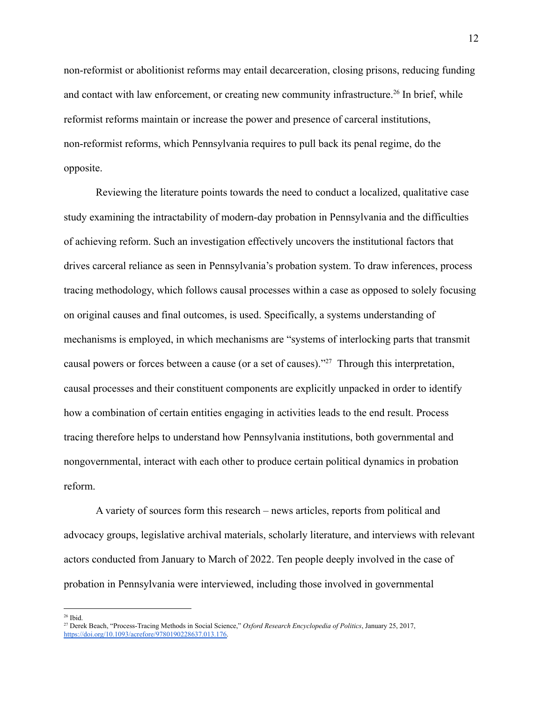non-reformist or abolitionist reforms may entail decarceration, closing prisons, reducing funding and contact with law enforcement, or creating new community infrastructure.<sup>26</sup> In brief, while reformist reforms maintain or increase the power and presence of carceral institutions, non-reformist reforms, which Pennsylvania requires to pull back its penal regime, do the opposite.

Reviewing the literature points towards the need to conduct a localized, qualitative case study examining the intractability of modern-day probation in Pennsylvania and the difficulties of achieving reform. Such an investigation effectively uncovers the institutional factors that drives carceral reliance as seen in Pennsylvania's probation system. To draw inferences, process tracing methodology, which follows causal processes within a case as opposed to solely focusing on original causes and final outcomes, is used. Specifically, a systems understanding of mechanisms is employed, in which mechanisms are "systems of interlocking parts that transmit causal powers or forces between a cause (or a set of causes)."<sup>27</sup> Through this interpretation, causal processes and their constituent components are explicitly unpacked in order to identify how a combination of certain entities engaging in activities leads to the end result. Process tracing therefore helps to understand how Pennsylvania institutions, both governmental and nongovernmental, interact with each other to produce certain political dynamics in probation reform.

A variety of sources form this research – news articles, reports from political and advocacy groups, legislative archival materials, scholarly literature, and interviews with relevant actors conducted from January to March of 2022. Ten people deeply involved in the case of probation in Pennsylvania were interviewed, including those involved in governmental

<sup>26</sup> Ibid.

<sup>27</sup> Derek Beach, "Process-Tracing Methods in Social Science," *Oxford Research Encyclopedia of Politics*, January 25, 2017, [https://doi.org/10.1093/acrefore/9780190228637.013.176.](https://doi.org/10.1093/acrefore/9780190228637.013.176)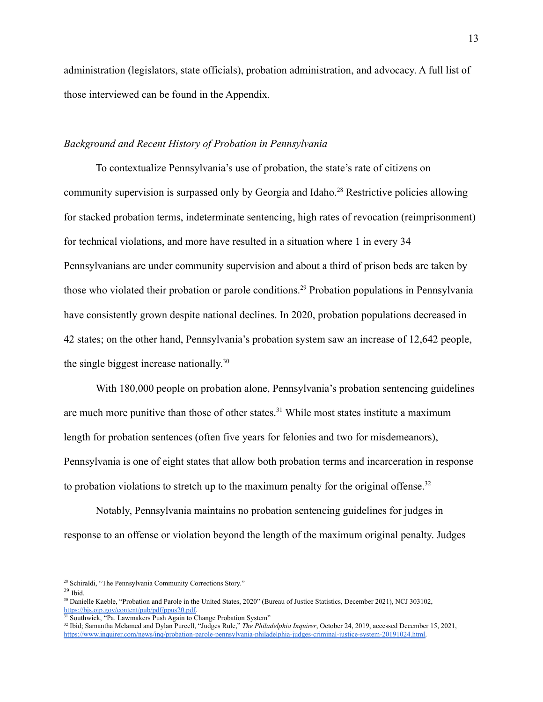administration (legislators, state officials), probation administration, and advocacy. A full list of those interviewed can be found in the Appendix.

#### <span id="page-15-0"></span>*Background and Recent History of Probation in Pennsylvania*

To contextualize Pennsylvania's use of probation, the state's rate of citizens on community supervision is surpassed only by Georgia and Idaho.<sup>28</sup> Restrictive policies allowing for stacked probation terms, indeterminate sentencing, high rates of revocation (reimprisonment) for technical violations, and more have resulted in a situation where 1 in every 34 Pennsylvanians are under community supervision and about a third of prison beds are taken by those who violated their probation or parole conditions.<sup>29</sup> Probation populations in Pennsylvania have consistently grown despite national declines. In 2020, probation populations decreased in 42 states; on the other hand, Pennsylvania's probation system saw an increase of 12,642 people, the single biggest increase nationally.<sup>30</sup>

With 180,000 people on probation alone, Pennsylvania's probation sentencing guidelines are much more punitive than those of other states.<sup>31</sup> While most states institute a maximum length for probation sentences (often five years for felonies and two for misdemeanors), Pennsylvania is one of eight states that allow both probation terms and incarceration in response to probation violations to stretch up to the maximum penalty for the original offense.<sup>32</sup>

Notably, Pennsylvania maintains no probation sentencing guidelines for judges in response to an offense or violation beyond the length of the maximum original penalty. Judges

<sup>28</sup> Schiraldi, "The Pennsylvania Community Corrections Story."

 $29$  Ibid.

<sup>30</sup> Danielle Kaeble, "Probation and Parole in the United States, 2020" (Bureau of Justice Statistics, December 2021), NCJ 303102, [https://bjs.ojp.gov/content/pub/pdf/ppus20.pdf.](https://bjs.ojp.gov/content/pub/pdf/ppus20.pdf)

<sup>&</sup>lt;sup>31</sup> Southwick, "Pa. Lawmakers Push Again to Change Probation System"

<sup>32</sup> Ibid; Samantha Melamed and Dylan Purcell, "Judges Rule," *The Philadelphia Inquirer*, October 24, 2019, accessed December 15, 2021, [https://www.inquirer.com/news/inq/probation-parole-pennsylvania-philadelphia-judges-criminal-justice-system-20191024.html.](https://www.inquirer.com/news/inq/probation-parole-pennsylvania-philadelphia-judges-criminal-justice-system-20191024.html)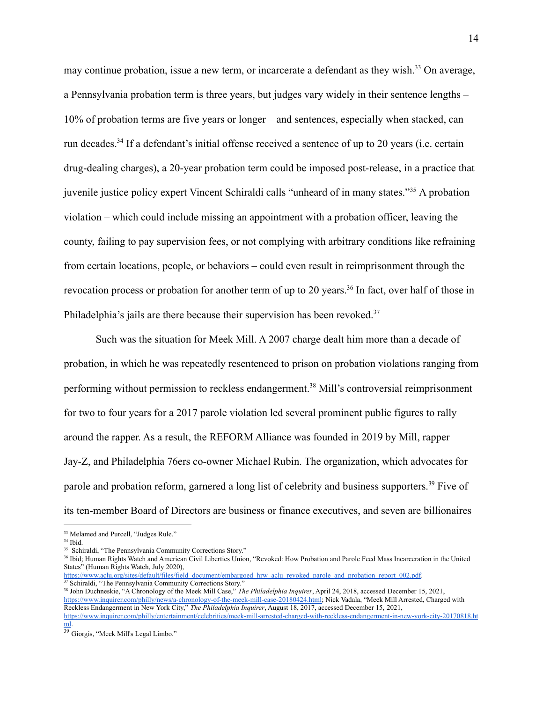may continue probation, issue a new term, or incarcerate a defendant as they wish.<sup>33</sup> On average, a Pennsylvania probation term is three years, but judges vary widely in their sentence lengths – 10% of probation terms are five years or longer – and sentences, especially when stacked, can run decades.<sup>34</sup> If a defendant's initial offense received a sentence of up to 20 years (i.e. certain drug-dealing charges), a 20-year probation term could be imposed post-release, in a practice that juvenile justice policy expert Vincent Schiraldi calls "unheard of in many states."<sup>35</sup> A probation violation – which could include missing an appointment with a probation officer, leaving the county, failing to pay supervision fees, or not complying with arbitrary conditions like refraining from certain locations, people, or behaviors – could even result in reimprisonment through the revocation process or probation for another term of up to 20 years.<sup>36</sup> In fact, over half of those in Philadelphia's jails are there because their supervision has been revoked.<sup>37</sup>

Such was the situation for Meek Mill. A 2007 charge dealt him more than a decade of probation, in which he was repeatedly resentenced to prison on probation violations ranging from performing without permission to reckless endangerment.<sup>38</sup> Mill's controversial reimprisonment for two to four years for a 2017 parole violation led several prominent public figures to rally around the rapper. As a result, the REFORM Alliance was founded in 2019 by Mill, rapper Jay-Z, and Philadelphia 76ers co-owner Michael Rubin. The organization, which advocates for parole and probation reform, garnered a long list of celebrity and business supporters.<sup>39</sup> Five of its ten-member Board of Directors are business or finance executives, and seven are billionaires

 $37$  Schiraldi, "The Pennsylvania Community Corrections Story."

<sup>38</sup> John Duchneskie, "A Chronology of the Meek Mill Case," *The Philadelphia Inquirer*, April 24, 2018, accessed December 15, 2021, [https://www.inquirer.com/philly/news/a-chronology-of-the-meek-mill-case-20180424.html;](https://www.inquirer.com/philly/news/a-chronology-of-the-meek-mill-case-20180424.html) Nick Vadala, "Meek Mill Arrested, Charged with Reckless Endangerment in New York City," *The Philadelphia Inquirer*, August 18, 2017, accessed December 15, 2021, [https://www.inquirer.com/philly/entertainment/celebrities/meek-mill-arrested-charged-with-reckless-endangerment-in-new-york-city-20170818.ht](https://www.inquirer.com/philly/entertainment/celebrities/meek-mill-arrested-charged-with-reckless-endangerment-in-new-york-city-20170818.html) [ml](https://www.inquirer.com/philly/entertainment/celebrities/meek-mill-arrested-charged-with-reckless-endangerment-in-new-york-city-20170818.html).

<sup>&</sup>lt;sup>33</sup> Melamed and Purcell, "Judges Rule."

<sup>34</sup> Ibid.

<sup>&</sup>lt;sup>35</sup> Schiraldi, "The Pennsylvania Community Corrections Story."

<sup>&</sup>lt;sup>36</sup> Ibid; Human Rights Watch and American Civil Liberties Union, "Revoked: How Probation and Parole Feed Mass Incarceration in the United States" (Human Rights Watch, July 2020), [https://www.aclu.org/sites/default/files/field\\_document/embargoed\\_hrw\\_aclu\\_revoked\\_parole\\_and\\_probation\\_report\\_002.pdf.](https://www.aclu.org/sites/default/files/field_document/embargoed_hrw_aclu_revoked_parole_and_probation_report_002.pdf)

<sup>39</sup> Giorgis, "Meek Mill's Legal Limbo."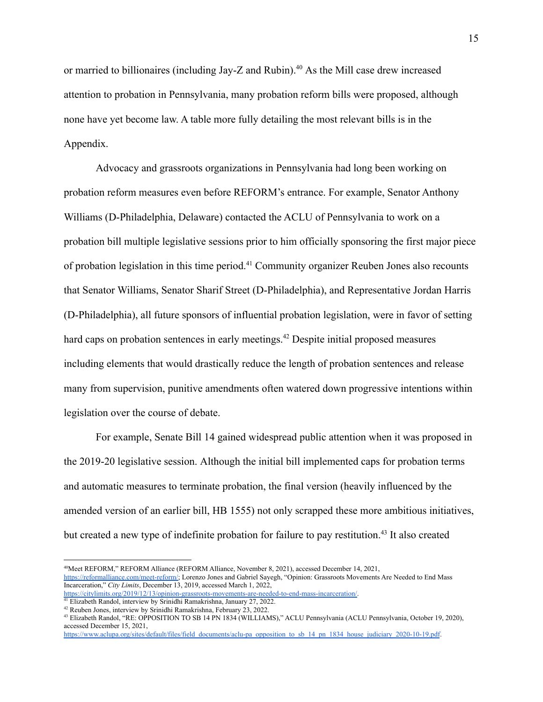or married to billionaires (including Jay-Z and Rubin).<sup>40</sup> As the Mill case drew increased attention to probation in Pennsylvania, many probation reform bills were proposed, although none have yet become law. A table more fully detailing the most relevant bills is in the Appendix.

Advocacy and grassroots organizations in Pennsylvania had long been working on probation reform measures even before REFORM's entrance. For example, Senator Anthony Williams (D-Philadelphia, Delaware) contacted the ACLU of Pennsylvania to work on a probation bill multiple legislative sessions prior to him officially sponsoring the first major piece of probation legislation in this time period.<sup>41</sup> Community organizer Reuben Jones also recounts that Senator Williams, Senator Sharif Street (D-Philadelphia), and Representative Jordan Harris (D-Philadelphia), all future sponsors of influential probation legislation, were in favor of setting hard caps on probation sentences in early meetings.<sup>42</sup> Despite initial proposed measures including elements that would drastically reduce the length of probation sentences and release many from supervision, punitive amendments often watered down progressive intentions within legislation over the course of debate.

For example, Senate Bill 14 gained widespread public attention when it was proposed in the 2019-20 legislative session. Although the initial bill implemented caps for probation terms and automatic measures to terminate probation, the final version (heavily influenced by the amended version of an earlier bill, HB 1555) not only scrapped these more ambitious initiatives, but created a new type of indefinite probation for failure to pay restitution.<sup>43</sup> It also created

<sup>40</sup>Meet REFORM," REFORM Alliance (REFORM Alliance, November 8, 2021), accessed December 14, 2021, [https://reformalliance.com/meet-reform/;](https://reformalliance.com/meet-reform/) Lorenzo Jones and Gabriel Sayegh, "Opinion: Grassroots Movements Are Needed to End Mass Incarceration," *City Limits*, December 13, 2019, accessed March 1, 2022, [https://citylimits.org/2019/12/13/opinion-grassroots-movements-are-needed-to-end-mass-incarceration/.](https://citylimits.org/2019/12/13/opinion-grassroots-movements-are-needed-to-end-mass-incarceration/)

<sup>&</sup>lt;sup>41</sup> Elizabeth Randol, interview by Srinidhi Ramakrishna, January 27, 2022.

<sup>42</sup> Reuben Jones, interview by Srinidhi Ramakrishna, February 23, 2022.

<sup>43</sup> Elizabeth Randol, "RE: OPPOSITION TO SB 14 PN 1834 (WILLIAMS)," ACLU Pennsylvania (ACLU Pennsylvania, October 19, 2020), accessed December 15, 2021,

[https://www.aclupa.org/sites/default/files/field\\_documents/aclu-pa\\_opposition\\_to\\_sb\\_14\\_pn\\_1834\\_house\\_judiciary\\_2020-10-19.pdf](https://www.aclupa.org/sites/default/files/field_documents/aclu-pa_opposition_to_sb_14_pn_1834_house_judiciary_2020-10-19.pdf).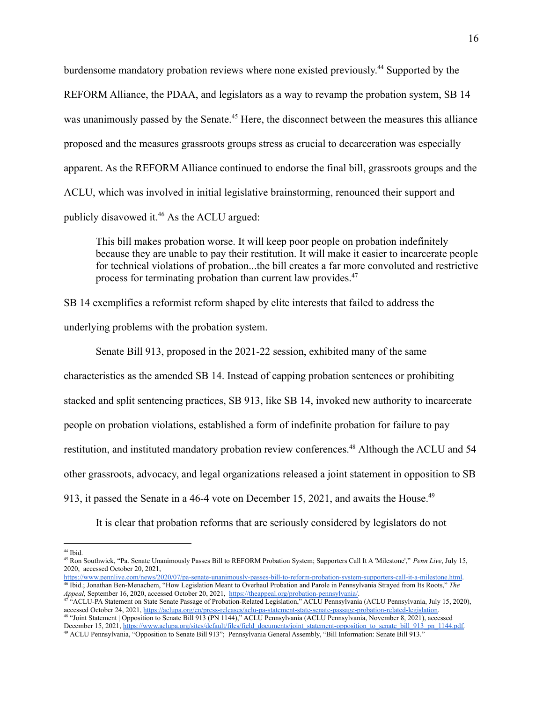burdensome mandatory probation reviews where none existed previously. <sup>44</sup> Supported by the REFORM Alliance, the PDAA, and legislators as a way to revamp the probation system, SB 14 was unanimously passed by the Senate.<sup>45</sup> Here, the disconnect between the measures this alliance proposed and the measures grassroots groups stress as crucial to decarceration was especially apparent. As the REFORM Alliance continued to endorse the final bill, grassroots groups and the ACLU, which was involved in initial legislative brainstorming, renounced their support and publicly disavowed it.<sup>46</sup> As the ACLU argued:

This bill makes probation worse. It will keep poor people on probation indefinitely because they are unable to pay their restitution. It will make it easier to incarcerate people for technical violations of probation...the bill creates a far more convoluted and restrictive process for terminating probation than current law provides.<sup>47</sup>

SB 14 exemplifies a reformist reform shaped by elite interests that failed to address the underlying problems with the probation system.

Senate Bill 913, proposed in the 2021-22 session, exhibited many of the same characteristics as the amended SB 14. Instead of capping probation sentences or prohibiting stacked and split sentencing practices, SB 913, like SB 14, invoked new authority to incarcerate people on probation violations, established a form of indefinite probation for failure to pay restitution, and instituted mandatory probation review conferences.<sup>48</sup> Although the ACLU and 54 other grassroots, advocacy, and legal organizations released a joint statement in opposition to SB 913, it passed the Senate in a 46-4 vote on December 15, 2021, and awaits the House.<sup>49</sup>

It is clear that probation reforms that are seriously considered by legislators do not

<sup>44</sup> Ibid.

<sup>45</sup> Ron Southwick, "Pa. Senate Unanimously Passes Bill to REFORM Probation System; Supporters Call It A 'Milestone'," *Penn Live*, July 15, 2020, accessed October 20, 2021,

<sup>46</sup> Ibid.; Jonathan Ben-Menachem, "How Legislation Meant to Overhaul Probation and Parole in Pennsylvania Strayed from Its Roots," *The Appeal*, September 16, 2020, accessed October 20, 2021, [https://theappeal.org/probation-pennsylvania/.](https://theappeal.org/probation-pennsylvania/) <https://www.pennlive.com/news/2020/07/pa-senate-unanimously-passes-bill-to-reform-probation-system-supporters-call-it-a-milestone.html>.

<sup>48</sup> "Joint Statement | Opposition to Senate Bill 913 (PN 1144)," ACLU Pennsylvania (ACLU Pennsylvania, November 8, 2021), accessed December 15, 2021, [https://www.aclupa.org/sites/default/files/field\\_documents/joint\\_statement-opposition\\_to\\_senate\\_bill\\_913\\_pn\\_1144.pdf.](https://www.aclupa.org/sites/default/files/field_documents/joint_statement-opposition_to_senate_bill_913_pn_1144.pdf) 47 "ACLU-PA Statement on State Senate Passage of Probation-Related Legislation," ACLU Pennsylvania (ACLU Pennsylvania, July 15, 2020), accessed October 24, 2021, [https://aclupa.org/en/press-releases/aclu-pa-statement-state-senate-passage-probation-related-legislation.](https://aclupa.org/en/press-releases/aclu-pa-statement-state-senate-passage-probation-related-legislation)

<sup>49</sup> ACLU Pennsylvania, "Opposition to Senate Bill 913"; Pennsylvania General Assembly, "Bill Information: Senate Bill 913."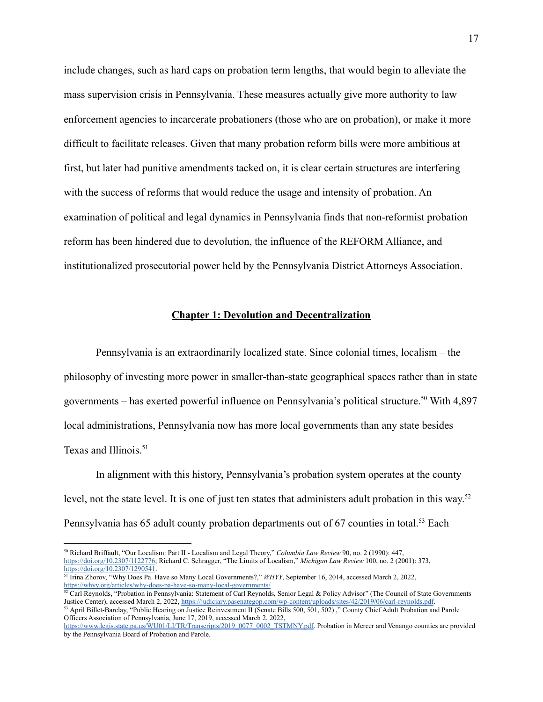include changes, such as hard caps on probation term lengths, that would begin to alleviate the mass supervision crisis in Pennsylvania. These measures actually give more authority to law enforcement agencies to incarcerate probationers (those who are on probation), or make it more difficult to facilitate releases. Given that many probation reform bills were more ambitious at first, but later had punitive amendments tacked on, it is clear certain structures are interfering with the success of reforms that would reduce the usage and intensity of probation. An examination of political and legal dynamics in Pennsylvania finds that non-reformist probation reform has been hindered due to devolution, the influence of the REFORM Alliance, and institutionalized prosecutorial power held by the Pennsylvania District Attorneys Association.

#### **Chapter 1: Devolution and Decentralization**

<span id="page-19-0"></span>Pennsylvania is an extraordinarily localized state. Since colonial times, localism – the philosophy of investing more power in smaller-than-state geographical spaces rather than in state governments – has exerted powerful influence on Pennsylvania's political structure.<sup>50</sup> With  $4,897$ local administrations, Pennsylvania now has more local governments than any state besides Texas and Illinois.<sup>51</sup>

In alignment with this history, Pennsylvania's probation system operates at the county level, not the state level. It is one of just ten states that administers adult probation in this way.<sup>52</sup> Pennsylvania has 65 adult county probation departments out of 67 counties in total.<sup>53</sup> Each

<sup>50</sup> Richard Briffault, "Our Localism: Part II - Localism and Legal Theory," *Columbia Law Review* 90, no. 2 (1990): 447, <https://doi.org/10.2307/1122776>; Richard C. Schragger, "The Limits of Localism," *Michigan Law Review* 100, no. 2 (2001): 373, <https://doi.org/10.2307/1290541>.

<sup>51</sup> Irina Zhorov, "Why Does Pa. Have so Many Local Governments?," *WHYY*, September 16, 2014, accessed March 2, 2022, <https://whyy.org/articles/why-does-pa-have-so-many-local-governments/>

<sup>&</sup>lt;sup>53</sup> April Billet-Barclay, "Public Hearing on Justice Reinvestment II (Senate Bills 500, 501, 502)," County Chief Adult Probation and Parole Officers Association of Pennsylvania, June 17, 2019, accessed March 2, 2022,  $52$  Carl Reynolds, "Probation in Pennsylvania: Statement of Carl Reynolds, Senior Legal & Policy Advisor" (The Council of State Governments Justice Center), accessed March 2, 2022, <https://judiciary.pasenategop.com/wp-content/uploads/sites/42/2019/06/carl-reynolds.pdf>.

[https://www.legis.state.pa.us/WU01/LI/TR/Transcripts/2019\\_0077\\_0002\\_TSTMNY.pdf.](https://www.legis.state.pa.us/WU01/LI/TR/Transcripts/2019_0077_0002_TSTMNY.pdf) Probation in Mercer and Venango counties are provided by the Pennsylvania Board of Probation and Parole.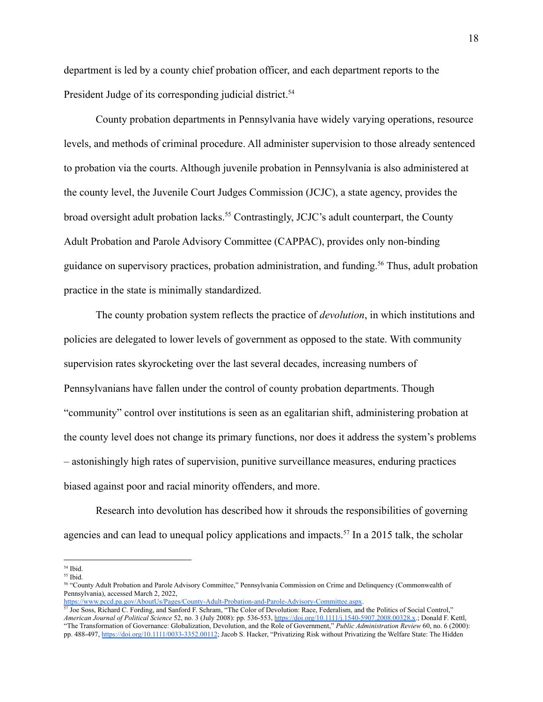department is led by a county chief probation officer, and each department reports to the President Judge of its corresponding judicial district.<sup>54</sup>

County probation departments in Pennsylvania have widely varying operations, resource levels, and methods of criminal procedure. All administer supervision to those already sentenced to probation via the courts. Although juvenile probation in Pennsylvania is also administered at the county level, the Juvenile Court Judges Commission (JCJC), a state agency, provides the broad oversight adult probation lacks.<sup>55</sup> Contrastingly, JCJC's adult counterpart, the County Adult Probation and Parole Advisory Committee (CAPPAC), provides only non-binding guidance on supervisory practices, probation administration, and funding.<sup>56</sup> Thus, adult probation practice in the state is minimally standardized.

The county probation system reflects the practice of *devolution*, in which institutions and policies are delegated to lower levels of government as opposed to the state. With community supervision rates skyrocketing over the last several decades, increasing numbers of Pennsylvanians have fallen under the control of county probation departments. Though "community" control over institutions is seen as an egalitarian shift, administering probation at the county level does not change its primary functions, nor does it address the system's problems – astonishingly high rates of supervision, punitive surveillance measures, enduring practices biased against poor and racial minority offenders, and more.

Research into devolution has described how it shrouds the responsibilities of governing agencies and can lead to unequal policy applications and impacts.<sup>57</sup> In a 2015 talk, the scholar

<sup>54</sup> Ibid.

<sup>55</sup> Ibid.

<sup>56</sup> "County Adult Probation and Parole Advisory Committee," Pennsylvania Commission on Crime and Delinquency (Commonwealth of Pennsylvania), accessed March 2, 2022, <https://www.pccd.pa.gov/AboutUs/Pages/County-Adult-Probation-and-Parole-Advisory-Committee.aspx>.<br>
57 Jee Seeg, Dishar 1.0, D. R. (2007)

<sup>&</sup>lt;sup>7</sup> Joe Soss, Richard C. Fording, and Sanford F. Schram, "The Color of Devolution: Race, Federalism, and the Politics of Social Control," *American Journal of Political Science* 52, no. 3 (July 2008): pp. 536-553, [https://doi.org/10.1111/j.1540-5907.2008.00328.x.](https://doi.org/10.1111/j.1540-5907.2008.00328.x); Donald F. Kettl, "The Transformation of Governance: Globalization, Devolution, and the Role of Government," *Public Administration Review* 60, no. 6 (2000): pp. 488-497, <https://doi.org/10.1111/0033-3352.00112>; Jacob S. Hacker, "Privatizing Risk without Privatizing the Welfare State: The Hidden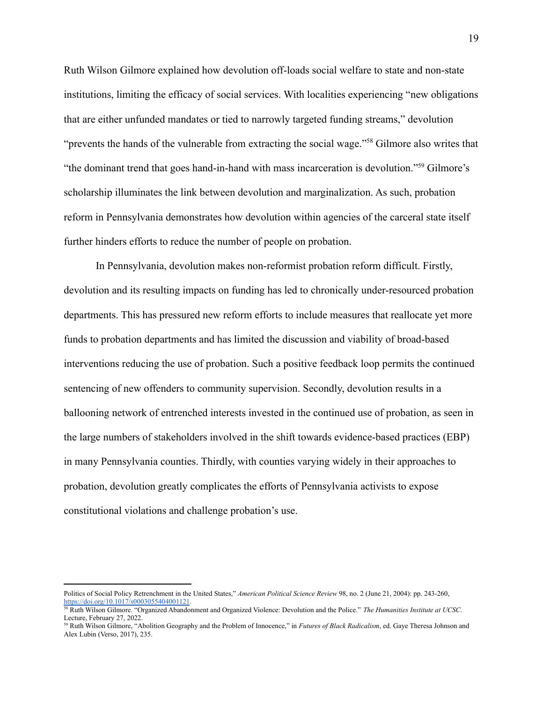Ruth Wilson Gilmore explained how devolution off-loads social welfare to state and non-state institutions, limiting the efficacy of social services. With localities experiencing "new obligations that are either unfunded mandates or tied to narrowly targeted funding streams," devolution "prevents the hands of the vulnerable from extracting the social wage."<sup>58</sup> Gilmore also writes that "the dominant trend that goes hand-in-hand with mass incarceration is devolution."<sup>59</sup> Gilmore's scholarship illuminates the link between devolution and marginalization. As such, probation reform in Pennsylvania demonstrates how devolution within agencies of the carceral state itself further hinders efforts to reduce the number of people on probation.

In Pennsylvania, devolution makes non-reformist probation reform difficult. Firstly, devolution and its resulting impacts on funding has led to chronically under-resourced probation departments. This has pressured new reform efforts to include measures that reallocate yet more funds to probation departments and has limited the discussion and viability of broad-based interventions reducing the use of probation. Such a positive feedback loop permits the continued sentencing of new offenders to community supervision. Secondly, devolution results in a ballooning network of entrenched interests invested in the continued use of probation, as seen in the large numbers of stakeholders involved in the shift towards evidence-based practices (EBP) in many Pennsylvania counties. Thirdly, with counties varying widely in their approaches to probation, devolution greatly complicates the efforts of Pennsylvania activists to expose constitutional violations and challenge probation's use.

Politics of Social Policy Retrenchment in the United States," *American Political Science Review* 98, no. 2 (June 21, 2004): pp. 243-260, <https://doi.org/10.1017/s0003055404001121>.

<sup>58</sup> Ruth Wilson Gilmore. "Organized Abandonment and Organized Violence: Devolution and the Police." *The Humanities Institute at UCSC*. Lecture, February 27, 2022.

<sup>59</sup> Ruth Wilson Gilmore, "Abolition Geography and the Problem of Innocence," in *Futures of Black Radicalism*, ed. Gaye Theresa Johnson and Alex Lubin (Verso, 2017), 235.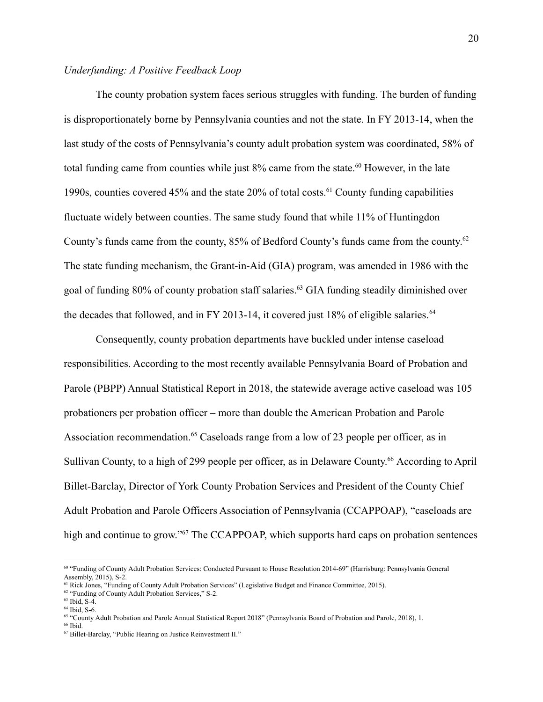#### <span id="page-22-0"></span>*Underfunding: A Positive Feedback Loop*

The county probation system faces serious struggles with funding. The burden of funding is disproportionately borne by Pennsylvania counties and not the state. In FY 2013-14, when the last study of the costs of Pennsylvania's county adult probation system was coordinated, 58% of total funding came from counties while just  $8\%$  came from the state.<sup>60</sup> However, in the late 1990s, counties covered  $45\%$  and the state  $20\%$  of total costs.<sup>61</sup> County funding capabilities fluctuate widely between counties. The same study found that while 11% of Huntingdon County's funds came from the county, 85% of Bedford County's funds came from the county.<sup>62</sup> The state funding mechanism, the Grant-in-Aid (GIA) program, was amended in 1986 with the goal of funding 80% of county probation staff salaries.<sup>63</sup> GIA funding steadily diminished over the decades that followed, and in FY 2013-14, it covered just  $18\%$  of eligible salaries.<sup>64</sup>

Consequently, county probation departments have buckled under intense caseload responsibilities. According to the most recently available Pennsylvania Board of Probation and Parole (PBPP) Annual Statistical Report in 2018, the statewide average active caseload was 105 probationers per probation officer – more than double the American Probation and Parole Association recommendation.<sup>65</sup> Caseloads range from a low of 23 people per officer, as in Sullivan County, to a high of 299 people per officer, as in Delaware County.<sup>66</sup> According to April Billet-Barclay, Director of York County Probation Services and President of the County Chief Adult Probation and Parole Officers Association of Pennsylvania (CCAPPOAP), "caseloads are high and continue to grow."<sup>67</sup> The CCAPPOAP, which supports hard caps on probation sentences

<sup>60</sup> "Funding of County Adult Probation Services: Conducted Pursuant to House Resolution 2014-69" (Harrisburg: Pennsylvania General Assembly, 2015), S-2.

<sup>&</sup>lt;sup>61</sup> Rick Jones, "Funding of County Adult Probation Services" (Legislative Budget and Finance Committee, 2015).

<sup>&</sup>lt;sup>62</sup> "Funding of County Adult Probation Services," S-2.

<sup>63</sup> Ibid, S-4.

<sup>64</sup> Ibid, S-6.

<sup>&</sup>lt;sup>65</sup> "County Adult Probation and Parole Annual Statistical Report 2018" (Pennsylvania Board of Probation and Parole, 2018), 1.

<sup>66</sup> Ibid.

<sup>67</sup> Billet-Barclay, "Public Hearing on Justice Reinvestment II."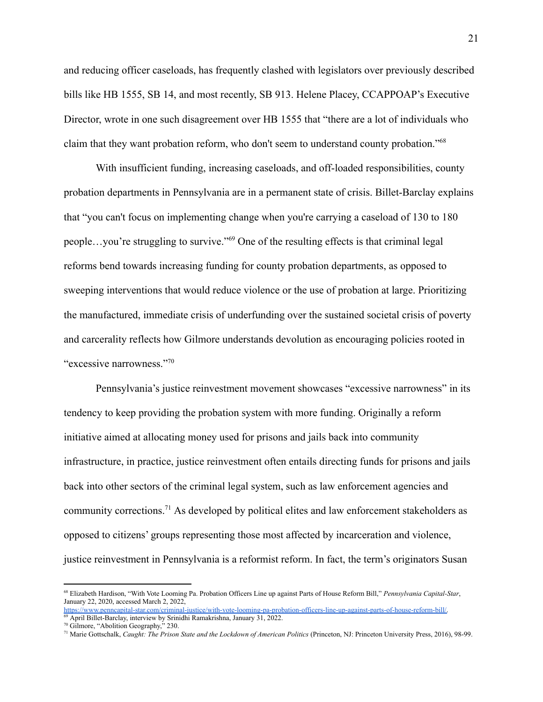and reducing officer caseloads, has frequently clashed with legislators over previously described bills like HB 1555, SB 14, and most recently, SB 913. Helene Placey, CCAPPOAP's Executive Director, wrote in one such disagreement over HB 1555 that "there are a lot of individuals who claim that they want probation reform, who don't seem to understand county probation."<sup>68</sup>

With insufficient funding, increasing caseloads, and off-loaded responsibilities, county probation departments in Pennsylvania are in a permanent state of crisis. Billet-Barclay explains that "you can't focus on implementing change when you're carrying a caseload of 130 to 180 people…you're struggling to survive."<sup>69</sup> One of the resulting effects is that criminal legal reforms bend towards increasing funding for county probation departments, as opposed to sweeping interventions that would reduce violence or the use of probation at large. Prioritizing the manufactured, immediate crisis of underfunding over the sustained societal crisis of poverty and carcerality reflects how Gilmore understands devolution as encouraging policies rooted in "excessive narrowness."70

Pennsylvania's justice reinvestment movement showcases "excessive narrowness" in its tendency to keep providing the probation system with more funding. Originally a reform initiative aimed at allocating money used for prisons and jails back into community infrastructure, in practice, justice reinvestment often entails directing funds for prisons and jails back into other sectors of the criminal legal system, such as law enforcement agencies and community corrections.<sup>71</sup> As developed by political elites and law enforcement stakeholders as opposed to citizens' groups representing those most affected by incarceration and violence, justice reinvestment in Pennsylvania is a reformist reform. In fact, the term's originators Susan

<sup>68</sup> Elizabeth Hardison, "With Vote Looming Pa. Probation Officers Line up against Parts of House Reform Bill," *Pennsylvania Capital-Star*, January 22, 2020, accessed March 2, 2022,

<sup>&</sup>lt;sup>69</sup> April Billet-Barclay, interview by Srinidhi Ramakrishna, January 31, 2022. [https://www.penncapital-star.com/criminal-justice/with-vote-looming-pa-probation-officers-line-up-against-parts-of-house-reform-bill/.](https://www.penncapital-star.com/criminal-justice/with-vote-looming-pa-probation-officers-line-up-against-parts-of-house-reform-bill/)

<sup>70</sup> Gilmore, "Abolition Geography," 230.

<sup>71</sup> Marie Gottschalk, *Caught: The Prison State and the Lockdown of American Politics* (Princeton, NJ: Princeton University Press, 2016), 98-99.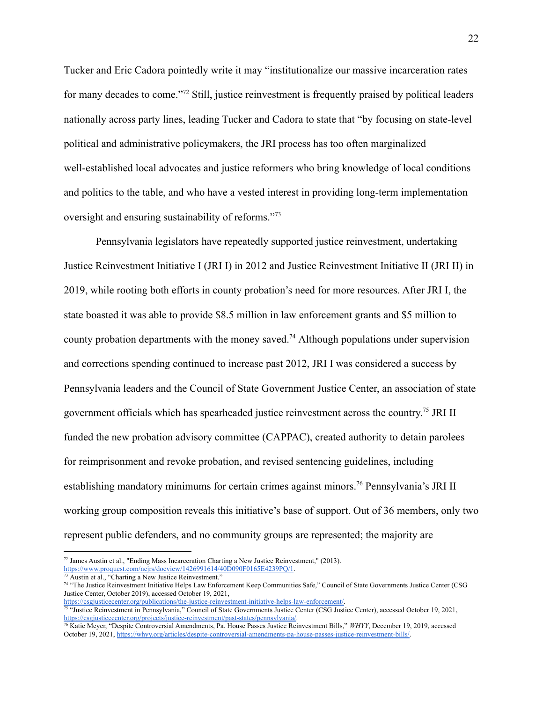Tucker and Eric Cadora pointedly write it may "institutionalize our massive incarceration rates for many decades to come."<sup>72</sup> Still, justice reinvestment is frequently praised by political leaders nationally across party lines, leading Tucker and Cadora to state that "by focusing on state-level political and administrative policymakers, the JRI process has too often marginalized well-established local advocates and justice reformers who bring knowledge of local conditions and politics to the table, and who have a vested interest in providing long-term implementation oversight and ensuring sustainability of reforms."<sup>73</sup>

Pennsylvania legislators have repeatedly supported justice reinvestment, undertaking Justice Reinvestment Initiative I (JRI I) in 2012 and Justice Reinvestment Initiative II (JRI II) in 2019, while rooting both efforts in county probation's need for more resources. After JRI I, the state boasted it was able to provide \$8.5 million in law enforcement grants and \$5 million to county probation departments with the money saved.<sup>74</sup> Although populations under supervision and corrections spending continued to increase past 2012, JRI I was considered a success by Pennsylvania leaders and the Council of State Government Justice Center, an association of state government officials which has spearheaded justice reinvestment across the country. <sup>75</sup> JRI II funded the new probation advisory committee (CAPPAC), created authority to detain parolees for reimprisonment and revoke probation, and revised sentencing guidelines, including establishing mandatory minimums for certain crimes against minors.<sup>76</sup> Pennsylvania's JRI II working group composition reveals this initiative's base of support. Out of 36 members, only two represent public defenders, and no community groups are represented; the majority are

<sup>72</sup> James Austin et al., "Ending Mass Incarceration Charting a New Justice Reinvestment," (2013).

Austin et al., "Charting a New Justice Reinvestment." <https://www.proquest.com/ncjrs/docview/1426991614/40D090F0165E4239PQ/1>.

<sup>&</sup>lt;sup>74</sup> "The Justice Reinvestment Initiative Helps Law Enforcement Keep Communities Safe," Council of State Governments Justice Center (CSG Justice Center, October 2019), accessed October 19, 2021,

[https://csgjusticecenter.org/publications/the-justice-reinvestment-initiative-helps-law-enforcement/.](https://csgjusticecenter.org/publications/the-justice-reinvestment-initiative-helps-law-enforcement/)

<sup>75</sup> "Justice Reinvestment in Pennsylvania," Council of State Governments Justice Center (CSG Justice Center), accessed October 19, 2021, [https://csgjusticecenter.org/projects/justice-reinvestment/past-states/pennsylvania/.](https://csgjusticecenter.org/projects/justice-reinvestment/past-states/pennsylvania/)

<sup>76</sup> Katie Meyer, "Despite Controversial Amendments, Pa. House Passes Justice Reinvestment Bills," *WHYY*, December 19, 2019, accessed October 19, 2021, [https://whyy.org/articles/despite-controversial-amendments-pa-house-passes-justice-reinvestment-bills/.](https://whyy.org/articles/despite-controversial-amendments-pa-house-passes-justice-reinvestment-bills/)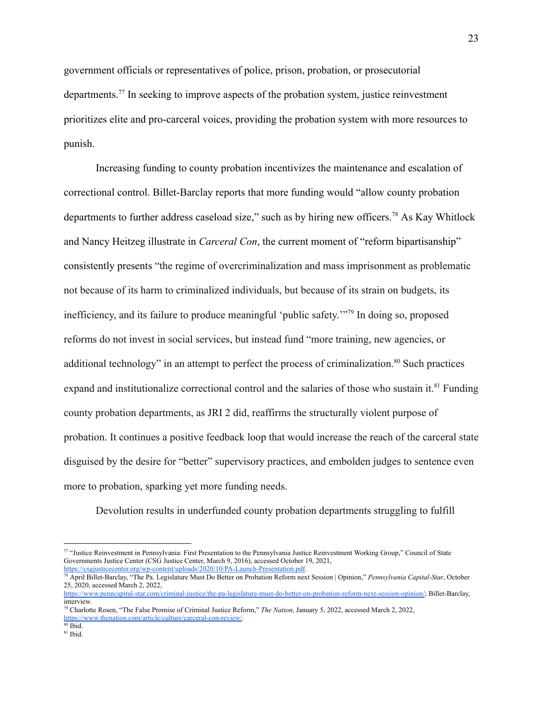government officials or representatives of police, prison, probation, or prosecutorial departments.<sup>77</sup> In seeking to improve aspects of the probation system, justice reinvestment prioritizes elite and pro-carceral voices, providing the probation system with more resources to punish.

Increasing funding to county probation incentivizes the maintenance and escalation of correctional control. Billet-Barclay reports that more funding would "allow county probation departments to further address caseload size," such as by hiring new officers.<sup>78</sup> As Kay Whitlock and Nancy Heitzeg illustrate in *Carceral Con*, the current moment of "reform bipartisanship" consistently presents "the regime of overcriminalization and mass imprisonment as problematic not because of its harm to criminalized individuals, but because of its strain on budgets, its inefficiency, and its failure to produce meaningful 'public safety.'"<sup>79</sup> In doing so, proposed reforms do not invest in social services, but instead fund "more training, new agencies, or additional technology" in an attempt to perfect the process of criminalization.<sup>80</sup> Such practices expand and institutionalize correctional control and the salaries of those who sustain it.<sup>81</sup> Funding county probation departments, as JRI 2 did, reaffirms the structurally violent purpose of probation. It continues a positive feedback loop that would increase the reach of the carceral state disguised by the desire for "better" supervisory practices, and embolden judges to sentence even more to probation, sparking yet more funding needs.

Devolution results in underfunded county probation departments struggling to fulfill

<sup>77</sup> "Justice Reinvestment in Pennsylvania: First Presentation to the Pennsylvania Justice Reinvestment Working Group," Council of State Governments Justice Center (CSG Justice Center, March 9, 2016), accessed October 19, 2021, <https://csgjusticecenter.org/wp-content/uploads/2020/10/PA-Launch-Presentation.pdf>.

<sup>78</sup> April Billet-Barclay, "The Pa. Legislature Must Do Better on Probation Reform next Session | Opinion," *Pennsylvania Capital-Star*, October 25, 2020, accessed March 2, 2022,

<https://www.penncapital-star.com/criminal-justice/the-pa-legislature-must-do-better-on-probation-reform-next-session-opinion/>; Billet-Barclay, interview.

<sup>79</sup> Charlotte Rosen, "The False Promise of Criminal Justice Reform," *The Nation*, January 5, 2022, accessed March 2, 2022, <https://www.thenation.com/article/culture/carceral-con-review/>.

<sup>80</sup> Ibid.

<sup>81</sup> Ibid.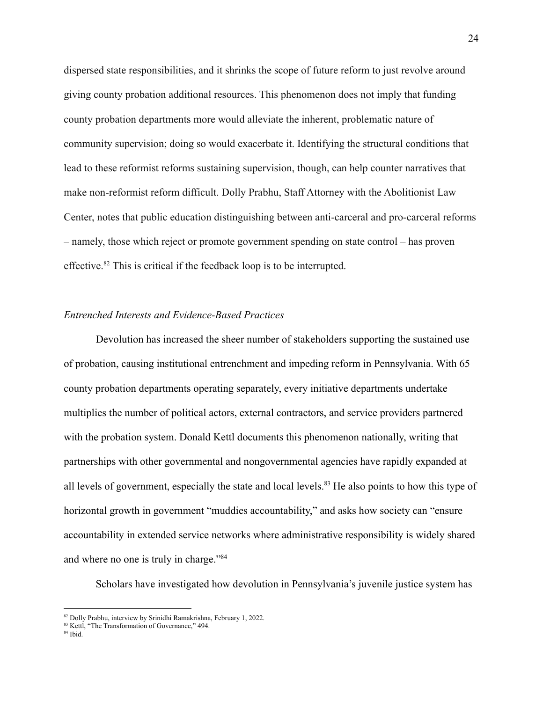dispersed state responsibilities, and it shrinks the scope of future reform to just revolve around giving county probation additional resources. This phenomenon does not imply that funding county probation departments more would alleviate the inherent, problematic nature of community supervision; doing so would exacerbate it. Identifying the structural conditions that lead to these reformist reforms sustaining supervision, though, can help counter narratives that make non-reformist reform difficult. Dolly Prabhu, Staff Attorney with the Abolitionist Law Center, notes that public education distinguishing between anti-carceral and pro-carceral reforms – namely, those which reject or promote government spending on state control – has proven effective.<sup>82</sup> This is critical if the feedback loop is to be interrupted.

#### <span id="page-26-0"></span>*Entrenched Interests and Evidence-Based Practices*

Devolution has increased the sheer number of stakeholders supporting the sustained use of probation, causing institutional entrenchment and impeding reform in Pennsylvania. With 65 county probation departments operating separately, every initiative departments undertake multiplies the number of political actors, external contractors, and service providers partnered with the probation system. Donald Kettl documents this phenomenon nationally, writing that partnerships with other governmental and nongovernmental agencies have rapidly expanded at all levels of government, especially the state and local levels.<sup>83</sup> He also points to how this type of horizontal growth in government "muddies accountability," and asks how society can "ensure accountability in extended service networks where administrative responsibility is widely shared and where no one is truly in charge."<sup>84</sup>

Scholars have investigated how devolution in Pennsylvania's juvenile justice system has

<sup>82</sup> Dolly Prabhu, interview by Srinidhi Ramakrishna, February 1, 2022.

<sup>&</sup>lt;sup>83</sup> Kettl. "The Transformation of Governance," 494.

<sup>84</sup> Ibid.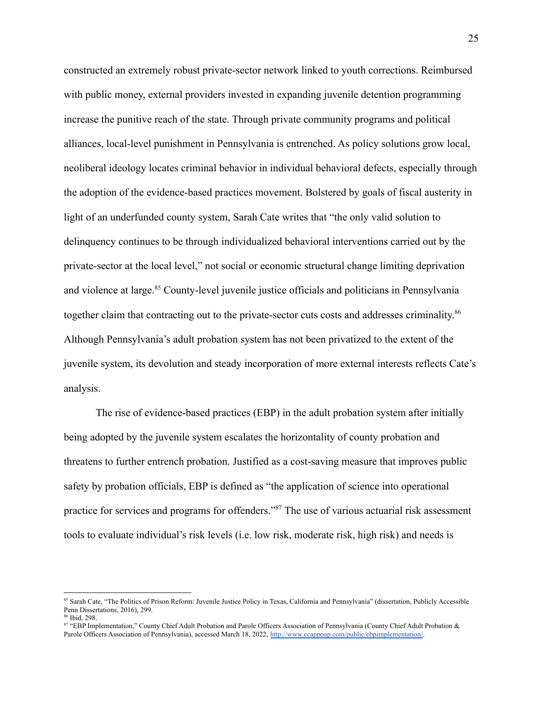constructed an extremely robust private-sector network linked to youth corrections. Reimbursed with public money, external providers invested in expanding juvenile detention programming increase the punitive reach of the state. Through private community programs and political alliances, local-level punishment in Pennsylvania is entrenched. As policy solutions grow local, neoliberal ideology locates criminal behavior in individual behavioral defects, especially through the adoption of the evidence-based practices movement. Bolstered by goals of fiscal austerity in light of an underfunded county system, Sarah Cate writes that "the only valid solution to delinquency continues to be through individualized behavioral interventions carried out by the private-sector at the local level," not social or economic structural change limiting deprivation and violence at large.<sup>85</sup> County-level juvenile justice officials and politicians in Pennsylvania together claim that contracting out to the private-sector cuts costs and addresses criminality.<sup>86</sup> Although Pennsylvania's adult probation system has not been privatized to the extent of the juvenile system, its devolution and steady incorporation of more external interests reflects Cate's analysis.

The rise of evidence-based practices (EBP) in the adult probation system after initially being adopted by the juvenile system escalates the horizontality of county probation and threatens to further entrench probation. Justified as a cost-saving measure that improves public safety by probation officials, EBP is defined as "the application of science into operational practice for services and programs for offenders."<sup>87</sup> The use of various actuarial risk assessment tools to evaluate individual's risk levels (i.e. low risk, moderate risk, high risk) and needs is

<sup>&</sup>lt;sup>85</sup> Sarah Cate, "The Politics of Prison Reform: Juvenile Justice Policy in Texas, California and Pennsylvania" (dissertation, Publicly Accessible Penn Dissertations, 2016), 299.

<sup>86</sup> Ibid, 298.

<sup>87</sup> "EBP Implementation," County Chief Adult Probation and Parole Officers Association of Pennsylvania (County Chief Adult Probation & Parole Officers Association of Pennsylvania), accessed March 18, 2022, <http://www.ccappoap.com/public/ebpimplementation/>.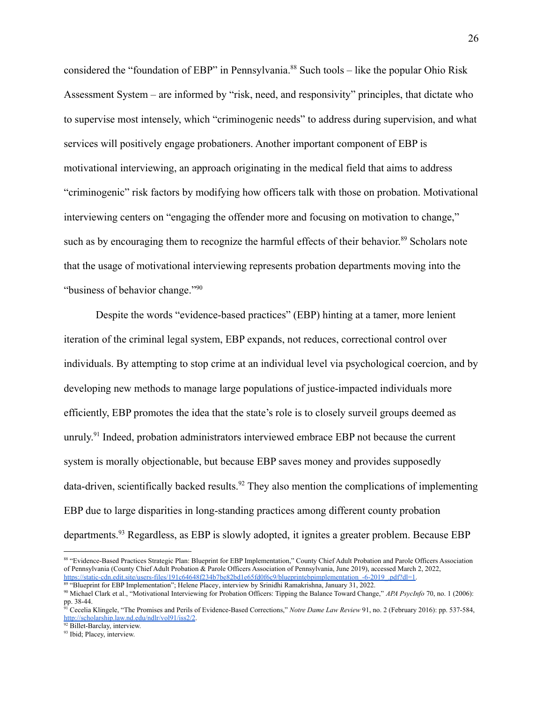considered the "foundation of EBP" in Pennsylvania.<sup>88</sup> Such tools – like the popular Ohio Risk Assessment System – are informed by "risk, need, and responsivity" principles, that dictate who to supervise most intensely, which "criminogenic needs" to address during supervision, and what services will positively engage probationers. Another important component of EBP is motivational interviewing, an approach originating in the medical field that aims to address "criminogenic" risk factors by modifying how officers talk with those on probation. Motivational interviewing centers on "engaging the offender more and focusing on motivation to change," such as by encouraging them to recognize the harmful effects of their behavior.<sup>89</sup> Scholars note that the usage of motivational interviewing represents probation departments moving into the "business of behavior change."<sup>90</sup>

Despite the words "evidence-based practices" (EBP) hinting at a tamer, more lenient iteration of the criminal legal system, EBP expands, not reduces, correctional control over individuals. By attempting to stop crime at an individual level via psychological coercion, and by developing new methods to manage large populations of justice-impacted individuals more efficiently, EBP promotes the idea that the state's role is to closely surveil groups deemed as unruly.<sup>91</sup> Indeed, probation administrators interviewed embrace EBP not because the current system is morally objectionable, but because EBP saves money and provides supposedly data-driven, scientifically backed results.<sup>92</sup> They also mention the complications of implementing EBP due to large disparities in long-standing practices among different county probation departments.<sup>93</sup> Regardless, as EBP is slowly adopted, it ignites a greater problem. Because EBP

<sup>88 &</sup>quot;Evidence-Based Practices Strategic Plan: Blueprint for EBP Implementation," County Chief Adult Probation and Parole Officers Association of Pennsylvania (County Chief Adult Probation & Parole Officers Association of Pennsylvania, June 2019), accessed March 2, 2022, https://static-cdn.edit.site/users-files/191c64648f234b7be82bd1e65fd0f6c9/blueprintebpimplementation\_-6-2019\_ndf?dl=1.

<sup>&</sup>lt;sup>89</sup> "Blueprint for EBP Implementation"; Helene Placey, interview by Srinidhi Ramakrishna, January 31, 2022.

<sup>90</sup> Michael Clark et al., "Motivational Interviewing for Probation Officers: Tipping the Balance Toward Change," *APA PsycInfo* 70, no. 1 (2006): pp.  $38-44$ .

<sup>91</sup> Cecelia Klingele, "The Promises and Perils of Evidence-Based Corrections," *Notre Dame Law Review* 91, no. 2 (February 2016): pp. 537-584, <http://scholarship.law.nd.edu/ndlr/vol91/iss2/2>.

<sup>&</sup>lt;sup>92</sup> Billet-Barclay, interview.

<sup>&</sup>lt;sup>93</sup> Ibid; Placey, interview.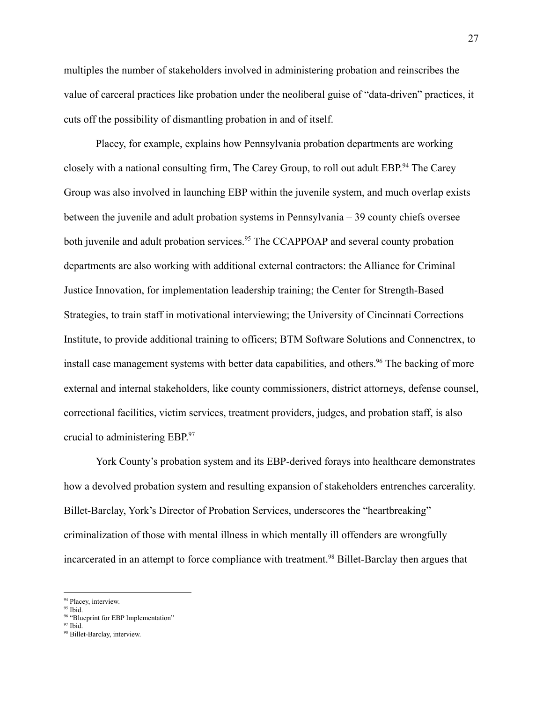multiples the number of stakeholders involved in administering probation and reinscribes the value of carceral practices like probation under the neoliberal guise of "data-driven" practices, it cuts off the possibility of dismantling probation in and of itself.

Placey, for example, explains how Pennsylvania probation departments are working closely with a national consulting firm, The Carey Group, to roll out adult EBP.<sup>94</sup> The Carey Group was also involved in launching EBP within the juvenile system, and much overlap exists between the juvenile and adult probation systems in Pennsylvania – 39 county chiefs oversee both juvenile and adult probation services.<sup>95</sup> The CCAPPOAP and several county probation departments are also working with additional external contractors: the Alliance for Criminal Justice Innovation, for implementation leadership training; the Center for Strength-Based Strategies, to train staff in motivational interviewing; the University of Cincinnati Corrections Institute, to provide additional training to officers; BTM Software Solutions and Connenctrex, to install case management systems with better data capabilities, and others.<sup>96</sup> The backing of more external and internal stakeholders, like county commissioners, district attorneys, defense counsel, correctional facilities, victim services, treatment providers, judges, and probation staff, is also crucial to administering EBP. 97

York County's probation system and its EBP-derived forays into healthcare demonstrates how a devolved probation system and resulting expansion of stakeholders entrenches carcerality. Billet-Barclay, York's Director of Probation Services, underscores the "heartbreaking" criminalization of those with mental illness in which mentally ill offenders are wrongfully incarcerated in an attempt to force compliance with treatment.<sup>98</sup> Billet-Barclay then argues that

<sup>&</sup>lt;sup>94</sup> Placey, interview.

<sup>95</sup> Ibid.

<sup>&</sup>lt;sup>96</sup> "Blueprint for EBP Implementation"

<sup>97</sup> Ibid.

<sup>98</sup> Billet-Barclay, interview.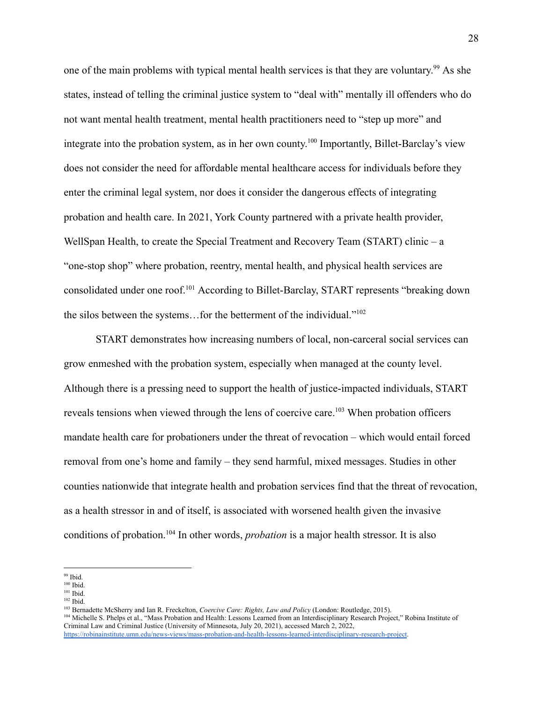one of the main problems with typical mental health services is that they are voluntary.<sup>99</sup> As she states, instead of telling the criminal justice system to "deal with" mentally ill offenders who do not want mental health treatment, mental health practitioners need to "step up more" and integrate into the probation system, as in her own county.<sup>100</sup> Importantly, Billet-Barclay's view does not consider the need for affordable mental healthcare access for individuals before they enter the criminal legal system, nor does it consider the dangerous effects of integrating probation and health care. In 2021, York County partnered with a private health provider, WellSpan Health, to create the Special Treatment and Recovery Team (START) clinic – a "one-stop shop" where probation, reentry, mental health, and physical health services are consolidated under one roof.<sup>101</sup> According to Billet-Barclay, START represents "breaking down the silos between the systems…for the betterment of the individual."<sup>102</sup>

START demonstrates how increasing numbers of local, non-carceral social services can grow enmeshed with the probation system, especially when managed at the county level. Although there is a pressing need to support the health of justice-impacted individuals, START reveals tensions when viewed through the lens of coercive care.<sup>103</sup> When probation officers mandate health care for probationers under the threat of revocation – which would entail forced removal from one's home and family – they send harmful, mixed messages. Studies in other counties nationwide that integrate health and probation services find that the threat of revocation, as a health stressor in and of itself, is associated with worsened health given the invasive conditions of probation.<sup>104</sup> In other words, *probation* is a major health stressor. It is also

102 Ibid.

<sup>99</sup> Ibid.

<sup>100</sup> Ibid.

<sup>101</sup> Ibid.

<sup>&</sup>lt;sup>104</sup> Michelle S. Phelps et al., "Mass Probation and Health: Lessons Learned from an Interdisciplinary Research Project," Robina Institute of Criminal Law and Criminal Justice (University of Minnesota, July 20, 2021), accessed March 2, 2022, <https://robinainstitute.umn.edu/news-views/mass-probation-and-health-lessons-learned-interdisciplinary-research-project>. <sup>103</sup> Bernadette McSherry and Ian R. Freckelton, *Coercive Care: Rights, Law and Policy* (London: Routledge, 2015).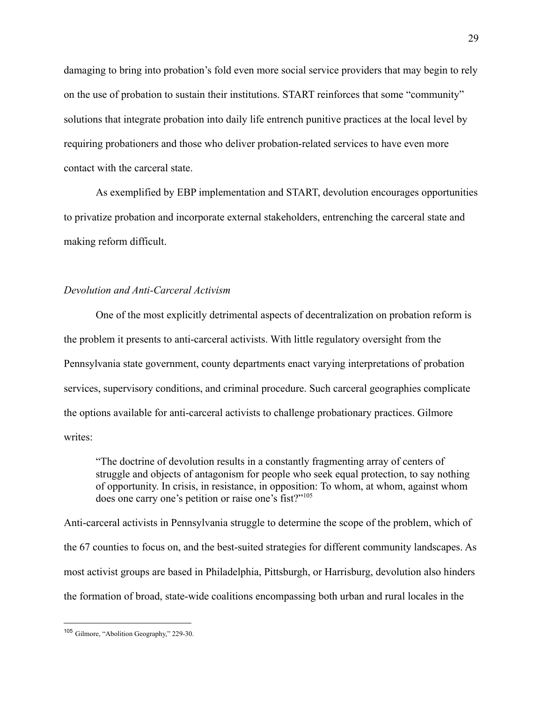damaging to bring into probation's fold even more social service providers that may begin to rely on the use of probation to sustain their institutions. START reinforces that some "community" solutions that integrate probation into daily life entrench punitive practices at the local level by requiring probationers and those who deliver probation-related services to have even more contact with the carceral state.

As exemplified by EBP implementation and START, devolution encourages opportunities to privatize probation and incorporate external stakeholders, entrenching the carceral state and making reform difficult.

#### <span id="page-31-0"></span>*Devolution and Anti-Carceral Activism*

One of the most explicitly detrimental aspects of decentralization on probation reform is the problem it presents to anti-carceral activists. With little regulatory oversight from the Pennsylvania state government, county departments enact varying interpretations of probation services, supervisory conditions, and criminal procedure. Such carceral geographies complicate the options available for anti-carceral activists to challenge probationary practices. Gilmore writes:

"The doctrine of devolution results in a constantly fragmenting array of centers of struggle and objects of antagonism for people who seek equal protection, to say nothing of opportunity. In crisis, in resistance, in opposition: To whom, at whom, against whom does one carry one's petition or raise one's fist?"<sup>105</sup>

Anti-carceral activists in Pennsylvania struggle to determine the scope of the problem, which of the 67 counties to focus on, and the best-suited strategies for different community landscapes. As most activist groups are based in Philadelphia, Pittsburgh, or Harrisburg, devolution also hinders the formation of broad, state-wide coalitions encompassing both urban and rural locales in the

<sup>105</sup> Gilmore, "Abolition Geography," 229-30.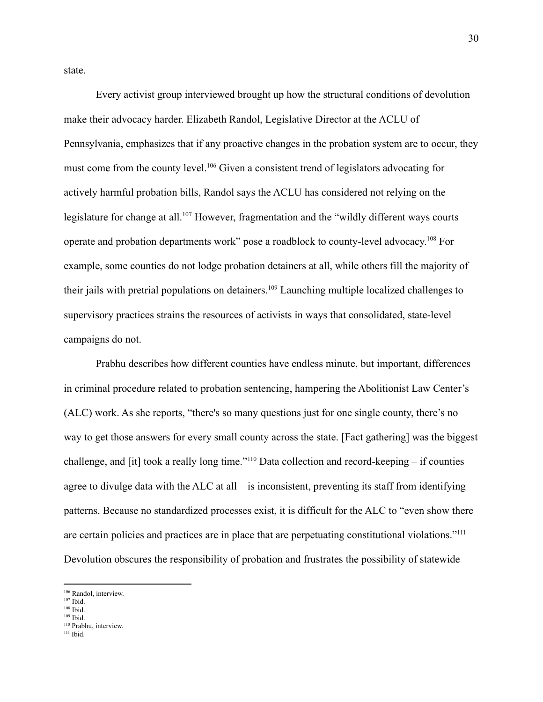state.

Every activist group interviewed brought up how the structural conditions of devolution make their advocacy harder. Elizabeth Randol, Legislative Director at the ACLU of Pennsylvania, emphasizes that if any proactive changes in the probation system are to occur, they must come from the county level.<sup>106</sup> Given a consistent trend of legislators advocating for actively harmful probation bills, Randol says the ACLU has considered not relying on the legislature for change at all.<sup>107</sup> However, fragmentation and the "wildly different ways courts" operate and probation departments work" pose a roadblock to county-level advocacy. <sup>108</sup> For example, some counties do not lodge probation detainers at all, while others fill the majority of their jails with pretrial populations on detainers.<sup>109</sup> Launching multiple localized challenges to supervisory practices strains the resources of activists in ways that consolidated, state-level campaigns do not.

Prabhu describes how different counties have endless minute, but important, differences in criminal procedure related to probation sentencing, hampering the Abolitionist Law Center's (ALC) work. As she reports, "there's so many questions just for one single county, there's no way to get those answers for every small county across the state. [Fact gathering] was the biggest challenge, and [it] took a really long time."<sup>110</sup> Data collection and record-keeping – if counties agree to divulge data with the ALC at all  $-$  is inconsistent, preventing its staff from identifying patterns. Because no standardized processes exist, it is difficult for the ALC to "even show there are certain policies and practices are in place that are perpetuating constitutional violations."<sup>111</sup> Devolution obscures the responsibility of probation and frustrates the possibility of statewide

<sup>106</sup> Randol, interview.

<sup>107</sup> Ibid.

<sup>108</sup> Ibid.

<sup>110</sup> Prabhu, interview. 109 Ibid.

<sup>111</sup> Ibid.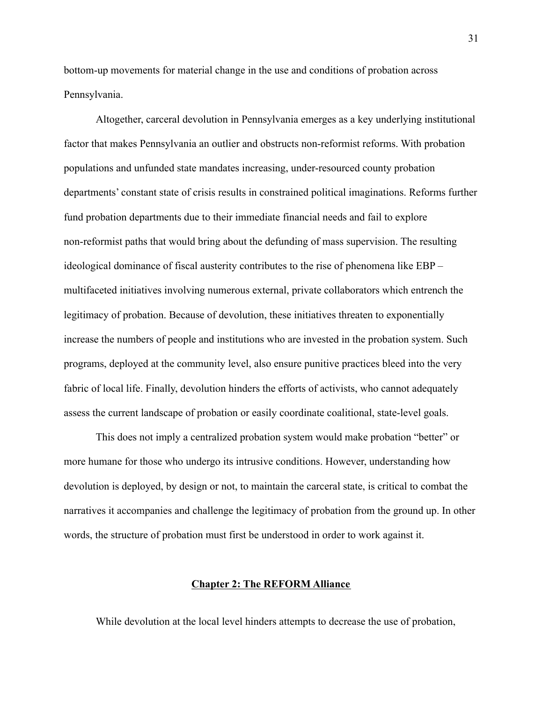bottom-up movements for material change in the use and conditions of probation across Pennsylvania.

Altogether, carceral devolution in Pennsylvania emerges as a key underlying institutional factor that makes Pennsylvania an outlier and obstructs non-reformist reforms. With probation populations and unfunded state mandates increasing, under-resourced county probation departments' constant state of crisis results in constrained political imaginations. Reforms further fund probation departments due to their immediate financial needs and fail to explore non-reformist paths that would bring about the defunding of mass supervision. The resulting ideological dominance of fiscal austerity contributes to the rise of phenomena like EBP – multifaceted initiatives involving numerous external, private collaborators which entrench the legitimacy of probation. Because of devolution, these initiatives threaten to exponentially increase the numbers of people and institutions who are invested in the probation system. Such programs, deployed at the community level, also ensure punitive practices bleed into the very fabric of local life. Finally, devolution hinders the efforts of activists, who cannot adequately assess the current landscape of probation or easily coordinate coalitional, state-level goals.

This does not imply a centralized probation system would make probation "better" or more humane for those who undergo its intrusive conditions. However, understanding how devolution is deployed, by design or not, to maintain the carceral state, is critical to combat the narratives it accompanies and challenge the legitimacy of probation from the ground up. In other words, the structure of probation must first be understood in order to work against it.

#### **Chapter 2: The REFORM Alliance**

<span id="page-33-0"></span>While devolution at the local level hinders attempts to decrease the use of probation,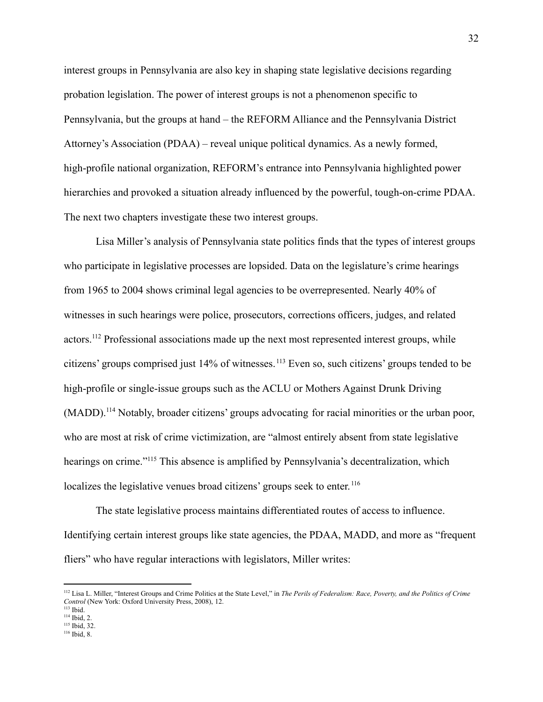interest groups in Pennsylvania are also key in shaping state legislative decisions regarding probation legislation. The power of interest groups is not a phenomenon specific to Pennsylvania, but the groups at hand – the REFORM Alliance and the Pennsylvania District Attorney's Association (PDAA) – reveal unique political dynamics. As a newly formed, high-profile national organization, REFORM's entrance into Pennsylvania highlighted power hierarchies and provoked a situation already influenced by the powerful, tough-on-crime PDAA. The next two chapters investigate these two interest groups.

Lisa Miller's analysis of Pennsylvania state politics finds that the types of interest groups who participate in legislative processes are lopsided. Data on the legislature's crime hearings from 1965 to 2004 shows criminal legal agencies to be overrepresented. Nearly 40% of witnesses in such hearings were police, prosecutors, corrections officers, judges, and related actors.<sup>112</sup> Professional associations made up the next most represented interest groups, while citizens' groups comprised just 14% of witnesses. <sup>113</sup> Even so, such citizens' groups tended to be high-profile or single-issue groups such as the ACLU or Mothers Against Drunk Driving (MADD).<sup>114</sup> Notably, broader citizens' groups advocating for racial minorities or the urban poor, who are most at risk of crime victimization, are "almost entirely absent from state legislative hearings on crime."<sup>115</sup> This absence is amplified by Pennsylvania's decentralization, which localizes the legislative venues broad citizens' groups seek to enter.<sup>116</sup>

The state legislative process maintains differentiated routes of access to influence. Identifying certain interest groups like state agencies, the PDAA, MADD, and more as "frequent fliers" who have regular interactions with legislators, Miller writes:

<sup>112</sup> Lisa L. Miller, "Interest Groups and Crime Politics at the State Level," in *The Perils of Federalism: Race, Poverty, and the Politics of Crime Control* (New York: Oxford University Press, 2008), 12.

<sup>113</sup> Ibid.

<sup>114</sup> Ibid, 2.

<sup>116</sup> Ibid, 8. 115 Ibid, 32.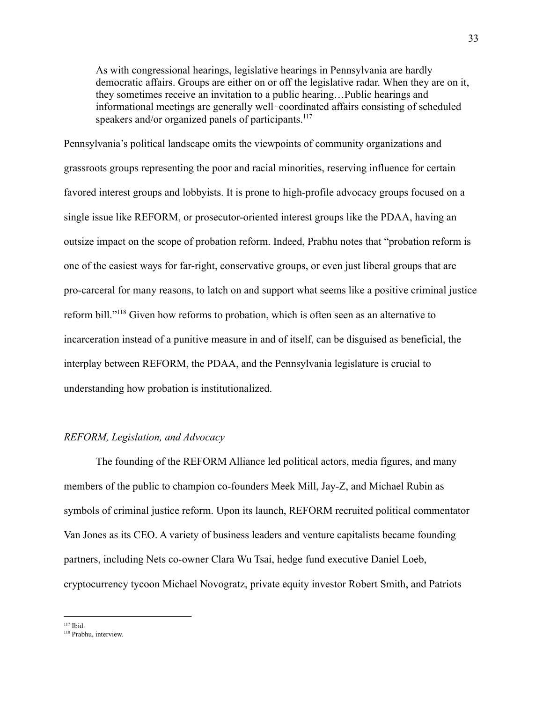As with congressional hearings, legislative hearings in Pennsylvania are hardly democratic affairs. Groups are either on or off the legislative radar. When they are on it, they sometimes receive an invitation to a public hearing…Public hearings and informational meetings are generally well‐coordinated affairs consisting of scheduled speakers and/or organized panels of participants.<sup>117</sup>

Pennsylvania's political landscape omits the viewpoints of community organizations and grassroots groups representing the poor and racial minorities, reserving influence for certain favored interest groups and lobbyists. It is prone to high-profile advocacy groups focused on a single issue like REFORM, or prosecutor-oriented interest groups like the PDAA, having an outsize impact on the scope of probation reform. Indeed, Prabhu notes that "probation reform is one of the easiest ways for far-right, conservative groups, or even just liberal groups that are pro-carceral for many reasons, to latch on and support what seems like a positive criminal justice reform bill."<sup>118</sup> Given how reforms to probation, which is often seen as an alternative to incarceration instead of a punitive measure in and of itself, can be disguised as beneficial, the interplay between REFORM, the PDAA, and the Pennsylvania legislature is crucial to understanding how probation is institutionalized.

#### <span id="page-35-0"></span>*REFORM, Legislation, and Advocacy*

The founding of the REFORM Alliance led political actors, media figures, and many members of the public to champion co-founders Meek Mill, Jay-Z, and Michael Rubin as symbols of criminal justice reform. Upon its launch, REFORM recruited political commentator Van Jones as its CEO. A variety of business leaders and venture capitalists became founding partners, including Nets co-owner Clara Wu Tsai, hedge fund executive Daniel Loeb, cryptocurrency tycoon Michael Novogratz, private equity investor Robert Smith, and Patriots

<sup>117</sup> Ibid.

<sup>118</sup> Prabhu, interview.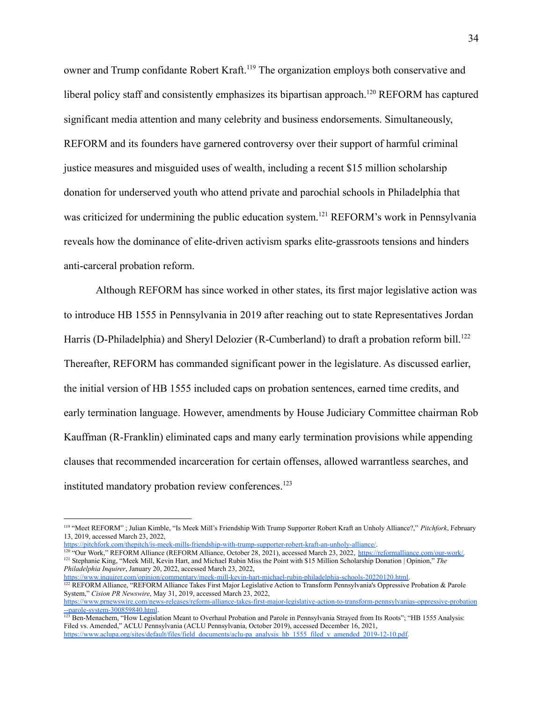owner and Trump confidante Robert Kraft.<sup>119</sup> The organization employs both conservative and liberal policy staff and consistently emphasizes its bipartisan approach.<sup>120</sup> REFORM has captured significant media attention and many celebrity and business endorsements. Simultaneously, REFORM and its founders have garnered controversy over their support of harmful criminal justice measures and misguided uses of wealth, including a recent \$15 million scholarship donation for underserved youth who attend private and parochial schools in Philadelphia that was criticized for undermining the public education system.<sup>121</sup> REFORM's work in Pennsylvania reveals how the dominance of elite-driven activism sparks elite-grassroots tensions and hinders anti-carceral probation reform.

Although REFORM has since worked in other states, its first major legislative action was to introduce HB 1555 in Pennsylvania in 2019 after reaching out to state Representatives Jordan Harris (D-Philadelphia) and Sheryl Delozier (R-Cumberland) to draft a probation reform bill.<sup>122</sup> Thereafter, REFORM has commanded significant power in the legislature. As discussed earlier, the initial version of HB 1555 included caps on probation sentences, earned time credits, and early termination language. However, amendments by House Judiciary Committee chairman Rob Kauffman (R-Franklin) eliminated caps and many early termination provisions while appending clauses that recommended incarceration for certain offenses, allowed warrantless searches, and instituted mandatory probation review conferences.<sup>123</sup>

<https://pitchfork.com/thepitch/is-meek-mills-friendship-with-trump-supporter-robert-kraft-an-unholy-alliance/>.

<sup>121</sup> Stephanie King, "Meek Mill, Kevin Hart, and Michael Rubin Miss the Point with \$15 Million Scholarship Donation | Opinion," *The Philadelphia Inquirer*, January 20, 2022, accessed March 23, 2022, <sup>120</sup> "Our Work," REFORM Alliance (REFORM Alliance, October 28, 2021), accessed March 23, 2022, [https://reformalliance.com/our-work/.](https://reformalliance.com/our-work/)

<sup>122</sup> REFORM Alliance, "REFORM Alliance Takes First Major Legislative Action to Transform Pennsylvania's Oppressive Probation & Parole System," *Cision PR Newswire*, May 31, 2019, accessed March 23, 2022, [https://www.inquirer.com/opinion/commentary/meek-mill-kevin-hart-michael-rubin-philadelphia-schools-20220120.html.](https://www.inquirer.com/opinion/commentary/meek-mill-kevin-hart-michael-rubin-philadelphia-schools-20220120.html)

<sup>119</sup> "Meet REFORM" ; Julian Kimble, "Is Meek Mill's Friendship With Trump Supporter Robert Kraft an Unholy Alliance?," *Pitchfork*, February 13, 2019, accessed March 23, 2022,

[https://www.prnewswire.com/news-releases/reform-alliance-takes-first-major-legislative-action-to-transform-pennsylvanias-oppressive-probation](https://www.prnewswire.com/news-releases/reform-alliance-takes-first-major-legislative-action-to-transform-pennsylvanias-oppressive-probation--parole-system-300859840.html) [--parole-system-300859840.html](https://www.prnewswire.com/news-releases/reform-alliance-takes-first-major-legislative-action-to-transform-pennsylvanias-oppressive-probation--parole-system-300859840.html).

<sup>&</sup>lt;sup>123</sup> Ben-Menachem, "How Legislation Meant to Overhaul Probation and Parole in Pennsylvania Strayed from Its Roots"; "HB 1555 Analysis: Filed vs. Amended," ACLU Pennsylvania (ACLU Pennsylvania, October 2019), accessed December 16, 2021, [https://www.aclupa.org/sites/default/files/field\\_documents/aclu-pa\\_analysis\\_hb\\_1555\\_filed\\_v\\_amended\\_2019-12-10.pdf.](https://www.aclupa.org/sites/default/files/field_documents/aclu-pa_analysis_hb_1555_filed_v_amended_2019-12-10.pdf)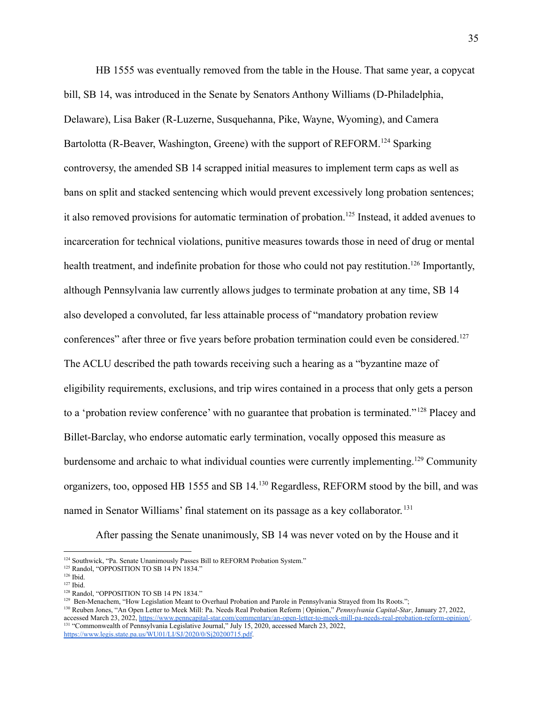HB 1555 was eventually removed from the table in the House. That same year, a copycat bill, SB 14, was introduced in the Senate by Senators Anthony Williams (D-Philadelphia, Delaware), Lisa Baker (R-Luzerne, Susquehanna, Pike, Wayne, Wyoming), and Camera Bartolotta (R-Beaver, Washington, Greene) with the support of REFORM.<sup>124</sup> Sparking controversy, the amended SB 14 scrapped initial measures to implement term caps as well as bans on split and stacked sentencing which would prevent excessively long probation sentences; it also removed provisions for automatic termination of probation.<sup>125</sup> Instead, it added avenues to incarceration for technical violations, punitive measures towards those in need of drug or mental health treatment, and indefinite probation for those who could not pay restitution.<sup>126</sup> Importantly, although Pennsylvania law currently allows judges to terminate probation at any time, SB 14 also developed a convoluted, far less attainable process of "mandatory probation review conferences" after three or five years before probation termination could even be considered.<sup>127</sup> The ACLU described the path towards receiving such a hearing as a "byzantine maze of eligibility requirements, exclusions, and trip wires contained in a process that only gets a person to a 'probation review conference' with no guarantee that probation is terminated." <sup>128</sup> Placey and Billet-Barclay, who endorse automatic early termination, vocally opposed this measure as burdensome and archaic to what individual counties were currently implementing.<sup>129</sup> Community organizers, too, opposed HB 1555 and SB 14.<sup>130</sup> Regardless, REFORM stood by the bill, and was named in Senator Williams' final statement on its passage as a key collaborator. 131

After passing the Senate unanimously, SB 14 was never voted on by the House and it

<sup>&</sup>lt;sup>124</sup> Southwick, "Pa. Senate Unanimously Passes Bill to REFORM Probation System."

<sup>&</sup>lt;sup>125</sup> Randol, "OPPOSITION TO SB 14 PN 1834."

<sup>126</sup> Ibid.

<sup>127</sup> Ibid.

<sup>&</sup>lt;sup>128</sup> Randol. "OPPOSITION TO SB 14 PN 1834."

<sup>&</sup>lt;sup>129</sup> Ben-Menachem, "How Legislation Meant to Overhaul Probation and Parole in Pennsylvania Strayed from Its Roots.";

<sup>&</sup>lt;sup>131</sup> "Commonwealth of Pennsylvania Legislative Journal," July 15, 2020, accessed March 23, 2022, <https://www.legis.state.pa.us/WU01/LI/SJ/2020/0/Sj20200715.pdf>. <sup>130</sup> Reuben Jones, "An Open Letter to Meek Mill: Pa. Needs Real Probation Reform | Opinion," *Pennsylvania Capital-Star*, January 27, 2022, accessed March 23, 2022, <https://www.penncapital-star.com/commentary/an-open-letter-to-meek-mill-pa-needs-real-probation-reform-opinion/>.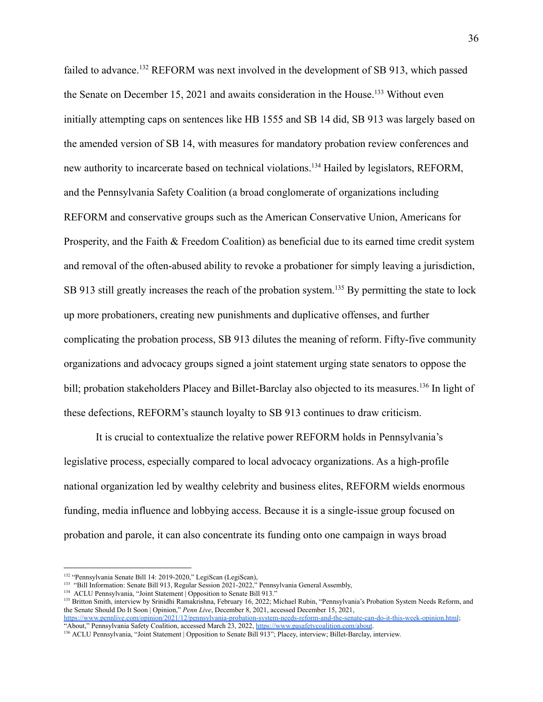failed to advance.<sup>132</sup> REFORM was next involved in the development of SB 913, which passed the Senate on December 15, 2021 and awaits consideration in the House.<sup>133</sup> Without even initially attempting caps on sentences like HB 1555 and SB 14 did, SB 913 was largely based on the amended version of SB 14, with measures for mandatory probation review conferences and new authority to incarcerate based on technical violations.<sup>134</sup> Hailed by legislators, REFORM, and the Pennsylvania Safety Coalition (a broad conglomerate of organizations including REFORM and conservative groups such as the American Conservative Union, Americans for Prosperity, and the Faith & Freedom Coalition) as beneficial due to its earned time credit system and removal of the often-abused ability to revoke a probationer for simply leaving a jurisdiction, SB 913 still greatly increases the reach of the probation system.<sup>135</sup> By permitting the state to lock up more probationers, creating new punishments and duplicative offenses, and further complicating the probation process, SB 913 dilutes the meaning of reform. Fifty-five community organizations and advocacy groups signed a joint statement urging state senators to oppose the bill; probation stakeholders Placey and Billet-Barclay also objected to its measures.<sup>136</sup> In light of these defections, REFORM's staunch loyalty to SB 913 continues to draw criticism.

It is crucial to contextualize the relative power REFORM holds in Pennsylvania's legislative process, especially compared to local advocacy organizations. As a high-profile national organization led by wealthy celebrity and business elites, REFORM wields enormous funding, media influence and lobbying access. Because it is a single-issue group focused on probation and parole, it can also concentrate its funding onto one campaign in ways broad

<sup>&</sup>lt;sup>132</sup> "Pennsylvania Senate Bill 14: 2019-2020," LegiScan (LegiScan),

<sup>&</sup>lt;sup>133</sup> "Bill Information: Senate Bill 913, Regular Session 2021-2022," Pennsylvania General Assembly,

<sup>&</sup>lt;sup>134</sup> ACLU Pennsylvania, "Joint Statement | Opposition to Senate Bill 913."

<sup>135</sup> Britton Smith, interview by Srinidhi Ramakrishna, February 16, 2022; Michael Rubin, "Pennsylvania's Probation System Needs Reform, and the Senate Should Do It Soon | Opinion," *Penn Live*, December 8, 2021, accessed December 15, 2021, <https://www.pennlive.com/opinion/2021/12/pennsylvania-probation-system-needs-reform-and-the-senate-can-do-it-this-week-opinion.html>;

<sup>&</sup>quot;About," Pennsylvania Safety Coalition, accessed March 23, 2022, [https://www.pasafetycoalition.com/about.](https://www.pasafetycoalition.com/about)

<sup>136</sup> ACLU Pennsylvania, "Joint Statement | Opposition to Senate Bill 913"; Placey, interview; Billet-Barclay, interview.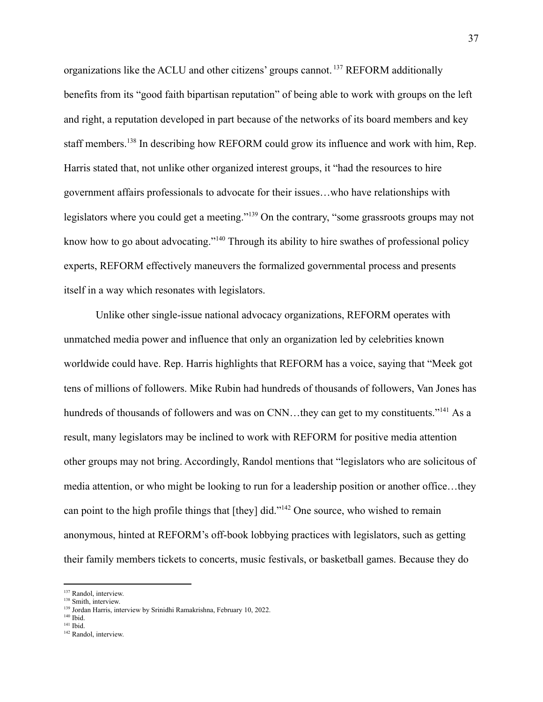organizations like the ACLU and other citizens' groups cannot. <sup>137</sup> REFORM additionally benefits from its "good faith bipartisan reputation" of being able to work with groups on the left and right, a reputation developed in part because of the networks of its board members and key staff members.<sup>138</sup> In describing how REFORM could grow its influence and work with him, Rep. Harris stated that, not unlike other organized interest groups, it "had the resources to hire government affairs professionals to advocate for their issues…who have relationships with legislators where you could get a meeting."<sup>139</sup> On the contrary, "some grassroots groups may not know how to go about advocating."<sup>140</sup> Through its ability to hire swathes of professional policy experts, REFORM effectively maneuvers the formalized governmental process and presents itself in a way which resonates with legislators.

Unlike other single-issue national advocacy organizations, REFORM operates with unmatched media power and influence that only an organization led by celebrities known worldwide could have. Rep. Harris highlights that REFORM has a voice, saying that "Meek got tens of millions of followers. Mike Rubin had hundreds of thousands of followers, Van Jones has hundreds of thousands of followers and was on CNN...they can get to my constituents."<sup>141</sup> As a result, many legislators may be inclined to work with REFORM for positive media attention other groups may not bring. Accordingly, Randol mentions that "legislators who are solicitous of media attention, or who might be looking to run for a leadership position or another office…they can point to the high profile things that [they] did."<sup>142</sup> One source, who wished to remain anonymous, hinted at REFORM's off-book lobbying practices with legislators, such as getting their family members tickets to concerts, music festivals, or basketball games. Because they do

140 Ibid.

<sup>&</sup>lt;sup>137</sup> Randol, interview.

<sup>138</sup> Smith, interview.

<sup>&</sup>lt;sup>139</sup> Jordan Harris, interview by Srinidhi Ramakrishna, February 10, 2022.

<sup>141</sup> Ibid.

<sup>&</sup>lt;sup>142</sup> Randol, interview.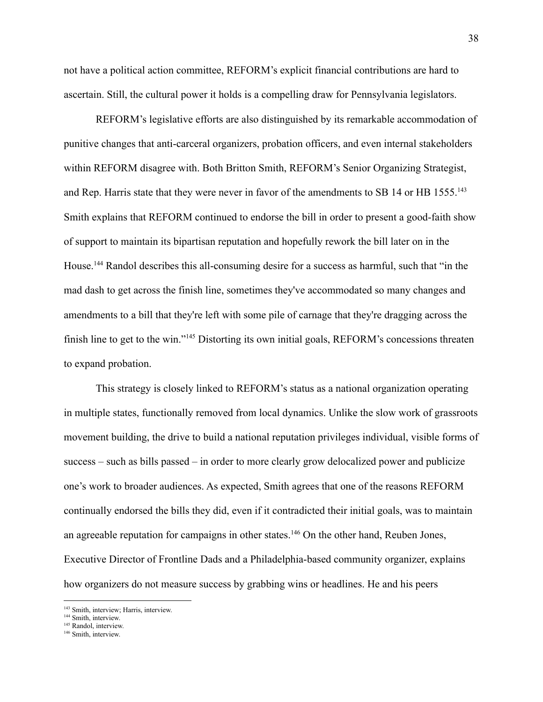not have a political action committee, REFORM's explicit financial contributions are hard to ascertain. Still, the cultural power it holds is a compelling draw for Pennsylvania legislators.

REFORM's legislative efforts are also distinguished by its remarkable accommodation of punitive changes that anti-carceral organizers, probation officers, and even internal stakeholders within REFORM disagree with. Both Britton Smith, REFORM's Senior Organizing Strategist, and Rep. Harris state that they were never in favor of the amendments to SB 14 or HB 1555.<sup>143</sup> Smith explains that REFORM continued to endorse the bill in order to present a good-faith show of support to maintain its bipartisan reputation and hopefully rework the bill later on in the House.<sup>144</sup> Randol describes this all-consuming desire for a success as harmful, such that "in the mad dash to get across the finish line, sometimes they've accommodated so many changes and amendments to a bill that they're left with some pile of carnage that they're dragging across the finish line to get to the win."<sup>145</sup> Distorting its own initial goals, REFORM's concessions threaten to expand probation.

This strategy is closely linked to REFORM's status as a national organization operating in multiple states, functionally removed from local dynamics. Unlike the slow work of grassroots movement building, the drive to build a national reputation privileges individual, visible forms of success – such as bills passed – in order to more clearly grow delocalized power and publicize one's work to broader audiences. As expected, Smith agrees that one of the reasons REFORM continually endorsed the bills they did, even if it contradicted their initial goals, was to maintain an agreeable reputation for campaigns in other states.<sup>146</sup> On the other hand, Reuben Jones, Executive Director of Frontline Dads and a Philadelphia-based community organizer, explains how organizers do not measure success by grabbing wins or headlines. He and his peers

<sup>143</sup> Smith, interview; Harris, interview.

<sup>&</sup>lt;sup>144</sup> Smith, interview.

<sup>&</sup>lt;sup>145</sup> Randol, interview.

<sup>&</sup>lt;sup>146</sup> Smith, interview.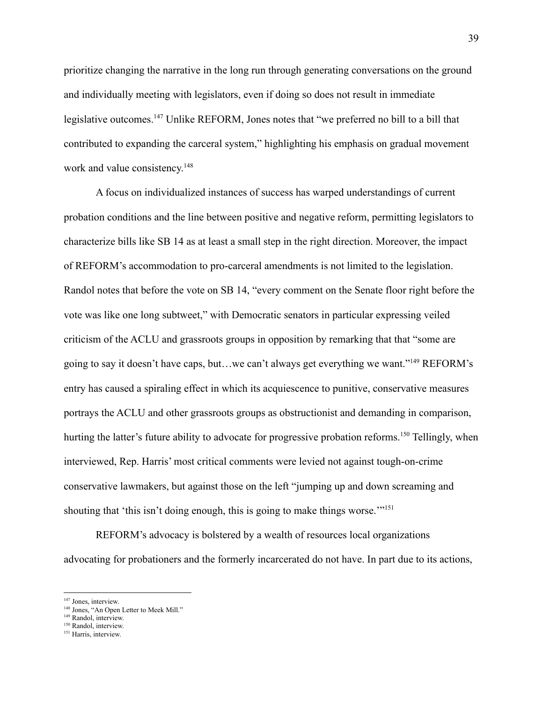prioritize changing the narrative in the long run through generating conversations on the ground and individually meeting with legislators, even if doing so does not result in immediate legislative outcomes.<sup>147</sup> Unlike REFORM, Jones notes that "we preferred no bill to a bill that contributed to expanding the carceral system," highlighting his emphasis on gradual movement work and value consistency.<sup>148</sup>

A focus on individualized instances of success has warped understandings of current probation conditions and the line between positive and negative reform, permitting legislators to characterize bills like SB 14 as at least a small step in the right direction. Moreover, the impact of REFORM's accommodation to pro-carceral amendments is not limited to the legislation. Randol notes that before the vote on SB 14, "every comment on the Senate floor right before the vote was like one long subtweet," with Democratic senators in particular expressing veiled criticism of the ACLU and grassroots groups in opposition by remarking that that "some are going to say it doesn't have caps, but…we can't always get everything we want."<sup>149</sup> REFORM's entry has caused a spiraling effect in which its acquiescence to punitive, conservative measures portrays the ACLU and other grassroots groups as obstructionist and demanding in comparison, hurting the latter's future ability to advocate for progressive probation reforms.<sup>150</sup> Tellingly, when interviewed, Rep. Harris' most critical comments were levied not against tough-on-crime conservative lawmakers, but against those on the left "jumping up and down screaming and shouting that 'this isn't doing enough, this is going to make things worse.'"<sup>151</sup>

REFORM's advocacy is bolstered by a wealth of resources local organizations advocating for probationers and the formerly incarcerated do not have. In part due to its actions,

<sup>&</sup>lt;sup>147</sup> Jones, interview.

<sup>&</sup>lt;sup>148</sup> Jones, "An Open Letter to Meek Mill."

<sup>&</sup>lt;sup>149</sup> Randol, interview.

<sup>&</sup>lt;sup>150</sup> Randol, interview.

<sup>&</sup>lt;sup>151</sup> Harris, interview.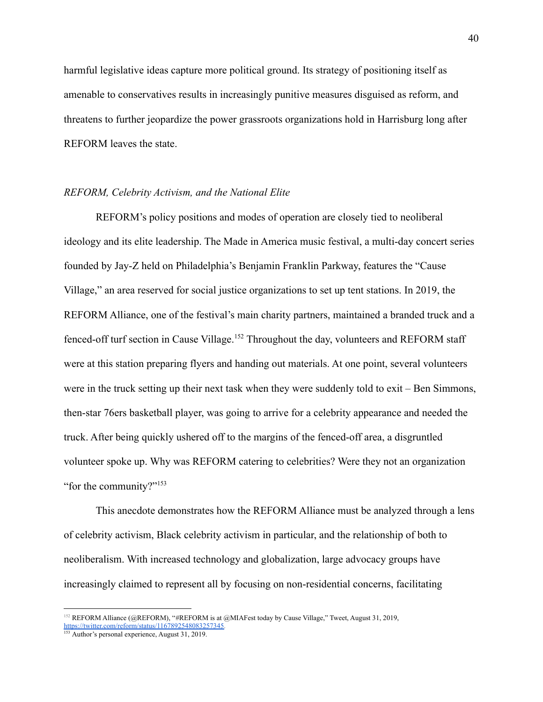harmful legislative ideas capture more political ground. Its strategy of positioning itself as amenable to conservatives results in increasingly punitive measures disguised as reform, and threatens to further jeopardize the power grassroots organizations hold in Harrisburg long after REFORM leaves the state.

### *REFORM, Celebrity Activism, and the National Elite*

REFORM's policy positions and modes of operation are closely tied to neoliberal ideology and its elite leadership. The Made in America music festival, a multi-day concert series founded by Jay-Z held on Philadelphia's Benjamin Franklin Parkway, features the "Cause Village," an area reserved for social justice organizations to set up tent stations. In 2019, the REFORM Alliance, one of the festival's main charity partners, maintained a branded truck and a fenced-off turf section in Cause Village.<sup>152</sup> Throughout the day, volunteers and REFORM staff were at this station preparing flyers and handing out materials. At one point, several volunteers were in the truck setting up their next task when they were suddenly told to exit – Ben Simmons, then-star 76ers basketball player, was going to arrive for a celebrity appearance and needed the truck. After being quickly ushered off to the margins of the fenced-off area, a disgruntled volunteer spoke up. Why was REFORM catering to celebrities? Were they not an organization "for the community?"<sup>153</sup>

This anecdote demonstrates how the REFORM Alliance must be analyzed through a lens of celebrity activism, Black celebrity activism in particular, and the relationship of both to neoliberalism. With increased technology and globalization, large advocacy groups have increasingly claimed to represent all by focusing on non-residential concerns, facilitating

<sup>&</sup>lt;sup>152</sup> REFORM Alliance (@REFORM), "[#REFORM](https://twitter.com/hashtag/REFORM?src=hashtag_click) is at [@MIAFest](https://twitter.com/MiaFest) today by Cause Village," Tweet, August 31, 2019, [https://twitter.com/reform/status/1167892548083257345.](https://twitter.com/reform/status/1167892548083257345)

<sup>&</sup>lt;sup>153</sup> Author's personal experience, August 31, 2019.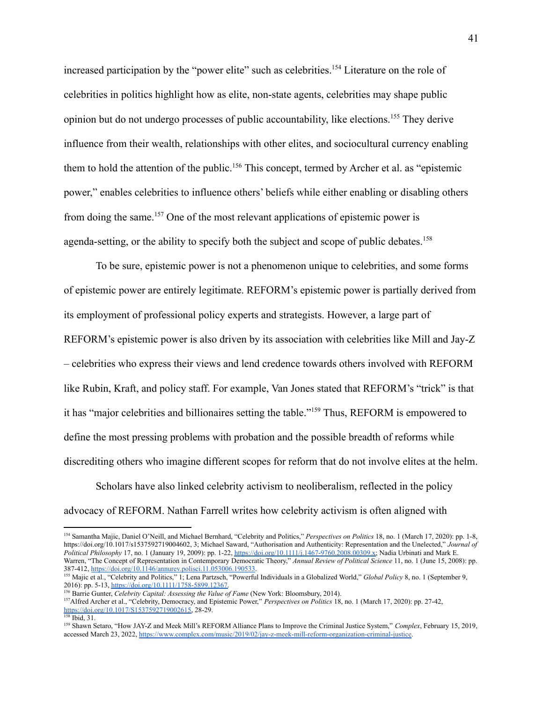increased participation by the "power elite" such as celebrities.<sup>154</sup> Literature on the role of celebrities in politics highlight how as elite, non-state agents, celebrities may shape public opinion but do not undergo processes of public accountability, like elections.<sup>155</sup> They derive influence from their wealth, relationships with other elites, and sociocultural currency enabling them to hold the attention of the public.<sup>156</sup> This concept, termed by Archer et al. as "epistemic power," enables celebrities to influence others' beliefs while either enabling or disabling others from doing the same.<sup>157</sup> One of the most relevant applications of epistemic power is agenda-setting, or the ability to specify both the subject and scope of public debates.<sup>158</sup>

To be sure, epistemic power is not a phenomenon unique to celebrities, and some forms of epistemic power are entirely legitimate. REFORM's epistemic power is partially derived from its employment of professional policy experts and strategists. However, a large part of REFORM's epistemic power is also driven by its association with celebrities like Mill and Jay-Z – celebrities who express their views and lend credence towards others involved with REFORM like Rubin, Kraft, and policy staff. For example, Van Jones stated that REFORM's "trick" is that it has "major celebrities and billionaires setting the table."<sup>159</sup> Thus, REFORM is empowered to define the most pressing problems with probation and the possible breadth of reforms while discrediting others who imagine different scopes for reform that do not involve elites at the helm.

Scholars have also linked celebrity activism to neoliberalism, reflected in the policy advocacy of REFORM. Nathan Farrell writes how celebrity activism is often aligned with

<sup>154</sup> Samantha Majic, Daniel O'Neill, and Michael Bernhard, "Celebrity and Politics," *Perspectives on Politics* 18, no. 1 (March 17, 2020): pp. 1-8, https://doi.org/10.1017/s1537592719004602, 3; Michael Saward, "Authorisation and Authenticity: Representation and the Unelected," *Journal of Political Philosophy* 17, no. 1 (January 19, 2009): pp. 1-22, [https://doi.org/10.1111/j.1467-9760.2008.00309.x;](https://doi.org/10.1111/j.1467-9760.2008.00309.x) Nadia Urbinati and Mark E. Warren, "The Concept of Representation in Contemporary Democratic Theory," *Annual Review of Political Science* 11, no. 1 (June 15, 2008): pp. 387-412, [https://doi.org/10.1146/annurev.polisci.11.053006.190533.](https://doi.org/10.1146/annurev.polisci.11.053006.190533)

<sup>&</sup>lt;sup>155</sup> Majic et al., "Celebrity and Politics," 1; Lena Partzsch, "Powerful Individuals in a Globalized World," *Global Policy* 8, no. 1 (September 9, 2016): pp. 5-13, [https://doi.org/10.1111/1758-5899.12367.](https://doi.org/10.1111/1758-5899.12367)

<sup>156</sup> Barrie Gunter, *Celebrity Capital: Assessing the Value of Fame* (New York: Bloomsbury, 2014).

<sup>157</sup>Alfred Archer et al., "Celebrity, Democracy, and Epistemic Power," *Perspectives on Politics* 18, no. 1 (March 17, 2020): pp. 27-42, [https://doi.org/10.1017/S1537592719002615,](https://doi.org/doi:10.1017/S1537592719002615) 28-29.

<sup>158</sup> Ibid, 31.

<sup>159</sup> Shawn Setaro, "How JAY-Z and Meek Mill's REFORM Alliance Plans to Improve the Criminal Justice System," *Complex*, February 15, 2019, accessed March 23, 2022, <https://www.complex.com/music/2019/02/jay-z-meek-mill-reform-organization-criminal-justice>.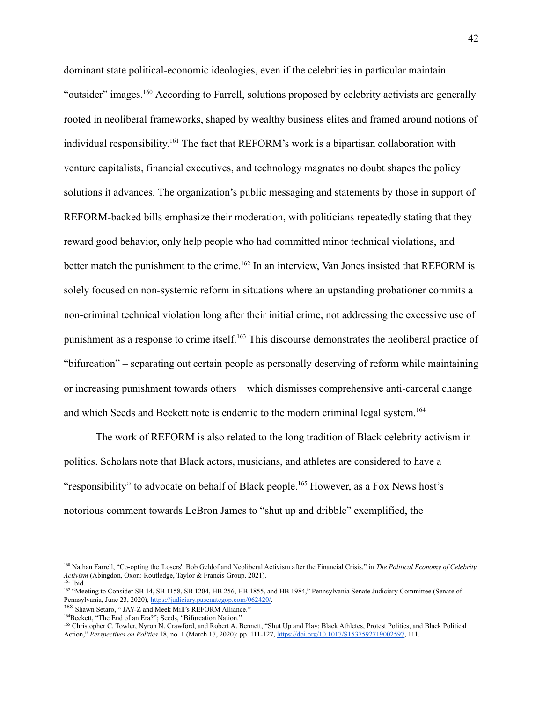dominant state political-economic ideologies, even if the celebrities in particular maintain "outsider" images.<sup>160</sup> According to Farrell, solutions proposed by celebrity activists are generally rooted in neoliberal frameworks, shaped by wealthy business elites and framed around notions of individual responsibility. <sup>161</sup> The fact that REFORM's work is a bipartisan collaboration with venture capitalists, financial executives, and technology magnates no doubt shapes the policy solutions it advances. The organization's public messaging and statements by those in support of REFORM-backed bills emphasize their moderation, with politicians repeatedly stating that they reward good behavior, only help people who had committed minor technical violations, and better match the punishment to the crime.<sup>162</sup> In an interview, Van Jones insisted that REFORM is solely focused on non-systemic reform in situations where an upstanding probationer commits a non-criminal technical violation long after their initial crime, not addressing the excessive use of punishment as a response to crime itself.<sup>163</sup> This discourse demonstrates the neoliberal practice of "bifurcation" – separating out certain people as personally deserving of reform while maintaining or increasing punishment towards others – which dismisses comprehensive anti-carceral change and which Seeds and Beckett note is endemic to the modern criminal legal system.<sup>164</sup>

The work of REFORM is also related to the long tradition of Black celebrity activism in politics. Scholars note that Black actors, musicians, and athletes are considered to have a "responsibility" to advocate on behalf of Black people.<sup>165</sup> However, as a Fox News host's notorious comment towards LeBron James to "shut up and dribble" exemplified, the

<sup>161</sup> Ibid. <sup>160</sup> Nathan Farrell, "Co-opting the 'Losers': Bob Geldof and Neoliberal Activism after the Financial Crisis," in *The Political Economy of Celebrity Activism* (Abingdon, Oxon: Routledge, Taylor & Francis Group, 2021).

<sup>&</sup>lt;sup>162</sup> "Meeting to Consider SB 14, SB 1158, SB 1204, HB 256, HB 1855, and HB 1984," Pennsylvania Senate Judiciary Committee (Senate of Pennsylvania, June 23, 2020), [https://judiciary.pasenategop.com/062420/.](https://judiciary.pasenategop.com/062420/)

<sup>163</sup> Shawn Setaro, " JAY-Z and Meek Mill's REFORM Alliance."

<sup>&</sup>lt;sup>164</sup>Beckett, "The End of an Era?"; Seeds, "Bifurcation Nation."

<sup>&</sup>lt;sup>165</sup> Christopher C. Towler, Nyron N. Crawford, and Robert A. Bennett, "Shut Up and Play: Black Athletes, Protest Politics, and Black Political Action," *Perspectives on Politics* 18, no. 1 (March 17, 2020): pp. 111-127, [https://doi.org/10.1017/S1537592719002597](https://doi.org/doi:10.1017/S1537592719002597), 111.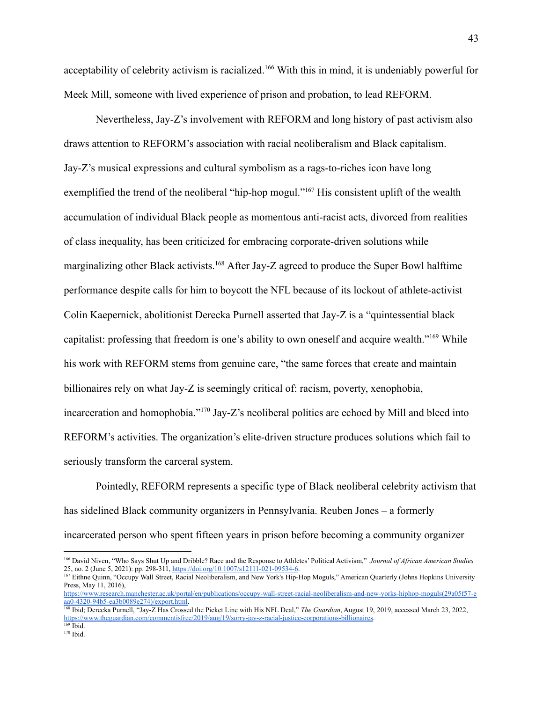acceptability of celebrity activism is racialized.<sup>166</sup> With this in mind, it is undeniably powerful for Meek Mill, someone with lived experience of prison and probation, to lead REFORM.

Nevertheless, Jay-Z's involvement with REFORM and long history of past activism also draws attention to REFORM's association with racial neoliberalism and Black capitalism. Jay-Z's musical expressions and cultural symbolism as a rags-to-riches icon have long exemplified the trend of the neoliberal "hip-hop mogul."<sup>167</sup> His consistent uplift of the wealth accumulation of individual Black people as momentous anti-racist acts, divorced from realities of class inequality, has been criticized for embracing corporate-driven solutions while marginalizing other Black activists.<sup>168</sup> After Jay-Z agreed to produce the Super Bowl halftime performance despite calls for him to boycott the NFL because of its lockout of athlete-activist Colin Kaepernick, abolitionist Derecka Purnell asserted that Jay-Z is a "quintessential black capitalist: professing that freedom is one's ability to own oneself and acquire wealth."<sup>169</sup> While his work with REFORM stems from genuine care, "the same forces that create and maintain billionaires rely on what Jay-Z is seemingly critical of: racism, poverty, [xenophobia](https://www.billboard.com/articles/news/8096643/jay-z-president-trump-vulgar-immigration-comments-hurtful-van-jones-show-cnn), [incarceration](https://www.cnn.com/2019/01/24/entertainment/jay-z-meek-mill-prison/index.html) and [homophobia.](https://www.nbcnews.com/feature/nbc-out/overwhelmed-beyonc-jay-z-preach-lgbtq-acceptance-glaad-awards-speech-n988871)"<sup>170</sup> Jay-Z's neoliberal politics are echoed by Mill and bleed into REFORM's activities. The organization's elite-driven structure produces solutions which fail to seriously transform the carceral system.

Pointedly, REFORM represents a specific type of Black neoliberal celebrity activism that has sidelined Black community organizers in Pennsylvania. Reuben Jones – a formerly incarcerated person who spent fifteen years in prison before becoming a community organizer

<sup>166</sup> David Niven, "Who Says Shut Up and Dribble? Race and the Response to Athletes' Political Activism," *Journal of African American Studies* 25, no. 2 (June 5, 2021): pp. 298-311, <https://doi.org/10.1007/s12111-021-09534-6>.

<sup>167</sup> Eithne Quinn, "Occupy Wall Street, Racial Neoliberalism, and New York's Hip-Hop Moguls," American Quarterly (Johns Hopkins University Press, May 11, 2016), [https://www.research.manchester.ac.uk/portal/en/publications/occupy-wall-street-racial-neoliberalism-and-new-yorks-hiphop-moguls\(29a05f57-e](https://www.research.manchester.ac.uk/portal/en/publications/occupy-wall-street-racial-neoliberalism-and-new-yorks-hiphop-moguls(29a05f57-eaa0-4320-94b5-ea3b0089e274)/export.html)

[aa0-4320-94b5-ea3b0089e274\)/export.html.](https://www.research.manchester.ac.uk/portal/en/publications/occupy-wall-street-racial-neoliberalism-and-new-yorks-hiphop-moguls(29a05f57-eaa0-4320-94b5-ea3b0089e274)/export.html)

<sup>168</sup> Ibid; Derecka Purnell, "Jay-Z Has Crossed the Picket Line with His NFL Deal," *The Guardian*, August 19, 2019, accessed March 23, 2022, [https://www.theguardian.com/commentisfree/2019/aug/19/sorry-jay-z-racial-justice-corporations-billionaires.](https://www.theguardian.com/commentisfree/2019/aug/19/sorry-jay-z-racial-justice-corporations-billionaires)

<sup>170</sup> Ibid. 169 Ibid.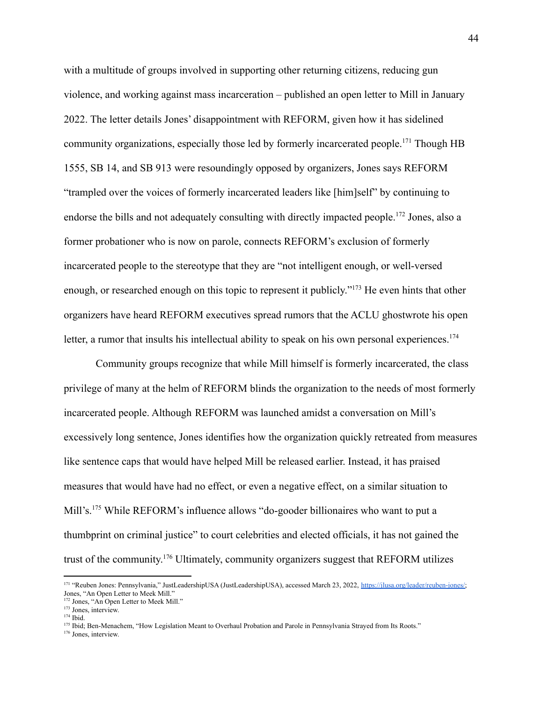with a multitude of groups involved in supporting other returning citizens, reducing gun violence, and working against mass incarceration – published an open letter to Mill in January 2022. The letter details Jones' disappointment with REFORM, given how it has sidelined community organizations, especially those led by formerly incarcerated people.<sup>171</sup> Though HB 1555, SB 14, and SB 913 were resoundingly opposed by organizers, Jones says REFORM "trampled over the voices of formerly incarcerated leaders like [him]self" by continuing to endorse the bills and not adequately consulting with directly impacted people.<sup>172</sup> Jones, also a former probationer who is now on parole, connects REFORM's exclusion of formerly incarcerated people to the stereotype that they are "not intelligent enough, or well-versed enough, or researched enough on this topic to represent it publicly."<sup>173</sup> He even hints that other organizers have heard REFORM executives spread rumors that the ACLU ghostwrote his open letter, a rumor that insults his intellectual ability to speak on his own personal experiences.<sup>174</sup>

Community groups recognize that while Mill himself is formerly incarcerated, the class privilege of many at the helm of REFORM blinds the organization to the needs of most formerly incarcerated people. Although REFORM was launched amidst a conversation on Mill's excessively long sentence, Jones identifies how the organization quickly retreated from measures like sentence caps that would have helped Mill be released earlier. Instead, it has praised measures that would have had no effect, or even a negative effect, on a similar situation to Mill's.<sup>175</sup> While REFORM's influence allows "do-gooder billionaires who want to put a thumbprint on criminal justice" to court celebrities and elected officials, it has not gained the trust of the community. <sup>176</sup> Ultimately, community organizers suggest that REFORM utilizes

<sup>171 &</sup>quot;Reuben Jones: Pennsylvania," JustLeadershipUSA (JustLeadershipUSA), accessed March 23, 2022, [https://jlusa.org/leader/reuben-jones/;](https://jlusa.org/leader/reuben-jones/) Jones, "An Open Letter to Meek Mill."

<sup>&</sup>lt;sup>172</sup> Jones, "An Open Letter to Meek Mill."

<sup>173</sup> Jones, interview.

<sup>174</sup> Ibid.

<sup>&</sup>lt;sup>175</sup> Ibid; Ben-Menachem, "How Legislation Meant to Overhaul Probation and Parole in Pennsylvania Strayed from Its Roots."

<sup>176</sup> Jones, interview.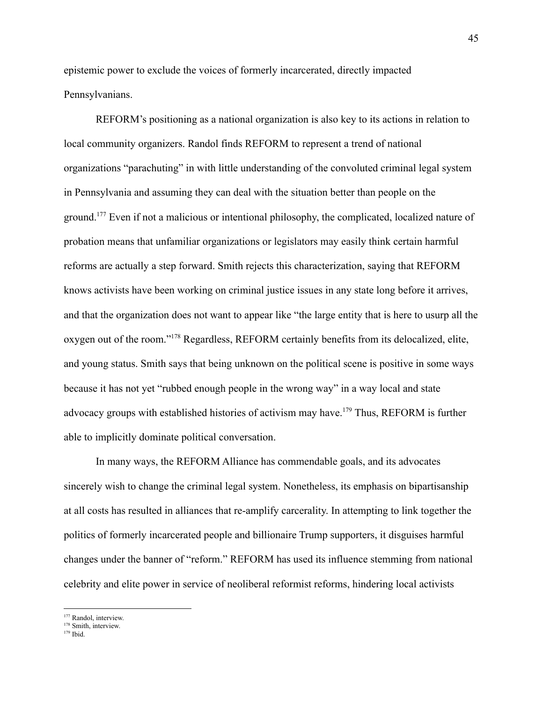epistemic power to exclude the voices of formerly incarcerated, directly impacted Pennsylvanians.

REFORM's positioning as a national organization is also key to its actions in relation to local community organizers. Randol finds REFORM to represent a trend of national organizations "parachuting" in with little understanding of the convoluted criminal legal system in Pennsylvania and assuming they can deal with the situation better than people on the ground.<sup>177</sup> Even if not a malicious or intentional philosophy, the complicated, localized nature of probation means that unfamiliar organizations or legislators may easily think certain harmful reforms are actually a step forward. Smith rejects this characterization, saying that REFORM knows activists have been working on criminal justice issues in any state long before it arrives, and that the organization does not want to appear like "the large entity that is here to usurp all the oxygen out of the room."<sup>178</sup> Regardless, REFORM certainly benefits from its delocalized, elite, and young status. Smith says that being unknown on the political scene is positive in some ways because it has not yet "rubbed enough people in the wrong way" in a way local and state advocacy groups with established histories of activism may have.<sup>179</sup> Thus, REFORM is further able to implicitly dominate political conversation.

In many ways, the REFORM Alliance has commendable goals, and its advocates sincerely wish to change the criminal legal system. Nonetheless, its emphasis on bipartisanship at all costs has resulted in alliances that re-amplify carcerality. In attempting to link together the politics of formerly incarcerated people and billionaire Trump supporters, it disguises harmful changes under the banner of "reform." REFORM has used its influence stemming from national celebrity and elite power in service of neoliberal reformist reforms, hindering local activists

<sup>&</sup>lt;sup>177</sup> Randol, interview.

<sup>178</sup> Smith, interview.

<sup>179</sup> Ibid.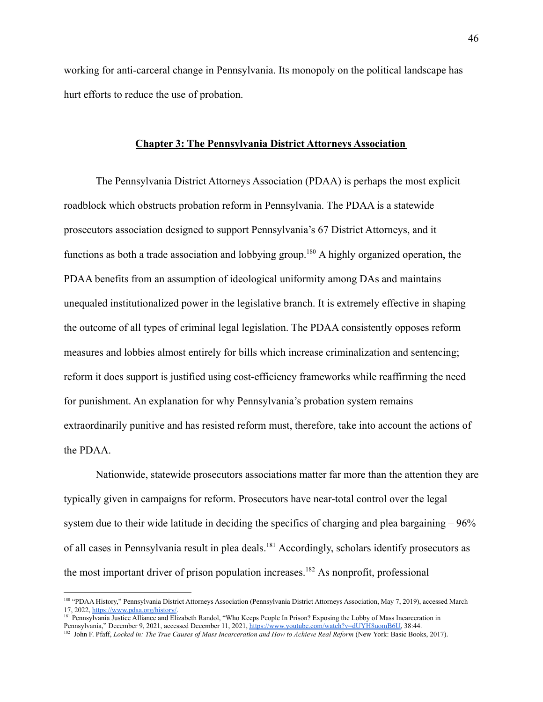working for anti-carceral change in Pennsylvania. Its monopoly on the political landscape has hurt efforts to reduce the use of probation.

### **Chapter 3: The Pennsylvania District Attorneys Association**

The Pennsylvania District Attorneys Association (PDAA) is perhaps the most explicit roadblock which obstructs probation reform in Pennsylvania. The PDAA is a statewide prosecutors association designed to support Pennsylvania's 67 District Attorneys, and it functions as both a trade association and lobbying group.<sup>180</sup> A highly organized operation, the PDAA benefits from an assumption of ideological uniformity among DAs and maintains unequaled institutionalized power in the legislative branch. It is extremely effective in shaping the outcome of all types of criminal legal legislation. The PDAA consistently opposes reform measures and lobbies almost entirely for bills which increase criminalization and sentencing; reform it does support is justified using cost-efficiency frameworks while reaffirming the need for punishment. An explanation for why Pennsylvania's probation system remains extraordinarily punitive and has resisted reform must, therefore, take into account the actions of the PDAA.

Nationwide, statewide prosecutors associations matter far more than the attention they are typically given in campaigns for reform. Prosecutors have near-total control over the legal system due to their wide latitude in deciding the specifics of charging and plea bargaining – 96% of all cases in Pennsylvania result in plea deals.<sup>181</sup> Accordingly, scholars identify prosecutors as the most important driver of prison population increases.<sup>182</sup> As nonprofit, professional

<sup>180</sup> "PDAA History," Pennsylvania District Attorneys Association (Pennsylvania District Attorneys Association, May 7, 2019), accessed March 17, 2022, <https://www.pdaa.org/history/>.

<sup>&</sup>lt;sup>181</sup> Pennsylvania Justice Alliance and Elizabeth Randol, "Who Keeps People In Prison? Exposing the Lobby of Mass Incarceration in Pennsylvania," December 9, 2021, accessed December 11, 2021, [https://www.youtube.com/watch?v=dUYH8uomB6U,](https://www.youtube.com/watch?v=dUYH8uomB6U) 38:44.

<sup>&</sup>lt;sup>182</sup> John F. Pfaff, Locked in: The True Causes of Mass Incarceration and How to Achieve Real Reform (New York: Basic Books, 2017).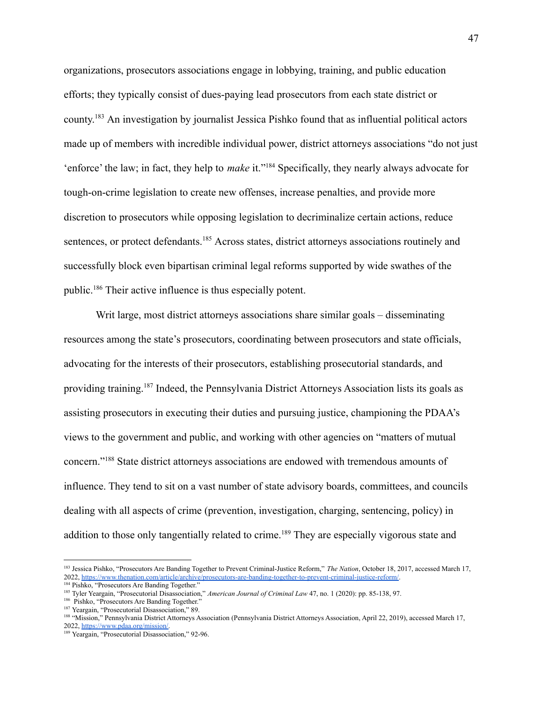organizations, prosecutors associations engage in lobbying, training, and public education efforts; they typically consist of dues-paying lead prosecutors from each state district or county.<sup>183</sup> An investigation by journalist Jessica Pishko found that as influential political actors made up of members with incredible individual power, district attorneys associations "do not just 'enforce' the law; in fact, they help to *make* it."<sup>184</sup> Specifically, they nearly always advocate for tough-on-crime legislation to create new offenses, increase penalties, and provide more discretion to prosecutors while opposing legislation to decriminalize certain actions, reduce sentences, or protect defendants.<sup>185</sup> Across states, district attorneys associations routinely and successfully block even bipartisan criminal legal reforms supported by wide swathes of the public.<sup>186</sup> Their active influence is thus especially potent.

Writ large, most district attorneys associations share similar goals – disseminating resources among the state's prosecutors, coordinating between prosecutors and state officials, advocating for the interests of their prosecutors, establishing prosecutorial standards, and providing training.<sup>187</sup> Indeed, the Pennsylvania District Attorneys Association lists its goals as assisting prosecutors in executing their duties and pursuing justice, championing the PDAA's views to the government and public, and working with other agencies on "matters of mutual concern."<sup>188</sup> State district attorneys associations are endowed with tremendous amounts of influence. They tend to sit on a vast number of state advisory boards, committees, and councils dealing with all aspects of crime (prevention, investigation, charging, sentencing, policy) in addition to those only tangentially related to crime.<sup>189</sup> They are especially vigorous state and

<sup>183</sup> Jessica Pishko, "Prosecutors Are Banding Together to Prevent Criminal-Justice Reform," *The Nation*, October 18, 2017, accessed March 17, 2022, [https://www.thenation.com/article/archive/prosecutors-are-banding-together-to-prevent-criminal-justice-reform/.](https://www.thenation.com/article/archive/prosecutors-are-banding-together-to-prevent-criminal-justice-reform/)

<sup>&</sup>lt;sup>184</sup> Pishko, "Prosecutors Are Banding Together."

<sup>185</sup> Tyler Yeargain, "Prosecutorial Disassociation," *American Journal of Criminal Law* 47, no. 1 (2020): pp. 85-138, 97.

<sup>186</sup> Pishko, "Prosecutors Are Banding Together."

<sup>&</sup>lt;sup>187</sup> Yeargain, "Prosecutorial Disassociation," 89.

<sup>188</sup> "Mission," Pennsylvania District Attorneys Association (Pennsylvania District Attorneys Association, April 22, 2019), accessed March 17, 2022, [https://www.pdaa.org/mission/.](https://www.pdaa.org/mission/)

<sup>&</sup>lt;sup>189</sup> Yeargain, "Prosecutorial Disassociation," 92-96.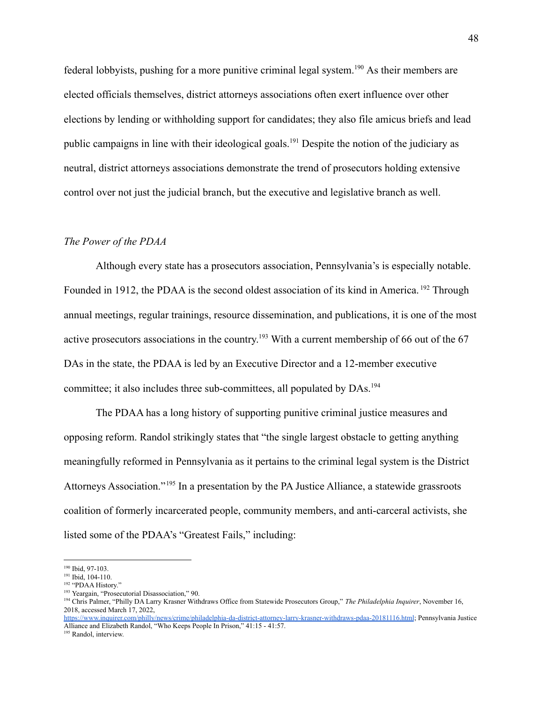federal lobbyists, pushing for a more punitive criminal legal system.<sup>190</sup> As their members are elected officials themselves, district attorneys associations often exert influence over other elections by lending or withholding support for candidates; they also file amicus briefs and lead public campaigns in line with their ideological goals.<sup>191</sup> Despite the notion of the judiciary as neutral, district attorneys associations demonstrate the trend of prosecutors holding extensive control over not just the judicial branch, but the executive and legislative branch as well.

### *The Power of the PDAA*

Although every state has a prosecutors association, Pennsylvania's is especially notable. Founded in 1912, the PDAA is the second oldest association of its kind in America.<sup>192</sup> Through annual meetings, regular trainings, resource dissemination, and publications, it is one of the most active prosecutors associations in the country.<sup>193</sup> With a current membership of 66 out of the 67 DAs in the state, the PDAA is led by an Executive Director and a 12-member executive committee; it also includes three sub-committees, all populated by DAs.<sup>194</sup>

The PDAA has a long history of supporting punitive criminal justice measures and opposing reform. Randol strikingly states that "the single largest obstacle to getting anything meaningfully reformed in Pennsylvania as it pertains to the criminal legal system is the District Attorneys Association."<sup>195</sup> In a presentation by the PA Justice Alliance, a statewide grassroots coalition of formerly incarcerated people, community members, and anti-carceral activists, she listed some of the PDAA's "Greatest Fails," including:

<sup>190</sup> Ibid, 97-103.

<sup>&</sup>lt;sup>191</sup> Ibid, 104-110.

<sup>&</sup>lt;sup>192</sup> "PDAA History."

<sup>193</sup> Yeargain, "Prosecutorial Disassociation," 90.

<sup>194</sup> Chris Palmer, "Philly DA Larry Krasner Withdraws Office from Statewide Prosecutors Group," *The Philadelphia Inquirer*, November 16, 2018, accessed March 17, 2022,

<https://www.inquirer.com/philly/news/crime/philadelphia-da-district-attorney-larry-krasner-withdraws-pdaa-20181116.html>; Pennsylvania Justice Alliance and Elizabeth Randol, "Who Keeps People In Prison," 41:15 - 41:57.

<sup>195</sup> Randol, interview.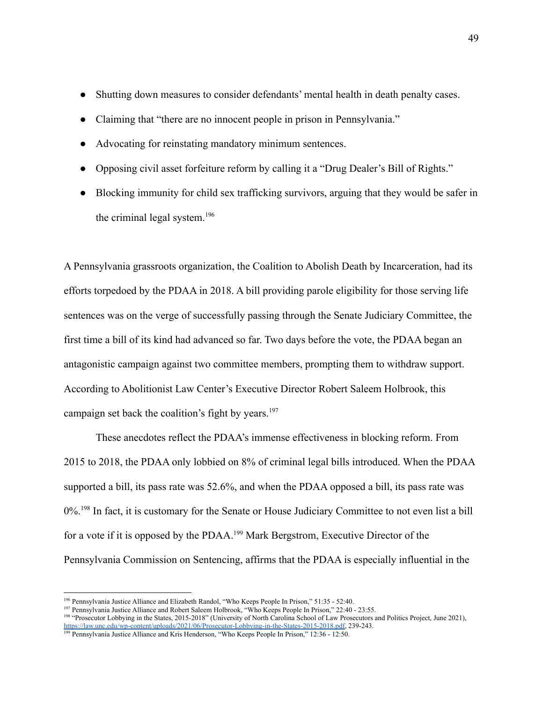- Shutting down measures to consider defendants' mental health in death penalty cases.
- Claiming that "there are no innocent people in prison in Pennsylvania."
- Advocating for reinstating mandatory minimum sentences.
- Opposing civil asset forfeiture reform by calling it a "Drug Dealer's Bill of Rights."
- Blocking immunity for child sex trafficking survivors, arguing that they would be safer in the criminal legal system.<sup>196</sup>

A Pennsylvania grassroots organization, the Coalition to Abolish Death by Incarceration, had its efforts torpedoed by the PDAA in 2018. A bill providing parole eligibility for those serving life sentences was on the verge of successfully passing through the Senate Judiciary Committee, the first time a bill of its kind had advanced so far. Two days before the vote, the PDAA began an antagonistic campaign against two committee members, prompting them to withdraw support. According to Abolitionist Law Center's Executive Director Robert Saleem Holbrook, this campaign set back the coalition's fight by years.<sup>197</sup>

These anecdotes reflect the PDAA's immense effectiveness in blocking reform. From 2015 to 2018, the PDAA only lobbied on 8% of criminal legal bills introduced. When the PDAA supported a bill, its pass rate was 52.6%, and when the PDAA opposed a bill, its pass rate was 0%.<sup>198</sup> In fact, it is customary for the Senate or House Judiciary Committee to not even list a bill for a vote if it is opposed by the PDAA.<sup>199</sup> Mark Bergstrom, Executive Director of the Pennsylvania Commission on Sentencing, affirms that the PDAA is especially influential in the

<sup>196</sup> Pennsylvania Justice Alliance and Elizabeth Randol, "Who Keeps People In Prison," 51:35 - 52:40.

<sup>&</sup>lt;sup>197</sup> Pennsylvania Justice Alliance and Robert Saleem Holbrook, "Who Keeps People In Prison," 22:40 - 23:55.

<sup>198</sup> "Prosecutor Lobbying in the States, 2015-2018" (University of North Carolina School of Law Prosecutors and Politics Project, June 2021), [https://law.unc.edu/wp-content/uploads/2021/06/Prosecutor-Lobbying-in-the-States-2015-2018.pdf,](https://law.unc.edu/wp-content/uploads/2021/06/Prosecutor-Lobbying-in-the-States-2015-2018.pdf) 239-243.

<sup>&</sup>lt;sup>199</sup> Pennsylvania Justice Alliance and Kris Henderson, "Who Keeps People In Prison," 12:36 - 12:50.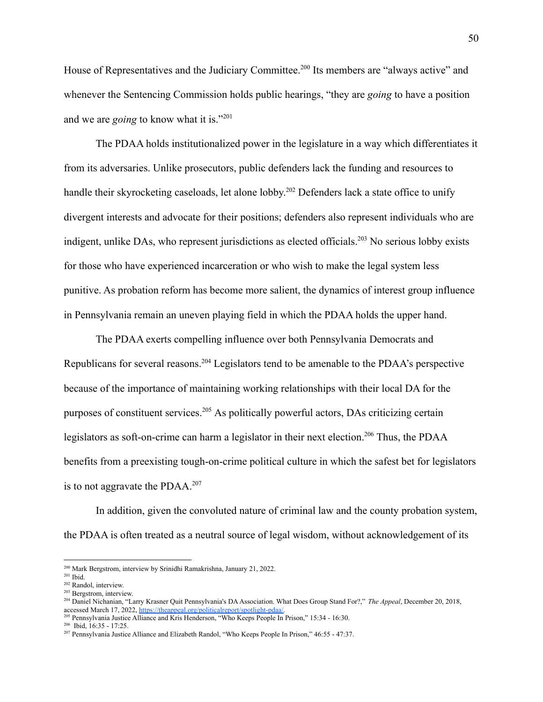House of Representatives and the Judiciary Committee.<sup>200</sup> Its members are "always active" and whenever the Sentencing Commission holds public hearings, "they are *going* to have a position and we are *going* to know what it is."<sup>201</sup>

The PDAA holds institutionalized power in the legislature in a way which differentiates it from its adversaries. Unlike prosecutors, public defenders lack the funding and resources to handle their skyrocketing caseloads, let alone lobby.<sup>202</sup> Defenders lack a state office to unify divergent interests and advocate for their positions; defenders also represent individuals who are indigent, unlike DAs, who represent jurisdictions as elected officials.<sup>203</sup> No serious lobby exists for those who have experienced incarceration or who wish to make the legal system less punitive. As probation reform has become more salient, the dynamics of interest group influence in Pennsylvania remain an uneven playing field in which the PDAA holds the upper hand.

The PDAA exerts compelling influence over both Pennsylvania Democrats and Republicans for several reasons.<sup>204</sup> Legislators tend to be amenable to the PDAA's perspective because of the importance of maintaining working relationships with their local DA for the purposes of constituent services.<sup>205</sup> As politically powerful actors, DAs criticizing certain legislators as soft-on-crime can harm a legislator in their next election.<sup>206</sup> Thus, the PDAA benefits from a preexisting tough-on-crime political culture in which the safest bet for legislators is to not aggravate the PDAA. $207$ 

In addition, given the convoluted nature of criminal law and the county probation system, the PDAA is often treated as a neutral source of legal wisdom, without acknowledgement of its

<sup>200</sup> Mark Bergstrom, interview by Srinidhi Ramakrishna, January 21, 2022.

<sup>201</sup> Ibid.

<sup>202</sup> Randol, interview.

<sup>203</sup> Bergstrom, interview.

<sup>204</sup> Daniel Nichanian, "Larry Krasner Quit Pennsylvania's DAAssociation. What Does Group Stand For?," *The Appeal*, December 20, 2018, accessed March 17, 2022, [https://theappeal.org/politicalreport/spotlight-pdaa/.](https://theappeal.org/politicalreport/spotlight-pdaa/)

<sup>205</sup> Pennsylvania Justice Alliance and Kris Henderson, "Who Keeps People In Prison," 15:34 - 16:30.

<sup>206</sup> Ibid, 16:35 - 17:25.

<sup>207</sup> Pennsylvania Justice Alliance and Elizabeth Randol, "Who Keeps People In Prison," 46:55 - 47:37.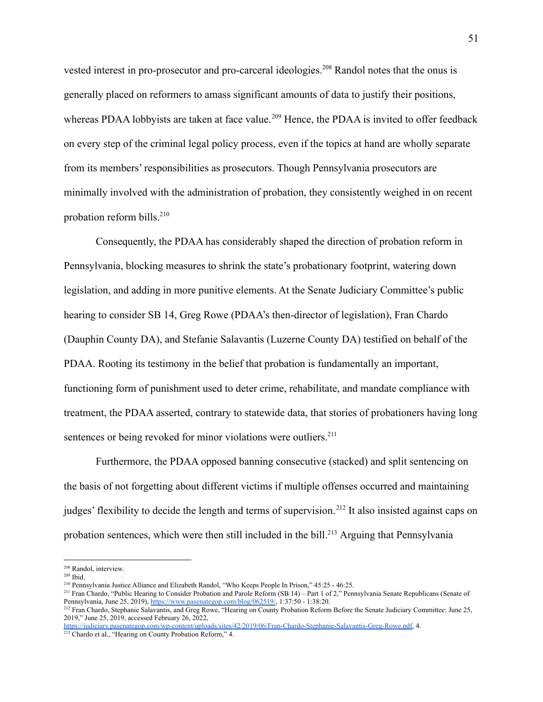vested interest in pro-prosecutor and pro-carceral ideologies.<sup>208</sup> Randol notes that the onus is generally placed on reformers to amass significant amounts of data to justify their positions, whereas PDAA lobbyists are taken at face value.<sup>209</sup> Hence, the PDAA is invited to offer feedback on every step of the criminal legal policy process, even if the topics at hand are wholly separate from its members' responsibilities as prosecutors. Though Pennsylvania prosecutors are minimally involved with the administration of probation, they consistently weighed in on recent probation reform bills. $210$ 

Consequently, the PDAA has considerably shaped the direction of probation reform in Pennsylvania, blocking measures to shrink the state's probationary footprint, watering down legislation, and adding in more punitive elements. At the Senate Judiciary Committee's public hearing to consider SB 14, Greg Rowe (PDAA's then-director of legislation), Fran Chardo (Dauphin County DA), and Stefanie Salavantis (Luzerne County DA) testified on behalf of the PDAA. Rooting its testimony in the belief that probation is fundamentally an important, functioning form of punishment used to deter crime, rehabilitate, and mandate compliance with treatment, the PDAA asserted, contrary to statewide data, that stories of probationers having long sentences or being revoked for minor violations were outliers.<sup>211</sup>

Furthermore, the PDAA opposed banning consecutive (stacked) and split sentencing on the basis of not forgetting about different victims if multiple offenses occurred and maintaining judges' flexibility to decide the length and terms of supervision.<sup>212</sup> It also insisted against caps on probation sentences, which were then still included in the bill.<sup>213</sup> Arguing that Pennsylvania

<sup>208</sup> Randol, interview.

<sup>209</sup> Ibid.

<sup>210</sup> Pennsylvania Justice Alliance and Elizabeth Randol, "Who Keeps People In Prison," 45:25 - 46:25.

<sup>&</sup>lt;sup>211</sup> Fran Chardo, "Public Hearing to Consider Probation and Parole Reform (SB 14) – Part 1 of 2," Pennsylvania Senate Republicans (Senate of Pennsylvania, June 25, 2019), [https://www.pasenategop.com/blog/062519/,](https://www.pasenategop.com/blog/062519/) 1:37:50 - 1:38:20.

<sup>&</sup>lt;sup>212</sup> Fran Chardo, Stephanie Salavantis, and Greg Rowe, "Hearing on County Probation Reform Before the Senate Judiciary Committee: June 25, 2019," June 25, 2019, accessed February 26, 2022,

<sup>213</sup> Chardo et al., "Hearing on County Probation Reform," 4. <https://judiciary.pasenategop.com/wp-content/uploads/sites/42/2019/06/Fran-Chardo-Stephanie-Salavantis-Greg-Rowe.pdf>, 4.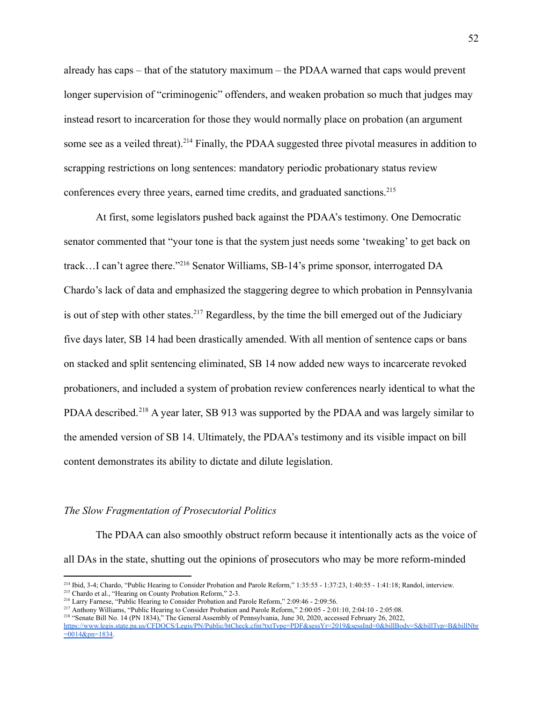already has caps – that of the statutory maximum – the PDAA warned that caps would prevent longer supervision of "criminogenic" offenders, and weaken probation so much that judges may instead resort to incarceration for those they would normally place on probation (an argument some see as a veiled threat).<sup>214</sup> Finally, the PDAA suggested three pivotal measures in addition to scrapping restrictions on long sentences: mandatory periodic probationary status review conferences every three years, earned time credits, and graduated sanctions.<sup>215</sup>

At first, some legislators pushed back against the PDAA's testimony. One Democratic senator commented that "your tone is that the system just needs some 'tweaking' to get back on track…I can't agree there."<sup>216</sup> Senator Williams, SB-14's prime sponsor, interrogated DA Chardo's lack of data and emphasized the staggering degree to which probation in Pennsylvania is out of step with other states.<sup>217</sup> Regardless, by the time the bill emerged out of the Judiciary five days later, SB 14 had been drastically amended. With all mention of sentence caps or bans on stacked and split sentencing eliminated, SB 14 now added new ways to incarcerate revoked probationers, and included a system of probation review conferences nearly identical to what the PDAA described.<sup>218</sup> A year later, SB 913 was supported by the PDAA and was largely similar to the amended version of SB 14. Ultimately, the PDAA's testimony and its visible impact on bill content demonstrates its ability to dictate and dilute legislation.

### *The Slow Fragmentation of Prosecutorial Politics*

The PDAA can also smoothly obstruct reform because it intentionally acts as the voice of all DAs in the state, shutting out the opinions of prosecutors who may be more reform-minded

<sup>&</sup>lt;sup>215</sup> Chardo et al., "Hearing on County Probation Reform," 2-3. 214 Ibid, 3-4; Chardo, "Public Hearing to Consider Probation and Parole Reform," 1:35:55 - 1:37:23, 1:40:55 - 1:41:18; Randol, interview.

<sup>216</sup> Larry Farnese, "Public Hearing to Consider Probation and Parole Reform," 2:09:46 - 2:09:56.

<sup>217</sup> Anthony Williams, "Public Hearing to Consider Probation and Parole Reform," 2:00:05 - 2:01:10, 2:04:10 - 2:05:08.

<sup>218</sup> "Senate Bill No. 14 (PN 1834)," The General Assembly of Pennsylvania, June 30, 2020, accessed February 26, 2022,

[https://www.legis.state.pa.us/CFDOCS/Legis/PN/Public/btCheck.cfm?txtType=PDF&sessYr=2019&sessInd=0&billBody=S&billTyp=B&billNbr](https://www.legis.state.pa.us/CFDOCS/Legis/PN/Public/btCheck.cfm?txtType=PDF&sessYr=2019&sessInd=0&billBody=S&billTyp=B&billNbr=0014&pn=1834)  $=0.014$ &pn=1834.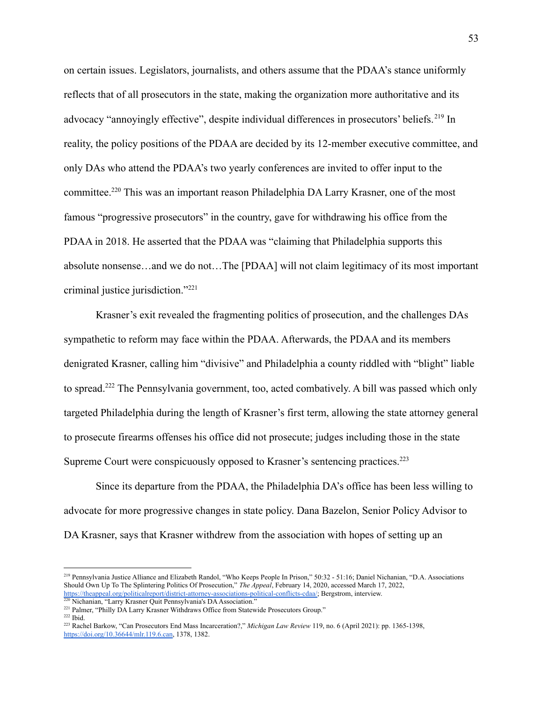on certain issues. Legislators, journalists, and others assume that the PDAA's stance uniformly reflects that of all prosecutors in the state, making the organization more authoritative and its advocacy "annoyingly effective", despite individual differences in prosecutors' beliefs.<sup>219</sup> In reality, the policy positions of the PDAA are decided by its 12-member executive committee, and only DAs who attend the PDAA's two yearly conferences are invited to offer input to the committee.<sup>220</sup> This was an important reason Philadelphia DA Larry Krasner, one of the most famous "progressive prosecutors" in the country, gave for withdrawing his office from the PDAA in 2018. He asserted that the PDAA was "claiming that Philadelphia supports this absolute nonsense…and we do not…The [PDAA] will not claim legitimacy of its most important criminal justice jurisdiction."<sup>221</sup>

Krasner's exit revealed the fragmenting politics of prosecution, and the challenges DAs sympathetic to reform may face within the PDAA. Afterwards, the PDAA and its members denigrated Krasner, calling him "divisive" and Philadelphia a county riddled with "blight" liable to spread.<sup>222</sup> The Pennsylvania government, too, acted combatively. A bill was passed which only targeted Philadelphia during the length of Krasner's first term, allowing the state attorney general to prosecute firearms offenses his office did not prosecute; judges including those in the state Supreme Court were conspicuously opposed to Krasner's sentencing practices.<sup>223</sup>

Since its departure from the PDAA, the Philadelphia DA's office has been less willing to advocate for more progressive changes in state policy. Dana Bazelon, Senior Policy Advisor to DA Krasner, says that Krasner withdrew from the association with hopes of setting up an

<sup>219</sup> Pennsylvania Justice Alliance and Elizabeth Randol, "Who Keeps People In Prison," 50:32 - 51:16; Daniel Nichanian, "D.A. Associations Should Own Up To The Splintering Politics Of Prosecution," *The Appeal*, February 14, 2020, accessed March 17, 2022, [https://theappeal.org/politicalreport/district-attorney-associations-political-conflicts-cdaa/;](https://theappeal.org/politicalreport/district-attorney-associations-political-conflicts-cdaa/) Bergstrom, interview.

<sup>&</sup>lt;sup>220</sup> Nichanian, "Larry Krasner Quit Pennsylvania's DA Association."

<sup>&</sup>lt;sup>221</sup> Palmer, "Philly DA Larry Krasner Withdraws Office from Statewide Prosecutors Group."

<sup>222</sup> Ibid.

<sup>223</sup> Rachel Barkow, "Can Prosecutors End Mass Incarceration?," *Michigan Law Review* 119, no. 6 (April 2021): pp. 1365-1398, [https://doi.org/10.36644/mlr.119.6.can,](https://doi.org/10.36644/mlr.119.6.can) 1378, 1382.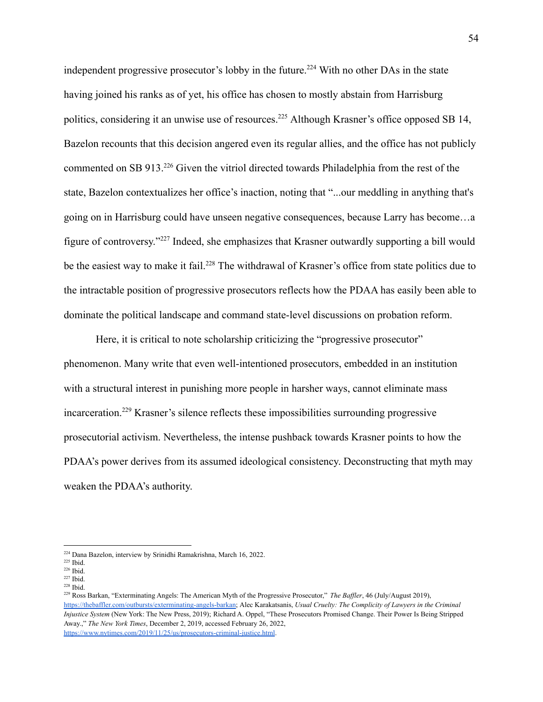independent progressive prosecutor's lobby in the future.<sup>224</sup> With no other DAs in the state having joined his ranks as of yet, his office has chosen to mostly abstain from Harrisburg politics, considering it an unwise use of resources.<sup>225</sup> Although Krasner's office opposed SB 14, Bazelon recounts that this decision angered even its regular allies, and the office has not publicly commented on SB 913.<sup>226</sup> Given the vitriol directed towards Philadelphia from the rest of the state, Bazelon contextualizes her office's inaction, noting that "...our meddling in anything that's going on in Harrisburg could have unseen negative consequences, because Larry has become…a figure of controversy."<sup>227</sup> Indeed, she emphasizes that Krasner outwardly supporting a bill would be the easiest way to make it fail.<sup>228</sup> The withdrawal of Krasner's office from state politics due to the intractable position of progressive prosecutors reflects how the PDAA has easily been able to dominate the political landscape and command state-level discussions on probation reform.

Here, it is critical to note scholarship criticizing the "progressive prosecutor" phenomenon. Many write that even well-intentioned prosecutors, embedded in an institution with a structural interest in punishing more people in harsher ways, cannot eliminate mass incarceration.<sup>229</sup> Krasner's silence reflects these impossibilities surrounding progressive prosecutorial activism. Nevertheless, the intense pushback towards Krasner points to how the PDAA's power derives from its assumed ideological consistency. Deconstructing that myth may weaken the PDAA's authority.

<sup>224</sup> Dana Bazelon, interview by Srinidhi Ramakrishna, March 16, 2022.

<sup>225</sup> Ibid.

<sup>226</sup> Ibid.

<sup>228</sup> Ibid. 227 Ibid.

<sup>229</sup> Ross Barkan, "Exterminating Angels: The American Myth of the Progressive Prosecutor," *The Baf ler*, 46 (July/August 2019), <https://thebaffler.com/outbursts/exterminating-angels-barkan>; Alec Karakatsanis, *Usual Cruelty: The Complicity of Lawyers in the Criminal Injustice System* (New York: The New Press, 2019); Richard A. Oppel, "These Prosecutors Promised Change. Their Power Is Being Stripped Away.," *The New York Times*, December 2, 2019, accessed February 26, 2022, <https://www.nytimes.com/2019/11/25/us/prosecutors-criminal-justice.html>.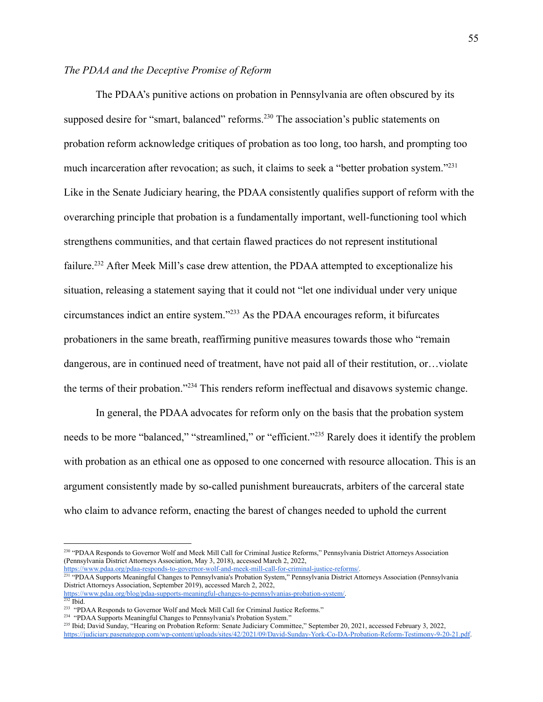## *The PDAA and the Deceptive Promise of Reform*

The PDAA's punitive actions on probation in Pennsylvania are often obscured by its supposed desire for "smart, balanced" reforms.<sup>230</sup> The association's public statements on probation reform acknowledge critiques of probation as too long, too harsh, and prompting too much incarceration after revocation; as such, it claims to seek a "better probation system."<sup>231</sup> Like in the Senate Judiciary hearing, the PDAA consistently qualifies support of reform with the overarching principle that probation is a fundamentally important, well-functioning tool which strengthens communities, and that certain flawed practices do not represent institutional failure.<sup>232</sup> After Meek Mill's case drew attention, the PDAA attempted to exceptionalize his situation, releasing a statement saying that it could not "let one individual under very unique circumstances indict an entire system."<sup>233</sup> As the PDAA encourages reform, it bifurcates probationers in the same breath, reaffirming punitive measures towards those who "remain dangerous, are in continued need of treatment, have not paid all of their restitution, or…violate the terms of their probation."<sup>234</sup> This renders reform ineffectual and disavows systemic change.

In general, the PDAA advocates for reform only on the basis that the probation system needs to be more "balanced," "streamlined," or "efficient."<sup>235</sup> Rarely does it identify the problem with probation as an ethical one as opposed to one concerned with resource allocation. This is an argument consistently made by so-called punishment bureaucrats, arbiters of the carceral state who claim to advance reform, enacting the barest of changes needed to uphold the current

<sup>230</sup> "PDAA Responds to Governor Wolf and Meek Mill Call for Criminal Justice Reforms," Pennsylvania District Attorneys Association (Pennsylvania District Attorneys Association, May 3, 2018), accessed March 2, 2022,

<sup>&</sup>lt;sup>231</sup> "PDAA Supports Meaningful Changes to Pennsylvania's Probation System," Pennsylvania District Attorneys Association (Pennsylvania) District Attorneys Association, September 2019), accessed March 2, 2022, [https://www.pdaa.org/blog/pdaa-supports-meaningful-changes-to-pennsylvanias-probation-system/.](https://www.pdaa.org/blog/pdaa-supports-meaningful-changes-to-pennsylvanias-probation-system/) [https://www.pdaa.org/pdaa-responds-to-governor-wolf-and-meek-mill-call-for-criminal-justice-reforms/.](https://www.pdaa.org/pdaa-responds-to-governor-wolf-and-meek-mill-call-for-criminal-justice-reforms/)

<sup>232</sup> Ibid.

<sup>&</sup>lt;sup>233</sup> "PDAA Responds to Governor Wolf and Meek Mill Call for Criminal Justice Reforms."

<sup>&</sup>lt;sup>234</sup> "PDAA Supports Meaningful Changes to Pennsylvania's Probation System."

<sup>&</sup>lt;sup>235</sup> Ibid; David Sunday, "Hearing on Probation Reform: Senate Judiciary Committee," September 20, 2021, accessed February 3, 2022, <https://judiciary.pasenategop.com/wp-content/uploads/sites/42/2021/09/David-Sunday-York-Co-DA-Probation-Reform-Testimony-9-20-21.pdf>.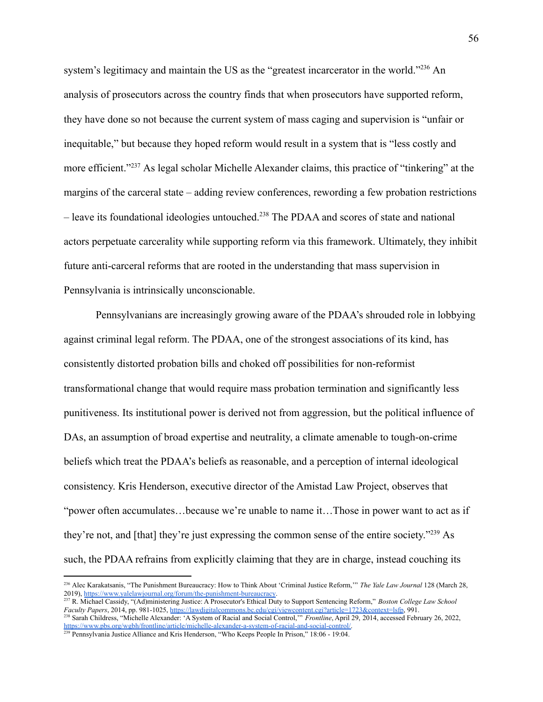system's legitimacy and maintain the US as the "greatest incarcerator in the world."<sup>236</sup> An analysis of prosecutors across the country finds that when prosecutors have supported reform, they have done so not because the current system of mass caging and supervision is "unfair or inequitable," but because they hoped reform would result in a system that is "less costly and more efficient."<sup>237</sup> As legal scholar Michelle Alexander claims, this practice of "tinkering" at the margins of the carceral state – adding review conferences, rewording a few probation restrictions – leave its foundational ideologies untouched.<sup>238</sup> The PDAA and scores of state and national actors perpetuate carcerality while supporting reform via this framework. Ultimately, they inhibit future anti-carceral reforms that are rooted in the understanding that mass supervision in Pennsylvania is intrinsically unconscionable.

Pennsylvanians are increasingly growing aware of the PDAA's shrouded role in lobbying against criminal legal reform. The PDAA, one of the strongest associations of its kind, has consistently distorted probation bills and choked off possibilities for non-reformist transformational change that would require mass probation termination and significantly less punitiveness. Its institutional power is derived not from aggression, but the political influence of DAs, an assumption of broad expertise and neutrality, a climate amenable to tough-on-crime beliefs which treat the PDAA's beliefs as reasonable, and a perception of internal ideological consistency. Kris Henderson, executive director of the Amistad Law Project, observes that "power often accumulates…because we're unable to name it…Those in power want to act as if they're not, and [that] they're just expressing the common sense of the entire society."<sup>239</sup> As such, the PDAA refrains from explicitly claiming that they are in charge, instead couching its

<sup>236</sup> Alec Karakatsanis, "The Punishment Bureaucracy: How to Think About 'Criminal Justice Reform,'" *The Yale Law Journal* 128 (March 28, 2019), <https://www.yalelawjournal.org/forum/the-punishment-bureaucracy>.

<sup>238</sup> Sarah Childress, "Michelle Alexander: 'A System of Racial and Social Control,'" *Frontline*, April 29, 2014, accessed February 26, 2022, [https://www.pbs.org/wgbh/frontline/article/michelle-alexander-a-system-of-racial-and-social-control/.](https://www.pbs.org/wgbh/frontline/article/michelle-alexander-a-system-of-racial-and-social-control/) <sup>237</sup> R. Michael Cassidy, "(Ad)ministering Justice: A Prosecutor's Ethical Duty to Support Sentencing Reform," *Boston College Law School Faculty Papers*, 2014, pp. 981-1025, <https://lawdigitalcommons.bc.edu/cgi/viewcontent.cgi?article=1723&context=lsfp>, 991.

<sup>239</sup> Pennsylvania Justice Alliance and Kris Henderson, "Who Keeps People In Prison," 18:06 - 19:04.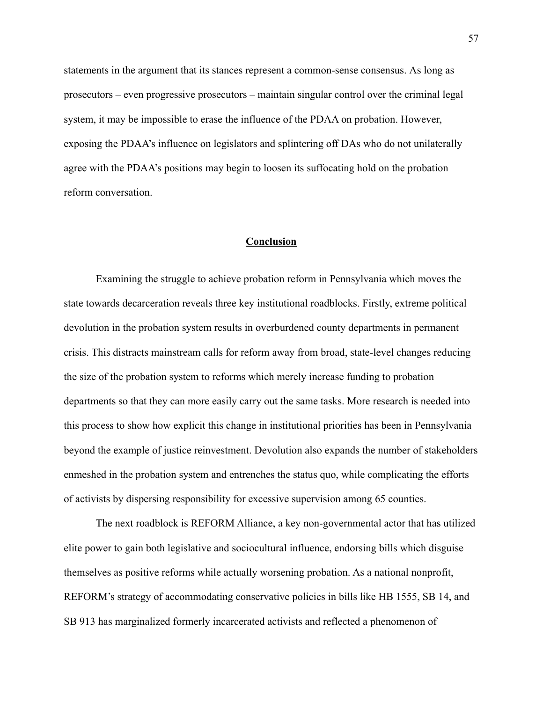statements in the argument that its stances represent a common-sense consensus. As long as prosecutors – even progressive prosecutors – maintain singular control over the criminal legal system, it may be impossible to erase the influence of the PDAA on probation. However, exposing the PDAA's influence on legislators and splintering off DAs who do not unilaterally agree with the PDAA's positions may begin to loosen its suffocating hold on the probation reform conversation.

### **Conclusion**

Examining the struggle to achieve probation reform in Pennsylvania which moves the state towards decarceration reveals three key institutional roadblocks. Firstly, extreme political devolution in the probation system results in overburdened county departments in permanent crisis. This distracts mainstream calls for reform away from broad, state-level changes reducing the size of the probation system to reforms which merely increase funding to probation departments so that they can more easily carry out the same tasks. More research is needed into this process to show how explicit this change in institutional priorities has been in Pennsylvania beyond the example of justice reinvestment. Devolution also expands the number of stakeholders enmeshed in the probation system and entrenches the status quo, while complicating the efforts of activists by dispersing responsibility for excessive supervision among 65 counties.

The next roadblock is REFORM Alliance, a key non-governmental actor that has utilized elite power to gain both legislative and sociocultural influence, endorsing bills which disguise themselves as positive reforms while actually worsening probation. As a national nonprofit, REFORM's strategy of accommodating conservative policies in bills like HB 1555, SB 14, and SB 913 has marginalized formerly incarcerated activists and reflected a phenomenon of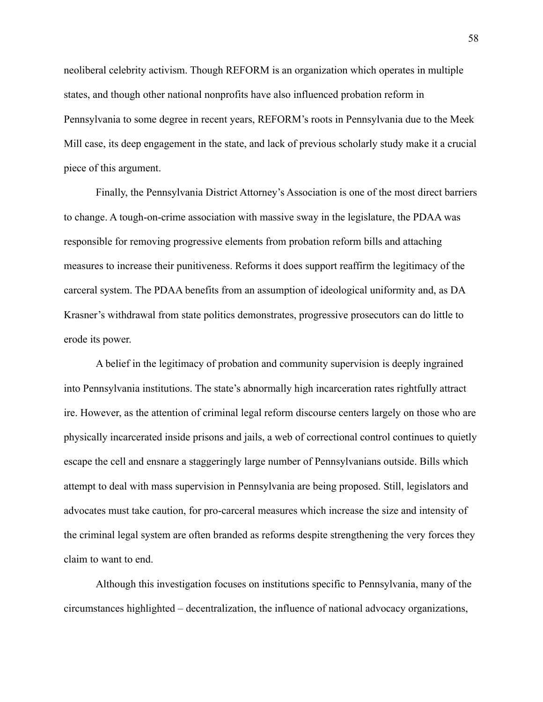neoliberal celebrity activism. Though REFORM is an organization which operates in multiple states, and though other national nonprofits have also influenced probation reform in Pennsylvania to some degree in recent years, REFORM's roots in Pennsylvania due to the Meek Mill case, its deep engagement in the state, and lack of previous scholarly study make it a crucial piece of this argument.

Finally, the Pennsylvania District Attorney's Association is one of the most direct barriers to change. A tough-on-crime association with massive sway in the legislature, the PDAA was responsible for removing progressive elements from probation reform bills and attaching measures to increase their punitiveness. Reforms it does support reaffirm the legitimacy of the carceral system. The PDAA benefits from an assumption of ideological uniformity and, as DA Krasner's withdrawal from state politics demonstrates, progressive prosecutors can do little to erode its power.

A belief in the legitimacy of probation and community supervision is deeply ingrained into Pennsylvania institutions. The state's abnormally high incarceration rates rightfully attract ire. However, as the attention of criminal legal reform discourse centers largely on those who are physically incarcerated inside prisons and jails, a web of correctional control continues to quietly escape the cell and ensnare a staggeringly large number of Pennsylvanians outside. Bills which attempt to deal with mass supervision in Pennsylvania are being proposed. Still, legislators and advocates must take caution, for pro-carceral measures which increase the size and intensity of the criminal legal system are often branded as reforms despite strengthening the very forces they claim to want to end.

Although this investigation focuses on institutions specific to Pennsylvania, many of the circumstances highlighted – decentralization, the influence of national advocacy organizations,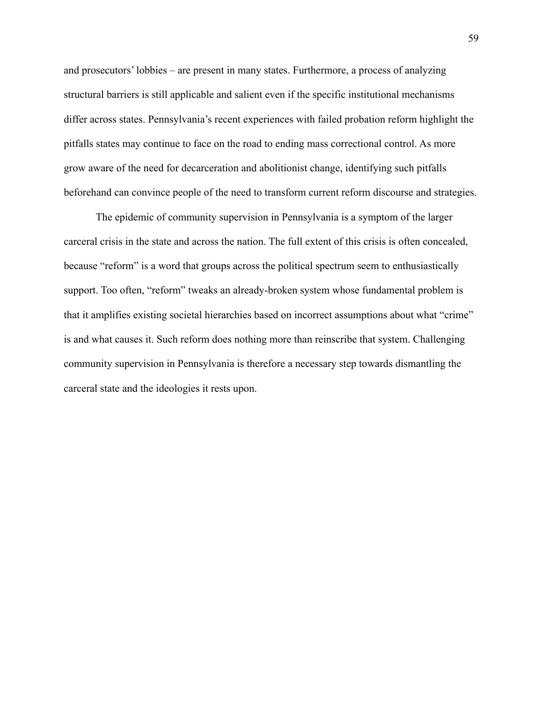and prosecutors' lobbies – are present in many states. Furthermore, a process of analyzing structural barriers is still applicable and salient even if the specific institutional mechanisms differ across states. Pennsylvania's recent experiences with failed probation reform highlight the pitfalls states may continue to face on the road to ending mass correctional control. As more grow aware of the need for decarceration and abolitionist change, identifying such pitfalls beforehand can convince people of the need to transform current reform discourse and strategies.

The epidemic of community supervision in Pennsylvania is a symptom of the larger carceral crisis in the state and across the nation. The full extent of this crisis is often concealed, because "reform" is a word that groups across the political spectrum seem to enthusiastically support. Too often, "reform" tweaks an already-broken system whose fundamental problem is that it amplifies existing societal hierarchies based on incorrect assumptions about what "crime" is and what causes it. Such reform does nothing more than reinscribe that system. Challenging community supervision in Pennsylvania is therefore a necessary step towards dismantling the carceral state and the ideologies it rests upon.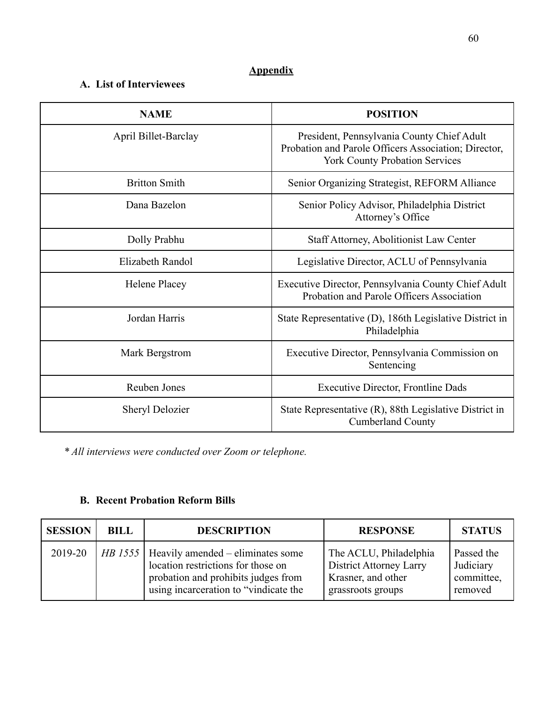# **Appendix**

# **A. List of Interviewees**

| <b>NAME</b>            | <b>POSITION</b>                                                                                                                             |
|------------------------|---------------------------------------------------------------------------------------------------------------------------------------------|
| April Billet-Barclay   | President, Pennsylvania County Chief Adult<br>Probation and Parole Officers Association; Director,<br><b>York County Probation Services</b> |
| <b>Britton Smith</b>   | Senior Organizing Strategist, REFORM Alliance                                                                                               |
| Dana Bazelon           | Senior Policy Advisor, Philadelphia District<br>Attorney's Office                                                                           |
| Dolly Prabhu           | <b>Staff Attorney, Abolitionist Law Center</b>                                                                                              |
| Elizabeth Randol       | Legislative Director, ACLU of Pennsylvania                                                                                                  |
| Helene Placey          | Executive Director, Pennsylvania County Chief Adult<br>Probation and Parole Officers Association                                            |
| Jordan Harris          | State Representative (D), 186th Legislative District in<br>Philadelphia                                                                     |
| Mark Bergstrom         | Executive Director, Pennsylvania Commission on<br>Sentencing                                                                                |
| Reuben Jones           | <b>Executive Director, Frontline Dads</b>                                                                                                   |
| <b>Sheryl Delozier</b> | State Representative (R), 88th Legislative District in<br><b>Cumberland County</b>                                                          |

*\* All interviews were conducted over Zoom or telephone.*

# **B. Recent Probation Reform Bills**

| <b>SESSION</b> | <b>BILL</b> | <b>DESCRIPTION</b>                                                                                                                                                | <b>RESPONSE</b>                                                                                     | <b>STATUS</b>                                    |
|----------------|-------------|-------------------------------------------------------------------------------------------------------------------------------------------------------------------|-----------------------------------------------------------------------------------------------------|--------------------------------------------------|
| 2019-20        |             | HB 1555   Heavily amended – eliminates some<br>location restrictions for those on<br>probation and prohibits judges from<br>using incarceration to "vindicate the | The ACLU, Philadelphia<br><b>District Attorney Larry</b><br>Krasner, and other<br>grassroots groups | Passed the<br>Judiciary<br>committee,<br>removed |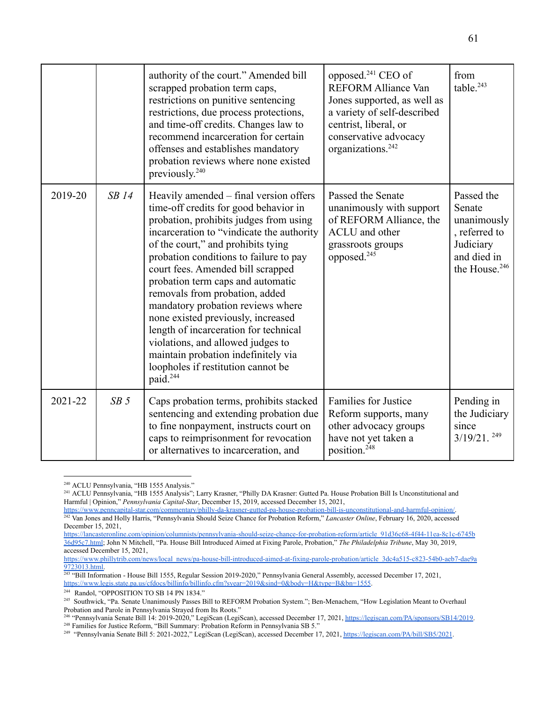|         |                 | authority of the court." Amended bill<br>scrapped probation term caps,<br>restrictions on punitive sentencing<br>restrictions, due process protections,<br>and time-off credits. Changes law to<br>recommend incarceration for certain<br>offenses and establishes mandatory<br>probation reviews where none existed<br>previously. <sup>240</sup>                                                                                                                                                                                                                                                                               | opposed. <sup>241</sup> CEO of<br><b>REFORM Alliance Van</b><br>Jones supported, as well as<br>a variety of self-described<br>centrist, liberal, or<br>conservative advocacy<br>organizations. <sup>242</sup> | from<br>table. <sup>243</sup>                                                                                 |
|---------|-----------------|----------------------------------------------------------------------------------------------------------------------------------------------------------------------------------------------------------------------------------------------------------------------------------------------------------------------------------------------------------------------------------------------------------------------------------------------------------------------------------------------------------------------------------------------------------------------------------------------------------------------------------|---------------------------------------------------------------------------------------------------------------------------------------------------------------------------------------------------------------|---------------------------------------------------------------------------------------------------------------|
| 2019-20 | $SB$ 14         | Heavily amended – final version offers<br>time-off credits for good behavior in<br>probation, prohibits judges from using<br>incarceration to "vindicate the authority<br>of the court," and prohibits tying<br>probation conditions to failure to pay<br>court fees. Amended bill scrapped<br>probation term caps and automatic<br>removals from probation, added<br>mandatory probation reviews where<br>none existed previously, increased<br>length of incarceration for technical<br>violations, and allowed judges to<br>maintain probation indefinitely via<br>loopholes if restitution cannot be<br>paid. <sup>244</sup> | Passed the Senate<br>unanimously with support<br>of REFORM Alliance, the<br><b>ACLU</b> and other<br>grassroots groups<br>opposed. <sup>245</sup>                                                             | Passed the<br>Senate<br>unanimously<br>, referred to<br>Judiciary<br>and died in<br>the House. <sup>246</sup> |
| 2021-22 | SB <sub>5</sub> | Caps probation terms, prohibits stacked<br>sentencing and extending probation due<br>to fine nonpayment, instructs court on<br>caps to reimprisonment for revocation<br>or alternatives to incarceration, and                                                                                                                                                                                                                                                                                                                                                                                                                    | <b>Families for Justice</b><br>Reform supports, many<br>other advocacy groups<br>have not yet taken a<br>position. <sup>248</sup>                                                                             | Pending in<br>the Judiciary<br>since<br>$3/19/21$ . $^{249}$                                                  |

<sup>&</sup>lt;sup>240</sup> ACLU Pennsylvania, "HB 1555 Analysis."

<sup>241</sup> ACLU Pennsylvania, "HB 1555 Analysis"; Larry Krasner, "Philly DA Krasner: Gutted Pa. House Probation Bill Is Unconstitutional and Harmful | Opinion," *Pennsylvania Capital-Star*, December 15, 2019, accessed December 15, 2021,

<sup>242</sup> Van Jones and Holly Harris, "Pennsylvania Should Seize Chance for Probation Reform," *Lancaster Online*, February 16, 2020, accessed December 15, 2021, [https://www.penncapital-star.com/commentary/philly-da-krasner-gutted-pa-house-probation-bill-is-unconstitutional-and-harmful-opinion/.](https://www.penncapital-star.com/commentary/philly-da-krasner-gutted-pa-house-probation-bill-is-unconstitutional-and-harmful-opinion/)

[https://lancasteronline.com/opinion/columnists/pennsylvania-should-seize-chance-for-probation-reform/article\\_91d36c68-4f44-11ea-8c1c-6745b](https://lancasteronline.com/opinion/columnists/pennsylvania-should-seize-chance-for-probation-reform/article_91d36c68-4f44-11ea-8c1c-6745b36d95c7.html) [36d95c7.html](https://lancasteronline.com/opinion/columnists/pennsylvania-should-seize-chance-for-probation-reform/article_91d36c68-4f44-11ea-8c1c-6745b36d95c7.html); John N Mitchell, "Pa. House Bill Introduced Aimed at Fixing Parole, Probation," *The Philadelphia Tribune*, May 30, 2019, accessed December 15, 2021,

[https://www.phillytrib.com/news/local\\_news/pa-house-bill-introduced-aimed-at-fixing-parole-probation/article\\_3dc4a515-c823-54b0-aeb7-dae9a](https://www.phillytrib.com/news/local_news/pa-house-bill-introduced-aimed-at-fixing-parole-probation/article_3dc4a515-c823-54b0-aeb7-dae9a9723013.html) [9723013.html.](https://www.phillytrib.com/news/local_news/pa-house-bill-introduced-aimed-at-fixing-parole-probation/article_3dc4a515-c823-54b0-aeb7-dae9a9723013.html)

<sup>243</sup> "Bill Information - House Bill 1555, Regular Session 2019-2020," Pennsylvania General Assembly, accessed December 17, 2021, <https://www.legis.state.pa.us/cfdocs/billinfo/billinfo.cfm?syear=2019&sind=0&body=H&type=B&bn=1555>.

<sup>&</sup>lt;sup>244</sup> Randol, "OPPOSITION TO SB 14 PN 1834."

<sup>&</sup>lt;sup>245</sup> Southwick, "Pa. Senate Unanimously Passes Bill to REFORM Probation System."; Ben-Menachem, "How Legislation Meant to Overhaul Probation and Parole in Pennsylvania Strayed from Its Roots."

<sup>&</sup>lt;sup>248</sup> Families for Justice Reform, "Bill Summary: Probation Reform in Pennsylvania SB 5." <sup>246</sup> "Pennsylvania Senate Bill 14: 2019-2020," LegiScan (LegiScan), accessed December 17, 2021, [https://legiscan.com/PA/sponsors/SB14/2019.](https://legiscan.com/PA/sponsors/SB14/2019)

<sup>&</sup>lt;sup>249</sup> "Pennsylvania Senate Bill 5: 2021-2022," LegiScan (LegiScan), accessed December 17, 2021, <https://legiscan.com/PA/bill/SB5/2021>.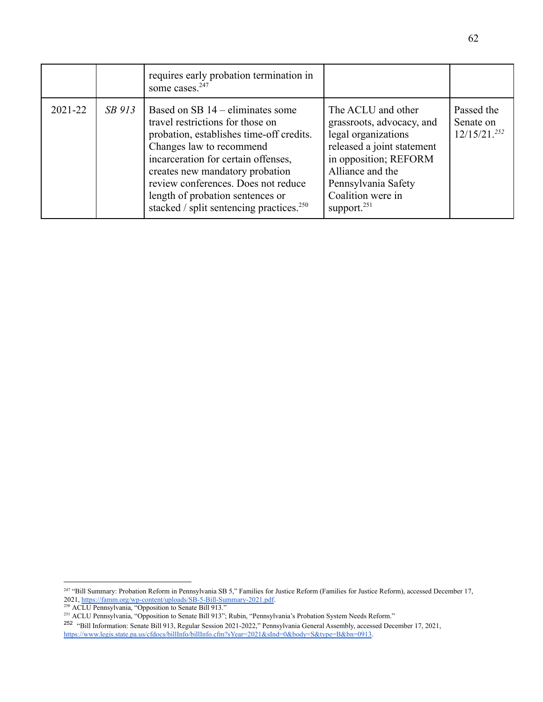|         |        | requires early probation termination in<br>some cases. <sup>247</sup>                                                                                                                                                                                                                                                                                       |                                                                                                                                                                                                                 |                                             |
|---------|--------|-------------------------------------------------------------------------------------------------------------------------------------------------------------------------------------------------------------------------------------------------------------------------------------------------------------------------------------------------------------|-----------------------------------------------------------------------------------------------------------------------------------------------------------------------------------------------------------------|---------------------------------------------|
| 2021-22 | SB 913 | Based on SB $14$ – eliminates some<br>travel restrictions for those on<br>probation, establishes time-off credits.<br>Changes law to recommend<br>incarceration for certain offenses,<br>creates new mandatory probation<br>review conferences. Does not reduce<br>length of probation sentences or<br>stacked / split sentencing practices. <sup>250</sup> | The ACLU and other<br>grassroots, advocacy, and<br>legal organizations<br>released a joint statement<br>in opposition; REFORM<br>Alliance and the<br>Pennsylvania Safety<br>Coalition were in<br>support. $251$ | Passed the<br>Senate on<br>$12/15/21^{252}$ |

<sup>&</sup>lt;sup>247</sup> "Bill Summary: Probation Reform in Pennsylvania SB 5," Families for Justice Reform (Families for Justice Reform), accessed December 17, 2021, [https://famm.org/wp-content/uploads/SB-5-Bill-Summary-2021.pdf.](https://famm.org/wp-content/uploads/SB-5-Bill-Summary-2021.pdf)

<sup>&</sup>lt;sup>250</sup> ACLU Pennsylvania, "Opposition to Senate Bill 913."

<sup>&</sup>lt;sup>251</sup> ACLU Pennsylvania, "Opposition to Senate Bill 913"; Rubin, "Pennsylvania's Probation System Needs Reform."

<sup>252</sup> "Bill Information: Senate Bill 913, Regular Session 2021-2022," Pennsylvania General Assembly, accessed December 17, 2021, <https://www.legis.state.pa.us/cfdocs/billInfo/billInfo.cfm?sYear=2021&sInd=0&body=S&type=B&bn=0913>.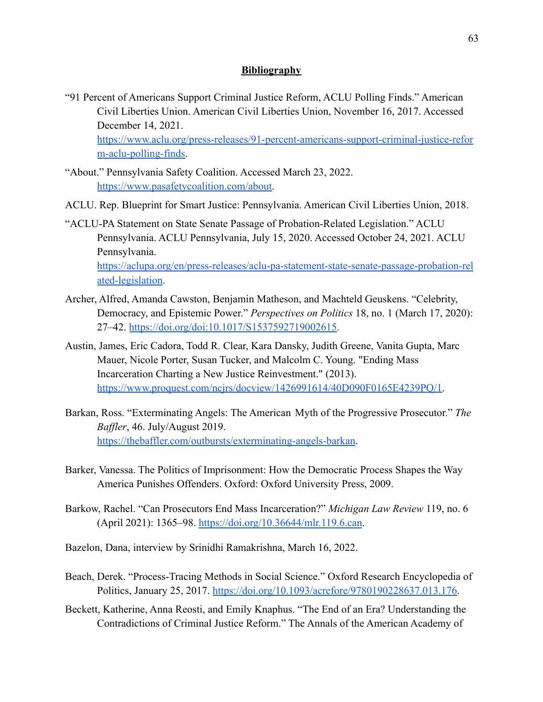## **Bibliography**

"91 Percent of Americans Support Criminal Justice Reform, ACLU Polling Finds." American Civil Liberties Union. American Civil Liberties Union, November 16, 2017. Accessed December 14, 2021.

[https://www.aclu.org/press-releases/91-percent-americans-support-criminal-justice-refor](https://www.aclu.org/press-releases/91-percent-americans-support-criminal-justice-reform-aclu-polling-finds) [m-aclu-polling-finds.](https://www.aclu.org/press-releases/91-percent-americans-support-criminal-justice-reform-aclu-polling-finds)

- "About." Pennsylvania Safety Coalition. Accessed March 23, 2022. [https://www.pasafetycoalition.com/about.](https://www.pasafetycoalition.com/about)
- ACLU. Rep. Blueprint for Smart Justice: Pennsylvania. American Civil Liberties Union, 2018.
- "ACLU-PA Statement on State Senate Passage of Probation-Related Legislation." ACLU Pennsylvania. ACLU Pennsylvania, July 15, 2020. Accessed October 24, 2021. ACLU Pennsylvania. [https://aclupa.org/en/press-releases/aclu-pa-statement-state-senate-passage-probation-rel](https://aclupa.org/en/press-releases/aclu-pa-statement-state-senate-passage-probation-related-legislation) [ated-legislation](https://aclupa.org/en/press-releases/aclu-pa-statement-state-senate-passage-probation-related-legislation).
- Archer, Alfred, Amanda Cawston, Benjamin Matheson, and Machteld Geuskens. "Celebrity, Democracy, and Epistemic Power." *Perspectives on Politics* 18, no. 1 (March 17, 2020): 27–42. [https://doi.org/doi:10.1017/S1537592719002615.](https://doi.org/doi:10.1017/S1537592719002615)
- Austin, James, Eric Cadora, Todd R. Clear, Kara Dansky, Judith Greene, Vanita Gupta, Marc Mauer, Nicole Porter, Susan Tucker, and Malcolm C. Young. "Ending Mass Incarceration Charting a New Justice Reinvestment." (2013). [https://www.proquest.com/ncjrs/docview/1426991614/40D090F0165E4239PQ/1.](https://www.proquest.com/ncjrs/docview/1426991614/40D090F0165E4239PQ/1)
- Barkan, Ross. "Exterminating Angels: The American Myth of the Progressive Prosecutor." *The Baffler*, 46. July/August 2019. [https://thebaffler.com/outbursts/exterminating-angels-barkan.](https://thebaffler.com/outbursts/exterminating-angels-barkan)
- Barker, Vanessa. The Politics of Imprisonment: How the Democratic Process Shapes the Way America Punishes Offenders. Oxford: Oxford University Press, 2009.
- Barkow, Rachel. "Can Prosecutors End Mass Incarceration?" *Michigan Law Review* 119, no. 6 (April 2021): 1365–98. <https://doi.org/10.36644/mlr.119.6.can>.
- Bazelon, Dana, interview by Srinidhi Ramakrishna, March 16, 2022.
- Beach, Derek. "Process-Tracing Methods in Social Science." Oxford Research Encyclopedia of Politics, January 25, 2017. [https://doi.org/10.1093/acrefore/9780190228637.013.176.](https://doi.org/10.1093/acrefore/9780190228637.013.176)
- Beckett, Katherine, Anna Reosti, and Emily Knaphus. "The End of an Era? Understanding the Contradictions of Criminal Justice Reform." The Annals of the American Academy of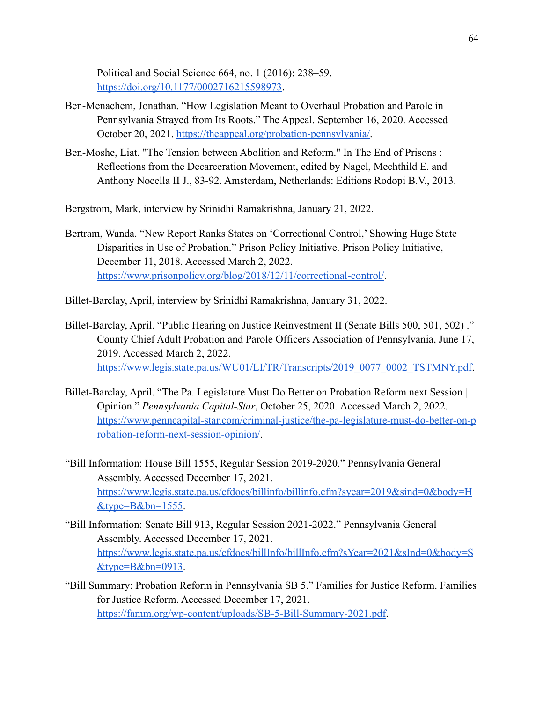Political and Social Science 664, no. 1 (2016): 238–59. <https://doi.org/10.1177/0002716215598973>.

- Ben-Menachem, Jonathan. "How Legislation Meant to Overhaul Probation and Parole in Pennsylvania Strayed from Its Roots." The Appeal. September 16, 2020. Accessed October 20, 2021. <https://theappeal.org/probation-pennsylvania/>.
- Ben-Moshe, Liat. "The Tension between Abolition and Reform." In The End of Prisons : Reflections from the Decarceration Movement, edited by Nagel, Mechthild E. and Anthony Nocella II J., 83-92. Amsterdam, Netherlands: Editions Rodopi B.V., 2013.
- Bergstrom, Mark, interview by Srinidhi Ramakrishna, January 21, 2022.
- Bertram, Wanda. "New Report Ranks States on 'Correctional Control,' Showing Huge State Disparities in Use of Probation." Prison Policy Initiative. Prison Policy Initiative, December 11, 2018. Accessed March 2, 2022. <https://www.prisonpolicy.org/blog/2018/12/11/correctional-control/>.
- Billet-Barclay, April, interview by Srinidhi Ramakrishna, January 31, 2022.
- Billet-Barclay, April. "Public Hearing on Justice Reinvestment II (Senate Bills 500, 501, 502) ." County Chief Adult Probation and Parole Officers Association of Pennsylvania, June 17, 2019. Accessed March 2, 2022. [https://www.legis.state.pa.us/WU01/LI/TR/Transcripts/2019\\_0077\\_0002\\_TSTMNY.pdf](https://www.legis.state.pa.us/WU01/LI/TR/Transcripts/2019_0077_0002_TSTMNY.pdf).
- Billet-Barclay, April. "The Pa. Legislature Must Do Better on Probation Reform next Session | Opinion." *Pennsylvania Capital-Star*, October 25, 2020. Accessed March 2, 2022. [https://www.penncapital-star.com/criminal-justice/the-pa-legislature-must-do-better-on-p](https://www.penncapital-star.com/criminal-justice/the-pa-legislature-must-do-better-on-probation-reform-next-session-opinion/) [robation-reform-next-session-opinion/](https://www.penncapital-star.com/criminal-justice/the-pa-legislature-must-do-better-on-probation-reform-next-session-opinion/).
- "Bill Information: House Bill 1555, Regular Session 2019-2020." Pennsylvania General Assembly. Accessed December 17, 2021. [https://www.legis.state.pa.us/cfdocs/billinfo/billinfo.cfm?syear=2019&sind=0&body=H](https://www.legis.state.pa.us/cfdocs/billinfo/billinfo.cfm?syear=2019&sind=0&body=H&type=B&bn=1555)  $&$ type= $B&$ bn= $1555$ .
- "Bill Information: Senate Bill 913, Regular Session 2021-2022." Pennsylvania General Assembly. Accessed December 17, 2021. [https://www.legis.state.pa.us/cfdocs/billInfo/billInfo.cfm?sYear=2021&sInd=0&body=S](https://www.legis.state.pa.us/cfdocs/billInfo/billInfo.cfm?sYear=2021&sInd=0&body=S&type=B&bn=0913)  $&$ type= $B&$ bn=0913.
- "Bill Summary: Probation Reform in Pennsylvania SB 5." Families for Justice Reform. Families for Justice Reform. Accessed December 17, 2021. <https://famm.org/wp-content/uploads/SB-5-Bill-Summary-2021.pdf>.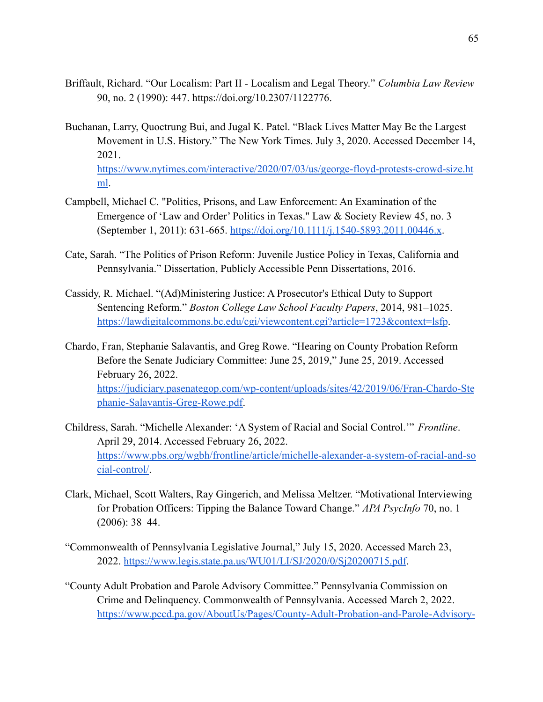- Briffault, Richard. "Our Localism: Part II Localism and Legal Theory." *Columbia Law Review* 90, no. 2 (1990): 447. https://doi.org/10.2307/1122776.
- Buchanan, Larry, Quoctrung Bui, and Jugal K. Patel. "Black Lives Matter May Be the Largest Movement in U.S. History." The New York Times. July 3, 2020. Accessed December 14, 2021. [https://www.nytimes.com/interactive/2020/07/03/us/george-floyd-protests-crowd-size.ht](https://www.nytimes.com/interactive/2020/07/03/us/george-floyd-protests-crowd-size.html) [ml](https://www.nytimes.com/interactive/2020/07/03/us/george-floyd-protests-crowd-size.html).
- Campbell, Michael C. "Politics, Prisons, and Law Enforcement: An Examination of the Emergence of 'Law and Order' Politics in Texas." Law & Society Review 45, no. 3 (September 1, 2011): 631-665. <https://doi.org/10.1111/j.1540-5893.2011.00446.x>.
- Cate, Sarah. "The Politics of Prison Reform: Juvenile Justice Policy in Texas, California and Pennsylvania." Dissertation, Publicly Accessible Penn Dissertations, 2016.
- Cassidy, R. Michael. "(Ad)Ministering Justice: A Prosecutor's Ethical Duty to Support Sentencing Reform." *Boston College Law School Faculty Papers*, 2014, 981–1025. <https://lawdigitalcommons.bc.edu/cgi/viewcontent.cgi?article=1723&context=lsfp>.
- Chardo, Fran, Stephanie Salavantis, and Greg Rowe. "Hearing on County Probation Reform Before the Senate Judiciary Committee: June 25, 2019," June 25, 2019. Accessed February 26, 2022. [https://judiciary.pasenategop.com/wp-content/uploads/sites/42/2019/06/Fran-Chardo-Ste](https://judiciary.pasenategop.com/wp-content/uploads/sites/42/2019/06/Fran-Chardo-Stephanie-Salavantis-Greg-Rowe.pdf) [phanie-Salavantis-Greg-Rowe.pdf.](https://judiciary.pasenategop.com/wp-content/uploads/sites/42/2019/06/Fran-Chardo-Stephanie-Salavantis-Greg-Rowe.pdf)
- Childress, Sarah. "Michelle Alexander: 'A System of Racial and Social Control.'" *Frontline*. April 29, 2014. Accessed February 26, 2022. [https://www.pbs.org/wgbh/frontline/article/michelle-alexander-a-system-of-racial-and-so](https://www.pbs.org/wgbh/frontline/article/michelle-alexander-a-system-of-racial-and-social-control/) [cial-control/](https://www.pbs.org/wgbh/frontline/article/michelle-alexander-a-system-of-racial-and-social-control/).
- Clark, Michael, Scott Walters, Ray Gingerich, and Melissa Meltzer. "Motivational Interviewing for Probation Officers: Tipping the Balance Toward Change." *APA PsycInfo* 70, no. 1 (2006): 38–44.
- "Commonwealth of Pennsylvania Legislative Journal," July 15, 2020. Accessed March 23, 2022. <https://www.legis.state.pa.us/WU01/LI/SJ/2020/0/Sj20200715.pdf>.
- "County Adult Probation and Parole Advisory Committee." Pennsylvania Commission on Crime and Delinquency. Commonwealth of Pennsylvania. Accessed March 2, 2022. [https://www.pccd.pa.gov/AboutUs/Pages/County-Adult-Probation-and-Parole-Advisory-](https://www.pccd.pa.gov/AboutUs/Pages/County-Adult-Probation-and-Parole-Advisory-Committee.aspx)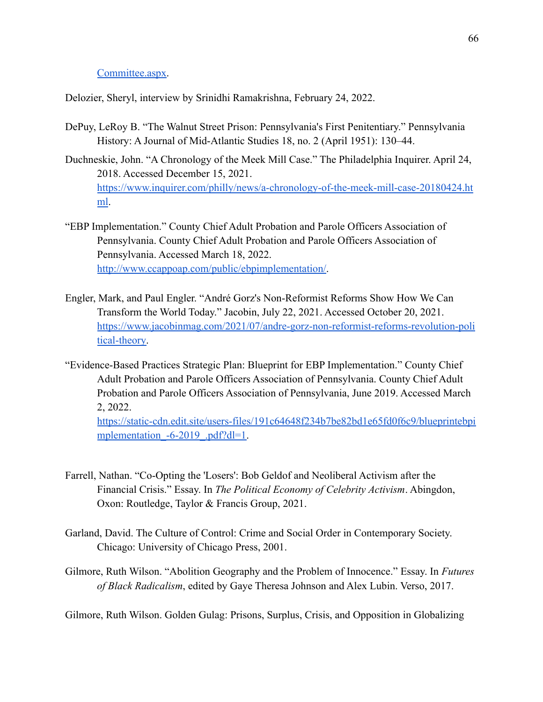## [Committee.aspx.](https://www.pccd.pa.gov/AboutUs/Pages/County-Adult-Probation-and-Parole-Advisory-Committee.aspx)

Delozier, Sheryl, interview by Srinidhi Ramakrishna, February 24, 2022.

- DePuy, LeRoy B. "The Walnut Street Prison: Pennsylvania's First Penitentiary." Pennsylvania History: A Journal of Mid-Atlantic Studies 18, no. 2 (April 1951): 130–44.
- Duchneskie, John. "A Chronology of the Meek Mill Case." The Philadelphia Inquirer. April 24, 2018. Accessed December 15, 2021. [https://www.inquirer.com/philly/news/a-chronology-of-the-meek-mill-case-20180424.ht](https://www.inquirer.com/philly/news/a-chronology-of-the-meek-mill-case-20180424.html) [ml](https://www.inquirer.com/philly/news/a-chronology-of-the-meek-mill-case-20180424.html).
- "EBP Implementation." County Chief Adult Probation and Parole Officers Association of Pennsylvania. County Chief Adult Probation and Parole Officers Association of Pennsylvania. Accessed March 18, 2022. [http://www.ccappoap.com/public/ebpimplementation/.](http://www.ccappoap.com/public/ebpimplementation/)
- Engler, Mark, and Paul Engler. "André Gorz's Non-Reformist Reforms Show How We Can Transform the World Today." Jacobin, July 22, 2021. Accessed October 20, 2021. [https://www.jacobinmag.com/2021/07/andre-gorz-non-reformist-reforms-revolution-poli](https://www.jacobinmag.com/2021/07/andre-gorz-non-reformist-reforms-revolution-political-theory) [tical-theory.](https://www.jacobinmag.com/2021/07/andre-gorz-non-reformist-reforms-revolution-political-theory)
- "Evidence-Based Practices Strategic Plan: Blueprint for EBP Implementation." County Chief Adult Probation and Parole Officers Association of Pennsylvania. County Chief Adult Probation and Parole Officers Association of Pennsylvania, June 2019. Accessed March 2, 2022.

[https://static-cdn.edit.site/users-files/191c64648f234b7be82bd1e65fd0f6c9/blueprintebpi](https://static-cdn.edit.site/users-files/191c64648f234b7be82bd1e65fd0f6c9/blueprintebpimplementation_-6-2019_.pdf?dl=1) mplementation -6-2019 .pdf?dl=1.

- Farrell, Nathan. "Co-Opting the 'Losers': Bob Geldof and Neoliberal Activism after the Financial Crisis." Essay. In *The Political Economy of Celebrity Activism*. Abingdon, Oxon: Routledge, Taylor & Francis Group, 2021.
- Garland, David. The Culture of Control: Crime and Social Order in Contemporary Society. Chicago: University of Chicago Press, 2001.
- Gilmore, Ruth Wilson. "Abolition Geography and the Problem of Innocence." Essay. In *Futures of Black Radicalism*, edited by Gaye Theresa Johnson and Alex Lubin. Verso, 2017.

Gilmore, Ruth Wilson. Golden Gulag: Prisons, Surplus, Crisis, and Opposition in Globalizing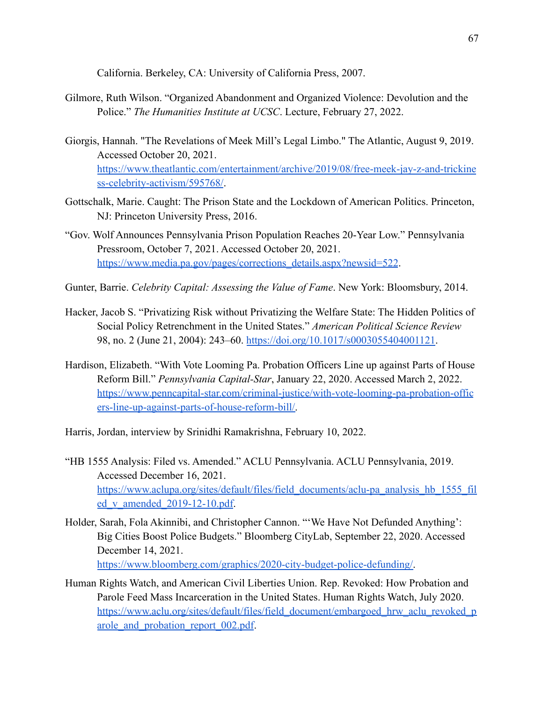California. Berkeley, CA: University of California Press, 2007.

- Gilmore, Ruth Wilson. "Organized Abandonment and Organized Violence: Devolution and the Police." *The Humanities Institute at UCSC*. Lecture, February 27, 2022.
- Giorgis, Hannah. "The Revelations of Meek Mill's Legal Limbo." The Atlantic, August 9, 2019. Accessed October 20, 2021. [https://www.theatlantic.com/entertainment/archive/2019/08/free-meek-jay-z-and-trickine](https://www.theatlantic.com/entertainment/archive/2019/08/free-meek-jay-z-and-trickiness-celebrity-activism/595768/) [ss-celebrity-activism/595768/](https://www.theatlantic.com/entertainment/archive/2019/08/free-meek-jay-z-and-trickiness-celebrity-activism/595768/).
- Gottschalk, Marie. Caught: The Prison State and the Lockdown of American Politics. Princeton, NJ: Princeton University Press, 2016.
- "Gov. Wolf Announces Pennsylvania Prison Population Reaches 20-Year Low." Pennsylvania Pressroom, October 7, 2021. Accessed October 20, 2021. [https://www.media.pa.gov/pages/corrections\\_details.aspx?newsid=522](https://www.media.pa.gov/pages/corrections_details.aspx?newsid=522).
- Gunter, Barrie. *Celebrity Capital: Assessing the Value of Fame*. New York: Bloomsbury, 2014.
- Hacker, Jacob S. "Privatizing Risk without Privatizing the Welfare State: The Hidden Politics of Social Policy Retrenchment in the United States." *American Political Science Review* 98, no. 2 (June 21, 2004): 243–60. <https://doi.org/10.1017/s0003055404001121>.
- Hardison, Elizabeth. "With Vote Looming Pa. Probation Officers Line up against Parts of House Reform Bill." *Pennsylvania Capital-Star*, January 22, 2020. Accessed March 2, 2022. [https://www.penncapital-star.com/criminal-justice/with-vote-looming-pa-probation-offic](https://www.penncapital-star.com/criminal-justice/with-vote-looming-pa-probation-officers-line-up-against-parts-of-house-reform-bill/) [ers-line-up-against-parts-of-house-reform-bill/.](https://www.penncapital-star.com/criminal-justice/with-vote-looming-pa-probation-officers-line-up-against-parts-of-house-reform-bill/)
- Harris, Jordan, interview by Srinidhi Ramakrishna, February 10, 2022.
- "HB 1555 Analysis: Filed vs. Amended." ACLU Pennsylvania. ACLU Pennsylvania, 2019. Accessed December 16, 2021. [https://www.aclupa.org/sites/default/files/field\\_documents/aclu-pa\\_analysis\\_hb\\_1555\\_fil](https://www.aclupa.org/sites/default/files/field_documents/aclu-pa_analysis_hb_1555_filed_v_amended_2019-12-10.pdf) ed v amended  $2019-12-10.pdf.$
- Holder, Sarah, Fola Akinnibi, and Christopher Cannon. "'We Have Not Defunded Anything': Big Cities Boost Police Budgets." Bloomberg CityLab, September 22, 2020. Accessed December 14, 2021. [https://www.bloomberg.com/graphics/2020-city-budget-police-defunding/.](https://www.bloomberg.com/graphics/2020-city-budget-police-defunding/)
- Human Rights Watch, and American Civil Liberties Union. Rep. Revoked: How Probation and Parole Feed Mass Incarceration in the United States. Human Rights Watch, July 2020. [https://www.aclu.org/sites/default/files/field\\_document/embargoed\\_hrw\\_aclu\\_revoked\\_p](https://www.aclu.org/sites/default/files/field_document/embargoed_hrw_aclu_revoked_parole_and_probation_report_002.pdf) arole and probation report 002.pdf.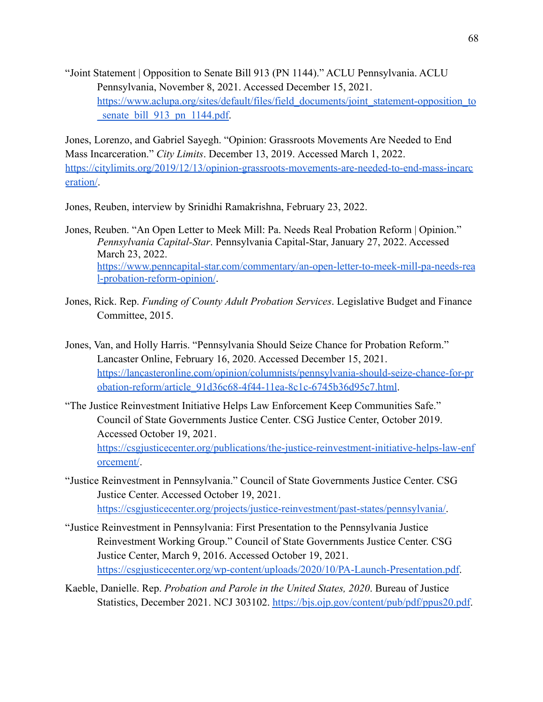"Joint Statement | Opposition to Senate Bill 913 (PN 1144)." ACLU Pennsylvania. ACLU Pennsylvania, November 8, 2021. Accessed December 15, 2021. [https://www.aclupa.org/sites/default/files/field\\_documents/joint\\_statement-opposition\\_to](https://www.aclupa.org/sites/default/files/field_documents/joint_statement-opposition_to_senate_bill_913_pn_1144.pdf) senate bill 913 pn 1144.pdf.

Jones, Lorenzo, and Gabriel Sayegh. "Opinion: Grassroots Movements Are Needed to End Mass Incarceration." *City Limits*. December 13, 2019. Accessed March 1, 2022. [https://citylimits.org/2019/12/13/opinion-grassroots-movements-are-needed-to-end-mass-incarc](https://citylimits.org/2019/12/13/opinion-grassroots-movements-are-needed-to-end-mass-incarceration/) [eration/](https://citylimits.org/2019/12/13/opinion-grassroots-movements-are-needed-to-end-mass-incarceration/).

Jones, Reuben, interview by Srinidhi Ramakrishna, February 23, 2022.

- Jones, Reuben. "An Open Letter to Meek Mill: Pa. Needs Real Probation Reform | Opinion." *Pennsylvania Capital-Star*. Pennsylvania Capital-Star, January 27, 2022. Accessed March 23, 2022. [https://www.penncapital-star.com/commentary/an-open-letter-to-meek-mill-pa-needs-rea](https://www.penncapital-star.com/commentary/an-open-letter-to-meek-mill-pa-needs-real-probation-reform-opinion/) [l-probation-reform-opinion/](https://www.penncapital-star.com/commentary/an-open-letter-to-meek-mill-pa-needs-real-probation-reform-opinion/).
- Jones, Rick. Rep. *Funding of County Adult Probation Services*. Legislative Budget and Finance Committee, 2015.
- Jones, Van, and Holly Harris. "Pennsylvania Should Seize Chance for Probation Reform." Lancaster Online, February 16, 2020. Accessed December 15, 2021. [https://lancasteronline.com/opinion/columnists/pennsylvania-should-seize-chance-for-pr](https://lancasteronline.com/opinion/columnists/pennsylvania-should-seize-chance-for-probation-reform/article_91d36c68-4f44-11ea-8c1c-6745b36d95c7.html) [obation-reform/article\\_91d36c68-4f44-11ea-8c1c-6745b36d95c7.html.](https://lancasteronline.com/opinion/columnists/pennsylvania-should-seize-chance-for-probation-reform/article_91d36c68-4f44-11ea-8c1c-6745b36d95c7.html)
- "The Justice Reinvestment Initiative Helps Law Enforcement Keep Communities Safe." Council of State Governments Justice Center. CSG Justice Center, October 2019. Accessed October 19, 2021.

[https://csgjusticecenter.org/publications/the-justice-reinvestment-initiative-helps-law-enf](https://csgjusticecenter.org/publications/the-justice-reinvestment-initiative-helps-law-enforcement/) [orcement/](https://csgjusticecenter.org/publications/the-justice-reinvestment-initiative-helps-law-enforcement/).

- "Justice Reinvestment in Pennsylvania." Council of State Governments Justice Center. CSG Justice Center. Accessed October 19, 2021. [https://csgjusticecenter.org/projects/justice-reinvestment/past-states/pennsylvania/.](https://csgjusticecenter.org/projects/justice-reinvestment/past-states/pennsylvania/)
- "Justice Reinvestment in Pennsylvania: First Presentation to the Pennsylvania Justice Reinvestment Working Group." Council of State Governments Justice Center. CSG Justice Center, March 9, 2016. Accessed October 19, 2021. <https://csgjusticecenter.org/wp-content/uploads/2020/10/PA-Launch-Presentation.pdf>.
- Kaeble, Danielle. Rep. *Probation and Parole in the United States, 2020*. Bureau of Justice Statistics, December 2021. NCJ 303102. <https://bjs.ojp.gov/content/pub/pdf/ppus20.pdf>.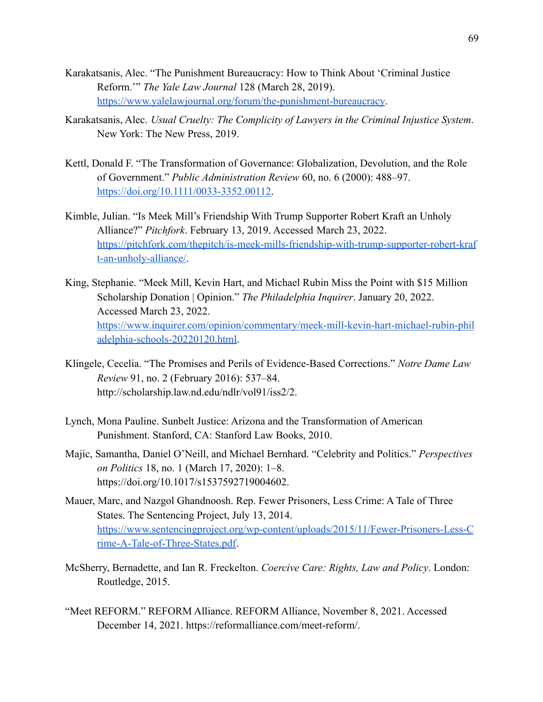- Karakatsanis, Alec. "The Punishment Bureaucracy: How to Think About 'Criminal Justice Reform.'" *The Yale Law Journal* 128 (March 28, 2019). <https://www.yalelawjournal.org/forum/the-punishment-bureaucracy>.
- Karakatsanis, Alec. *Usual Cruelty: The Complicity of Lawyers in the Criminal Injustice System*. New York: The New Press, 2019.
- Kettl, Donald F. "The Transformation of Governance: Globalization, Devolution, and the Role of Government." *Public Administration Review* 60, no. 6 (2000): 488–97. [https://doi.org/10.1111/0033-3352.00112.](https://doi.org/10.1111/0033-3352.00112)
- Kimble, Julian. "Is Meek Mill's Friendship With Trump Supporter Robert Kraft an Unholy Alliance?" *Pitchfork*. February 13, 2019. Accessed March 23, 2022. [https://pitchfork.com/thepitch/is-meek-mills-friendship-with-trump-supporter-robert-kraf](https://pitchfork.com/thepitch/is-meek-mills-friendship-with-trump-supporter-robert-kraft-an-unholy-alliance/) [t-an-unholy-alliance/](https://pitchfork.com/thepitch/is-meek-mills-friendship-with-trump-supporter-robert-kraft-an-unholy-alliance/).
- King, Stephanie. "Meek Mill, Kevin Hart, and Michael Rubin Miss the Point with \$15 Million Scholarship Donation | Opinion." *The Philadelphia Inquirer*. January 20, 2022. Accessed March 23, 2022. [https://www.inquirer.com/opinion/commentary/meek-mill-kevin-hart-michael-rubin-phil](https://www.inquirer.com/opinion/commentary/meek-mill-kevin-hart-michael-rubin-philadelphia-schools-20220120.html) [adelphia-schools-20220120.html](https://www.inquirer.com/opinion/commentary/meek-mill-kevin-hart-michael-rubin-philadelphia-schools-20220120.html).
- Klingele, Cecelia. "The Promises and Perils of Evidence-Based Corrections." *Notre Dame Law Review* 91, no. 2 (February 2016): 537–84. http://scholarship.law.nd.edu/ndlr/vol91/iss2/2.
- Lynch, Mona Pauline. Sunbelt Justice: Arizona and the Transformation of American Punishment. Stanford, CA: Stanford Law Books, 2010.
- Majic, Samantha, Daniel O'Neill, and Michael Bernhard. "Celebrity and Politics." *Perspectives on Politics* 18, no. 1 (March 17, 2020): 1–8. https://doi.org/10.1017/s1537592719004602.
- Mauer, Marc, and Nazgol Ghandnoosh. Rep. Fewer Prisoners, Less Crime: A Tale of Three States. The Sentencing Project, July 13, 2014. [https://www.sentencingproject.org/wp-content/uploads/2015/11/Fewer-Prisoners-Less-C](https://www.sentencingproject.org/wp-content/uploads/2015/11/Fewer-Prisoners-Less-Crime-A-Tale-of-Three-States.pdf) [rime-A-Tale-of-Three-States.pdf](https://www.sentencingproject.org/wp-content/uploads/2015/11/Fewer-Prisoners-Less-Crime-A-Tale-of-Three-States.pdf).
- McSherry, Bernadette, and Ian R. Freckelton. *Coercive Care: Rights, Law and Policy*. London: Routledge, 2015.
- "Meet REFORM." REFORM Alliance. REFORM Alliance, November 8, 2021. Accessed December 14, 2021. https://reformalliance.com/meet-reform/.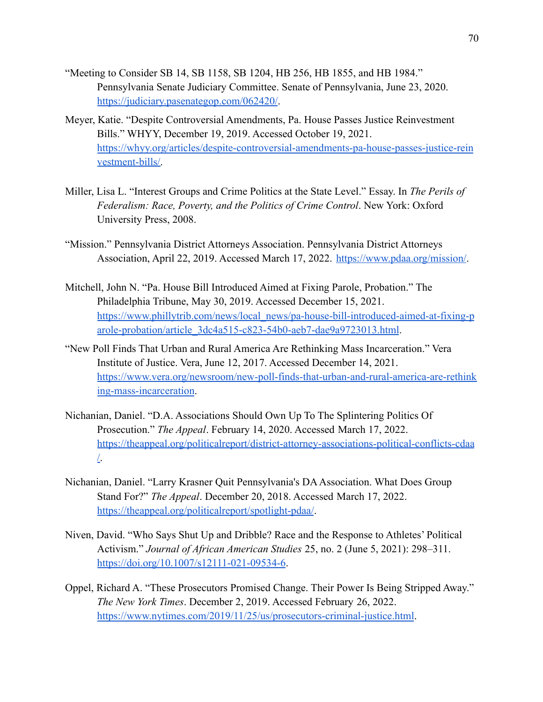- "Meeting to Consider SB 14, SB 1158, SB 1204, HB 256, HB 1855, and HB 1984." Pennsylvania Senate Judiciary Committee. Senate of Pennsylvania, June 23, 2020. <https://judiciary.pasenategop.com/062420/>.
- Meyer, Katie. "Despite Controversial Amendments, Pa. House Passes Justice Reinvestment Bills." WHYY, December 19, 2019. Accessed October 19, 2021. [https://whyy.org/articles/despite-controversial-amendments-pa-house-passes-justice-rein](https://whyy.org/articles/despite-controversial-amendments-pa-house-passes-justice-reinvestment-bills/) [vestment-bills/.](https://whyy.org/articles/despite-controversial-amendments-pa-house-passes-justice-reinvestment-bills/)
- Miller, Lisa L. "Interest Groups and Crime Politics at the State Level." Essay. In *The Perils of Federalism: Race, Poverty, and the Politics of Crime Control*. New York: Oxford University Press, 2008.
- "Mission." Pennsylvania District Attorneys Association. Pennsylvania District Attorneys Association, April 22, 2019. Accessed March 17, 2022. <https://www.pdaa.org/mission/>.
- Mitchell, John N. "Pa. House Bill Introduced Aimed at Fixing Parole, Probation." The Philadelphia Tribune, May 30, 2019. Accessed December 15, 2021. [https://www.phillytrib.com/news/local\\_news/pa-house-bill-introduced-aimed-at-fixing-p](https://www.phillytrib.com/news/local_news/pa-house-bill-introduced-aimed-at-fixing-parole-probation/article_3dc4a515-c823-54b0-aeb7-dae9a9723013.html) [arole-probation/article\\_3dc4a515-c823-54b0-aeb7-dae9a9723013.html](https://www.phillytrib.com/news/local_news/pa-house-bill-introduced-aimed-at-fixing-parole-probation/article_3dc4a515-c823-54b0-aeb7-dae9a9723013.html).
- "New Poll Finds That Urban and Rural America Are Rethinking Mass Incarceration." Vera Institute of Justice. Vera, June 12, 2017. Accessed December 14, 2021. [https://www.vera.org/newsroom/new-poll-finds-that-urban-and-rural-america-are-rethink](https://www.vera.org/newsroom/new-poll-finds-that-urban-and-rural-america-are-rethinking-mass-incarceration) [ing-mass-incarceration](https://www.vera.org/newsroom/new-poll-finds-that-urban-and-rural-america-are-rethinking-mass-incarceration).
- Nichanian, Daniel. "D.A. Associations Should Own Up To The Splintering Politics Of Prosecution." *The Appeal*. February 14, 2020. Accessed March 17, 2022. [https://theappeal.org/politicalreport/district-attorney-associations-political-conflicts-cdaa](https://theappeal.org/politicalreport/district-attorney-associations-political-conflicts-cdaa/) [/.](https://theappeal.org/politicalreport/district-attorney-associations-political-conflicts-cdaa/)
- Nichanian, Daniel. "Larry Krasner Quit Pennsylvania's DA Association. What Does Group Stand For?" *The Appeal*. December 20, 2018. Accessed March 17, 2022. <https://theappeal.org/politicalreport/spotlight-pdaa/>.
- Niven, David. "Who Says Shut Up and Dribble? Race and the Response to Athletes' Political Activism." *Journal of African American Studies* 25, no. 2 (June 5, 2021): 298–311. <https://doi.org/10.1007/s12111-021-09534-6>.
- Oppel, Richard A. "These Prosecutors Promised Change. Their Power Is Being Stripped Away." *The New York Times*. December 2, 2019. Accessed February 26, 2022. <https://www.nytimes.com/2019/11/25/us/prosecutors-criminal-justice.html>.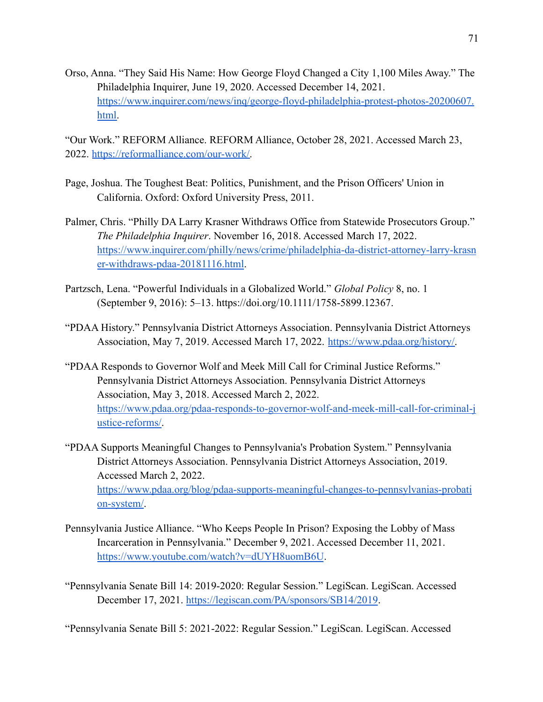Orso, Anna. "They Said His Name: How George Floyd Changed a City 1,100 Miles Away." The Philadelphia Inquirer, June 19, 2020. Accessed December 14, 2021. [https://www.inquirer.com/news/inq/george-floyd-philadelphia-protest-photos-20200607.](https://www.inquirer.com/news/inq/george-floyd-philadelphia-protest-photos-20200607.html) [html.](https://www.inquirer.com/news/inq/george-floyd-philadelphia-protest-photos-20200607.html)

"Our Work." REFORM Alliance. REFORM Alliance, October 28, 2021. Accessed March 23, 2022. [https://reformalliance.com/our-work/.](https://reformalliance.com/our-work/)

- Page, Joshua. The Toughest Beat: Politics, Punishment, and the Prison Officers' Union in California. Oxford: Oxford University Press, 2011.
- Palmer, Chris. "Philly DA Larry Krasner Withdraws Office from Statewide Prosecutors Group." *The Philadelphia Inquirer*. November 16, 2018. Accessed March 17, 2022. [https://www.inquirer.com/philly/news/crime/philadelphia-da-district-attorney-larry-krasn](https://www.inquirer.com/philly/news/crime/philadelphia-da-district-attorney-larry-krasner-withdraws-pdaa-20181116.html) [er-withdraws-pdaa-20181116.html](https://www.inquirer.com/philly/news/crime/philadelphia-da-district-attorney-larry-krasner-withdraws-pdaa-20181116.html).
- Partzsch, Lena. "Powerful Individuals in a Globalized World." *Global Policy* 8, no. 1 (September 9, 2016): 5–13. https://doi.org/10.1111/1758-5899.12367.
- "PDAA History." Pennsylvania District Attorneys Association. Pennsylvania District Attorneys Association, May 7, 2019. Accessed March 17, 2022. [https://www.pdaa.org/history/.](https://www.pdaa.org/history/)
- "PDAA Responds to Governor Wolf and Meek Mill Call for Criminal Justice Reforms." Pennsylvania District Attorneys Association. Pennsylvania District Attorneys Association, May 3, 2018. Accessed March 2, 2022. [https://www.pdaa.org/pdaa-responds-to-governor-wolf-and-meek-mill-call-for-criminal-j](https://www.pdaa.org/pdaa-responds-to-governor-wolf-and-meek-mill-call-for-criminal-justice-reforms/) [ustice-reforms/](https://www.pdaa.org/pdaa-responds-to-governor-wolf-and-meek-mill-call-for-criminal-justice-reforms/).
- "PDAA Supports Meaningful Changes to Pennsylvania's Probation System." Pennsylvania District Attorneys Association. Pennsylvania District Attorneys Association, 2019. Accessed March 2, 2022. [https://www.pdaa.org/blog/pdaa-supports-meaningful-changes-to-pennsylvanias-probati](https://www.pdaa.org/blog/pdaa-supports-meaningful-changes-to-pennsylvanias-probation-system/) [on-system/](https://www.pdaa.org/blog/pdaa-supports-meaningful-changes-to-pennsylvanias-probation-system/).
- Pennsylvania Justice Alliance. "Who Keeps People In Prison? Exposing the Lobby of Mass Incarceration in Pennsylvania." December 9, 2021. Accessed December 11, 2021. <https://www.youtube.com/watch?v=dUYH8uomB6U>.
- "Pennsylvania Senate Bill 14: 2019-2020: Regular Session." LegiScan. LegiScan. Accessed December 17, 2021. <https://legiscan.com/PA/sponsors/SB14/2019>.

"Pennsylvania Senate Bill 5: 2021-2022: Regular Session." LegiScan. LegiScan. Accessed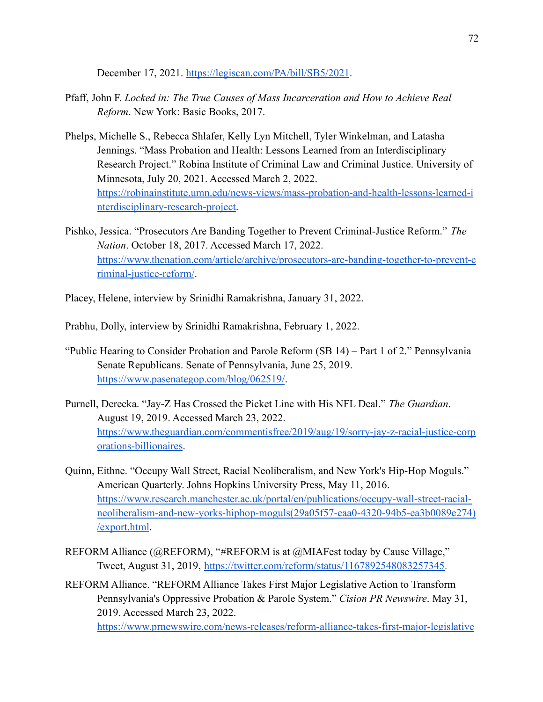December 17, 2021. <https://legiscan.com/PA/bill/SB5/2021>.

- Pfaff, John F. *Locked in: The True Causes of Mass Incarceration and How to Achieve Real Reform*. New York: Basic Books, 2017.
- Phelps, Michelle S., Rebecca Shlafer, Kelly Lyn Mitchell, Tyler Winkelman, and Latasha Jennings. "Mass Probation and Health: Lessons Learned from an Interdisciplinary Research Project." Robina Institute of Criminal Law and Criminal Justice. University of Minnesota, July 20, 2021. Accessed March 2, 2022. [https://robinainstitute.umn.edu/news-views/mass-probation-and-health-lessons-learned-i](https://robinainstitute.umn.edu/news-views/mass-probation-and-health-lessons-learned-interdisciplinary-research-project) [nterdisciplinary-research-project](https://robinainstitute.umn.edu/news-views/mass-probation-and-health-lessons-learned-interdisciplinary-research-project).
- Pishko, Jessica. "Prosecutors Are Banding Together to Prevent Criminal-Justice Reform." *The Nation*. October 18, 2017. Accessed March 17, 2022. [https://www.thenation.com/article/archive/prosecutors-are-banding-together-to-prevent-c](https://www.thenation.com/article/archive/prosecutors-are-banding-together-to-prevent-criminal-justice-reform/) [riminal-justice-reform/](https://www.thenation.com/article/archive/prosecutors-are-banding-together-to-prevent-criminal-justice-reform/).
- Placey, Helene, interview by Srinidhi Ramakrishna, January 31, 2022.
- Prabhu, Dolly, interview by Srinidhi Ramakrishna, February 1, 2022.
- "Public Hearing to Consider Probation and Parole Reform (SB 14) Part 1 of 2." Pennsylvania Senate Republicans. Senate of Pennsylvania, June 25, 2019. <https://www.pasenategop.com/blog/062519/>.
- Purnell, Derecka. "Jay-Z Has Crossed the Picket Line with His NFL Deal." *The Guardian*. August 19, 2019. Accessed March 23, 2022. [https://www.theguardian.com/commentisfree/2019/aug/19/sorry-jay-z-racial-justice-corp](https://www.theguardian.com/commentisfree/2019/aug/19/sorry-jay-z-racial-justice-corporations-billionaires) [orations-billionaires](https://www.theguardian.com/commentisfree/2019/aug/19/sorry-jay-z-racial-justice-corporations-billionaires).
- Quinn, Eithne. "Occupy Wall Street, Racial Neoliberalism, and New York's Hip-Hop Moguls." American Quarterly. Johns Hopkins University Press, May 11, 2016. [https://www.research.manchester.ac.uk/portal/en/publications/occupy-wall-street-racial](https://www.research.manchester.ac.uk/portal/en/publications/occupy-wall-street-racial-neoliberalism-and-new-yorks-hiphop-moguls(29a05f57-eaa0-4320-94b5-ea3b0089e274)/export.html)[neoliberalism-and-new-yorks-hiphop-moguls\(29a05f57-eaa0-4320-94b5-ea3b0089e274\)](https://www.research.manchester.ac.uk/portal/en/publications/occupy-wall-street-racial-neoliberalism-and-new-yorks-hiphop-moguls(29a05f57-eaa0-4320-94b5-ea3b0089e274)/export.html) [/export.html](https://www.research.manchester.ac.uk/portal/en/publications/occupy-wall-street-racial-neoliberalism-and-new-yorks-hiphop-moguls(29a05f57-eaa0-4320-94b5-ea3b0089e274)/export.html).
- REFORM Alliance (@REFORM), "[#REFORM](https://twitter.com/hashtag/REFORM?src=hashtag_click) is at [@MIAFest](https://twitter.com/MiaFest) today by Cause Village," Tweet, August 31, 2019, [https://twitter.com/reform/status/1167892548083257345.](https://twitter.com/reform/status/1167892548083257345)
- REFORM Alliance. "REFORM Alliance Takes First Major Legislative Action to Transform Pennsylvania's Oppressive Probation & Parole System." *Cision PR Newswire*. May 31, 2019. Accessed March 23, 2022. [https://www.prnewswire.com/news-releases/reform-alliance-takes-first-major-legislative](https://www.prnewswire.com/news-releases/reform-alliance-takes-first-major-legislative-action-to-transform-pennsylvanias-oppressive-probation--parole-system-300859840.html)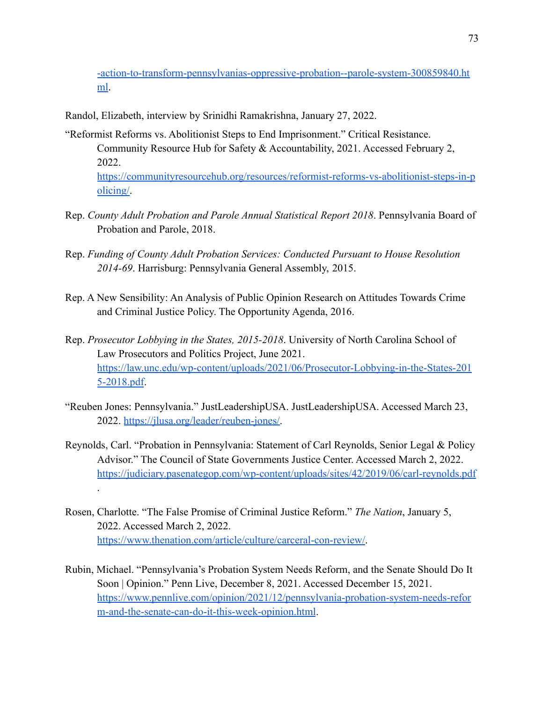[-action-to-transform-pennsylvanias-oppressive-probation--parole-system-300859840.ht](https://www.prnewswire.com/news-releases/reform-alliance-takes-first-major-legislative-action-to-transform-pennsylvanias-oppressive-probation--parole-system-300859840.html) [ml](https://www.prnewswire.com/news-releases/reform-alliance-takes-first-major-legislative-action-to-transform-pennsylvanias-oppressive-probation--parole-system-300859840.html).

Randol, Elizabeth, interview by Srinidhi Ramakrishna, January 27, 2022.

[olicing/](https://communityresourcehub.org/resources/reformist-reforms-vs-abolitionist-steps-in-policing/).

.

- "Reformist Reforms vs. Abolitionist Steps to End Imprisonment." Critical Resistance. Community Resource Hub for Safety & Accountability, 2021. Accessed February 2, 2022. [https://communityresourcehub.org/resources/reformist-reforms-vs-abolitionist-steps-in-p](https://communityresourcehub.org/resources/reformist-reforms-vs-abolitionist-steps-in-policing/)
- Rep. *County Adult Probation and Parole Annual Statistical Report 2018*. Pennsylvania Board of Probation and Parole, 2018.
- Rep. *Funding of County Adult Probation Services: Conducted Pursuant to House Resolution 2014-69*. Harrisburg: Pennsylvania General Assembly, 2015.
- Rep. A New Sensibility: An Analysis of Public Opinion Research on Attitudes Towards Crime and Criminal Justice Policy. The Opportunity Agenda, 2016.
- Rep. *Prosecutor Lobbying in the States, 2015-2018*. University of North Carolina School of Law Prosecutors and Politics Project, June 2021. [https://law.unc.edu/wp-content/uploads/2021/06/Prosecutor-Lobbying-in-the-States-201](https://law.unc.edu/wp-content/uploads/2021/06/Prosecutor-Lobbying-in-the-States-2015-2018.pdf) [5-2018.pdf](https://law.unc.edu/wp-content/uploads/2021/06/Prosecutor-Lobbying-in-the-States-2015-2018.pdf).
- "Reuben Jones: Pennsylvania." JustLeadershipUSA. JustLeadershipUSA. Accessed March 23, 2022. [https://jlusa.org/leader/reuben-jones/.](https://jlusa.org/leader/reuben-jones/)
- Reynolds, Carl. "Probation in Pennsylvania: Statement of Carl Reynolds, Senior Legal & Policy Advisor." The Council of State Governments Justice Center. Accessed March 2, 2022. <https://judiciary.pasenategop.com/wp-content/uploads/sites/42/2019/06/carl-reynolds.pdf>
- Rosen, Charlotte. "The False Promise of Criminal Justice Reform." *The Nation*, January 5, 2022. Accessed March 2, 2022. [https://www.thenation.com/article/culture/carceral-con-review/.](https://www.thenation.com/article/culture/carceral-con-review/)
- Rubin, Michael. "Pennsylvania's Probation System Needs Reform, and the Senate Should Do It Soon | Opinion." Penn Live, December 8, 2021. Accessed December 15, 2021. [https://www.pennlive.com/opinion/2021/12/pennsylvania-probation-system-needs-refor](https://www.pennlive.com/opinion/2021/12/pennsylvania-probation-system-needs-reform-and-the-senate-can-do-it-this-week-opinion.html) [m-and-the-senate-can-do-it-this-week-opinion.html](https://www.pennlive.com/opinion/2021/12/pennsylvania-probation-system-needs-reform-and-the-senate-can-do-it-this-week-opinion.html).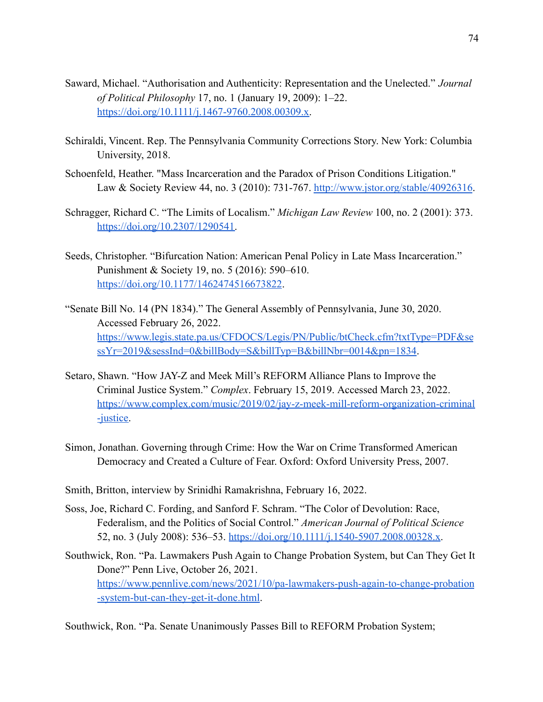- Saward, Michael. "Authorisation and Authenticity: Representation and the Unelected." *Journal of Political Philosophy* 17, no. 1 (January 19, 2009): 1–22. [https://doi.org/10.1111/j.1467-9760.2008.00309.x.](https://doi.org/10.1111/j.1467-9760.2008.00309.x)
- Schiraldi, Vincent. Rep. The Pennsylvania Community Corrections Story. New York: Columbia University, 2018.
- Schoenfeld, Heather. "Mass Incarceration and the Paradox of Prison Conditions Litigation." Law & Society Review 44, no. 3 (2010): 731-767. <http://www.jstor.org/stable/40926316>.
- Schragger, Richard C. "The Limits of Localism." *Michigan Law Review* 100, no. 2 (2001): 373. [https://doi.org/10.2307/1290541.](https://doi.org/10.2307/1290541)
- Seeds, Christopher. "Bifurcation Nation: American Penal Policy in Late Mass Incarceration." Punishment & Society 19, no. 5 (2016): 590–610. <https://doi.org/10.1177/1462474516673822>.
- "Senate Bill No. 14 (PN 1834)." The General Assembly of Pennsylvania, June 30, 2020. Accessed February 26, 2022. [https://www.legis.state.pa.us/CFDOCS/Legis/PN/Public/btCheck.cfm?txtType=PDF&se](https://www.legis.state.pa.us/CFDOCS/Legis/PN/Public/btCheck.cfm?txtType=PDF&sessYr=2019&sessInd=0&billBody=S&billTyp=B&billNbr=0014&pn=1834) [ssYr=2019&sessInd=0&billBody=S&billTyp=B&billNbr=0014&pn=1834.](https://www.legis.state.pa.us/CFDOCS/Legis/PN/Public/btCheck.cfm?txtType=PDF&sessYr=2019&sessInd=0&billBody=S&billTyp=B&billNbr=0014&pn=1834)
- Setaro, Shawn. "How JAY-Z and Meek Mill's REFORM Alliance Plans to Improve the Criminal Justice System." *Complex*. February 15, 2019. Accessed March 23, 2022. [https://www.complex.com/music/2019/02/jay-z-meek-mill-reform-organization-criminal](https://www.complex.com/music/2019/02/jay-z-meek-mill-reform-organization-criminal-justice) [-justice.](https://www.complex.com/music/2019/02/jay-z-meek-mill-reform-organization-criminal-justice)
- Simon, Jonathan. Governing through Crime: How the War on Crime Transformed American Democracy and Created a Culture of Fear. Oxford: Oxford University Press, 2007.
- Smith, Britton, interview by Srinidhi Ramakrishna, February 16, 2022.
- Soss, Joe, Richard C. Fording, and Sanford F. Schram. "The Color of Devolution: Race, Federalism, and the Politics of Social Control." *American Journal of Political Science* 52, no. 3 (July 2008): 536–53. [https://doi.org/10.1111/j.1540-5907.2008.00328.x.](https://doi.org/10.1111/j.1540-5907.2008.00328.x)
- Southwick, Ron. "Pa. Lawmakers Push Again to Change Probation System, but Can They Get It Done?" Penn Live, October 26, 2021. [https://www.pennlive.com/news/2021/10/pa-lawmakers-push-again-to-change-probation](https://www.pennlive.com/news/2021/10/pa-lawmakers-push-again-to-change-probation-system-but-can-they-get-it-done.html) [-system-but-can-they-get-it-done.html](https://www.pennlive.com/news/2021/10/pa-lawmakers-push-again-to-change-probation-system-but-can-they-get-it-done.html).

Southwick, Ron. "Pa. Senate Unanimously Passes Bill to REFORM Probation System;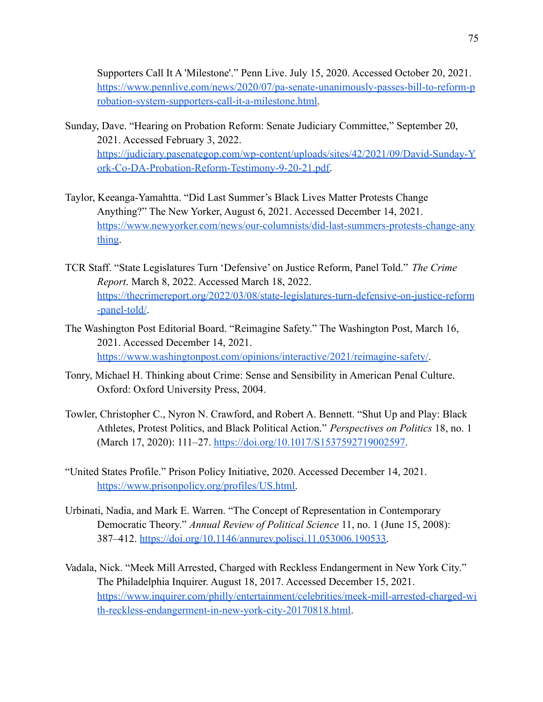Supporters Call It A 'Milestone'." Penn Live. July 15, 2020. Accessed October 20, 2021. [https://www.pennlive.com/news/2020/07/pa-senate-unanimously-passes-bill-to-reform-p](https://www.pennlive.com/news/2020/07/pa-senate-unanimously-passes-bill-to-reform-probation-system-supporters-call-it-a-milestone.html) [robation-system-supporters-call-it-a-milestone.html.](https://www.pennlive.com/news/2020/07/pa-senate-unanimously-passes-bill-to-reform-probation-system-supporters-call-it-a-milestone.html)

- Sunday, Dave. "Hearing on Probation Reform: Senate Judiciary Committee," September 20, 2021. Accessed February 3, 2022. [https://judiciary.pasenategop.com/wp-content/uploads/sites/42/2021/09/David-Sunday-Y](https://judiciary.pasenategop.com/wp-content/uploads/sites/42/2021/09/David-Sunday-York-Co-DA-Probation-Reform-Testimony-9-20-21.pdf) [ork-Co-DA-Probation-Reform-Testimony-9-20-21.pdf.](https://judiciary.pasenategop.com/wp-content/uploads/sites/42/2021/09/David-Sunday-York-Co-DA-Probation-Reform-Testimony-9-20-21.pdf)
- Taylor, Keeanga-Yamahtta. "Did Last Summer's Black Lives Matter Protests Change Anything?" The New Yorker, August 6, 2021. Accessed December 14, 2021. [https://www.newyorker.com/news/our-columnists/did-last-summers-protests-change-any](https://www.newyorker.com/news/our-columnists/did-last-summers-protests-change-anything) [thing](https://www.newyorker.com/news/our-columnists/did-last-summers-protests-change-anything).
- TCR Staff. "State Legislatures Turn 'Defensive' on Justice Reform, Panel Told." *The Crime Report*. March 8, 2022. Accessed March 18, 2022. [https://thecrimereport.org/2022/03/08/state-legislatures-turn-defensive-on-justice-reform](https://thecrimereport.org/2022/03/08/state-legislatures-turn-defensive-on-justice-reform-panel-told/) [-panel-told/](https://thecrimereport.org/2022/03/08/state-legislatures-turn-defensive-on-justice-reform-panel-told/).
- The Washington Post Editorial Board. "Reimagine Safety." The Washington Post, March 16, 2021. Accessed December 14, 2021. <https://www.washingtonpost.com/opinions/interactive/2021/reimagine-safety/>.
- Tonry, Michael H. Thinking about Crime: Sense and Sensibility in American Penal Culture. Oxford: Oxford University Press, 2004.
- Towler, Christopher C., Nyron N. Crawford, and Robert A. Bennett. "Shut Up and Play: Black Athletes, Protest Politics, and Black Political Action." *Perspectives on Politics* 18, no. 1 (March 17, 2020): 111–27. <https://doi.org/10.1017/S1537592719002597>.
- "United States Profile." Prison Policy Initiative, 2020. Accessed December 14, 2021. [https://www.prisonpolicy.org/profiles/US.html.](https://www.prisonpolicy.org/profiles/US.html)
- Urbinati, Nadia, and Mark E. Warren. "The Concept of Representation in Contemporary Democratic Theory." *Annual Review of Political Science* 11, no. 1 (June 15, 2008): 387–412. [https://doi.org/10.1146/annurev.polisci.11.053006.190533.](https://doi.org/10.1146/annurev.polisci.11.053006.190533)
- Vadala, Nick. "Meek Mill Arrested, Charged with Reckless Endangerment in New York City." The Philadelphia Inquirer. August 18, 2017. Accessed December 15, 2021. [https://www.inquirer.com/philly/entertainment/celebrities/meek-mill-arrested-charged-wi](https://www.inquirer.com/philly/entertainment/celebrities/meek-mill-arrested-charged-with-reckless-endangerment-in-new-york-city-20170818.html) [th-reckless-endangerment-in-new-york-city-20170818.html.](https://www.inquirer.com/philly/entertainment/celebrities/meek-mill-arrested-charged-with-reckless-endangerment-in-new-york-city-20170818.html)